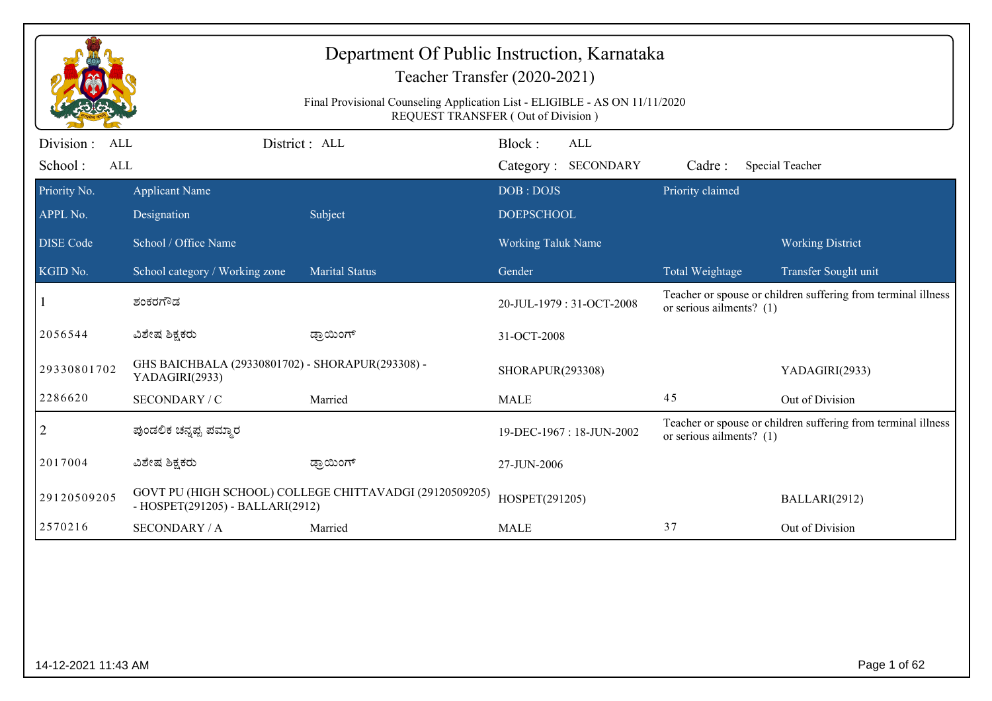|                                     | Department Of Public Instruction, Karnataka<br>Teacher Transfer (2020-2021)<br>Final Provisional Counseling Application List - ELIGIBLE - AS ON 11/11/2020<br>REQUEST TRANSFER (Out of Division) |                                                         |                                             |                            |                                                               |  |  |  |
|-------------------------------------|--------------------------------------------------------------------------------------------------------------------------------------------------------------------------------------------------|---------------------------------------------------------|---------------------------------------------|----------------------------|---------------------------------------------------------------|--|--|--|
| Division :<br>ALL<br>School:<br>ALL |                                                                                                                                                                                                  | District: ALL                                           | Block:<br><b>ALL</b><br>Category: SECONDARY | Cadre:                     | Special Teacher                                               |  |  |  |
| Priority No.<br>APPL No.            | <b>Applicant Name</b><br>Designation                                                                                                                                                             | Subject                                                 | DOB: DOJS<br><b>DOEPSCHOOL</b>              | Priority claimed           |                                                               |  |  |  |
| <b>DISE Code</b>                    | School / Office Name                                                                                                                                                                             |                                                         | <b>Working Taluk Name</b>                   |                            | <b>Working District</b>                                       |  |  |  |
| KGID No.                            | School category / Working zone                                                                                                                                                                   | <b>Marital Status</b>                                   | Gender                                      | Total Weightage            | Transfer Sought unit                                          |  |  |  |
|                                     | ಶಂಕರಗೌಡ                                                                                                                                                                                          |                                                         | 20-JUL-1979: 31-OCT-2008                    | or serious ailments? $(1)$ | Teacher or spouse or children suffering from terminal illness |  |  |  |
| 2056544                             | ವಿಶೇಷ ಶಿಕ್ಷಕರು                                                                                                                                                                                   | ಡ್ರಾಯಿಂಗ್                                               | 31-OCT-2008                                 |                            |                                                               |  |  |  |
| 29330801702                         | GHS BAICHBALA (29330801702) - SHORAPUR(293308) -<br>YADAGIRI(2933)                                                                                                                               |                                                         | SHORAPUR(293308)                            |                            | YADAGIRI(2933)                                                |  |  |  |
| 2286620                             | SECONDARY / C                                                                                                                                                                                    | Married                                                 | <b>MALE</b>                                 | 45                         | Out of Division                                               |  |  |  |
| $\overline{2}$                      | ಪುಂಡಲಿಕ ಚನ್ನಪ್ಪ ಪಮ್ಮಾರ                                                                                                                                                                           |                                                         | 19-DEC-1967: 18-JUN-2002                    | or serious ailments? (1)   | Teacher or spouse or children suffering from terminal illness |  |  |  |
| 2017004                             | ವಿಶೇಷ ಶಿಕ್ಷಕರು                                                                                                                                                                                   | ಡ್ರಾಯಿಂಗ್                                               | 27-JUN-2006                                 |                            |                                                               |  |  |  |
| 29120509205                         | - HOSPET(291205) - BALLARI(2912)                                                                                                                                                                 | GOVT PU (HIGH SCHOOL) COLLEGE CHITTAVADGI (29120509205) | HOSPET(291205)                              |                            | BALLARI(2912)                                                 |  |  |  |
| 2570216                             | <b>SECONDARY / A</b>                                                                                                                                                                             | Married                                                 | <b>MALE</b>                                 | 37                         | Out of Division                                               |  |  |  |
|                                     |                                                                                                                                                                                                  |                                                         |                                             |                            |                                                               |  |  |  |
| 14-12-2021 11:43 AM                 |                                                                                                                                                                                                  |                                                         |                                             |                            | Page 1 of 62                                                  |  |  |  |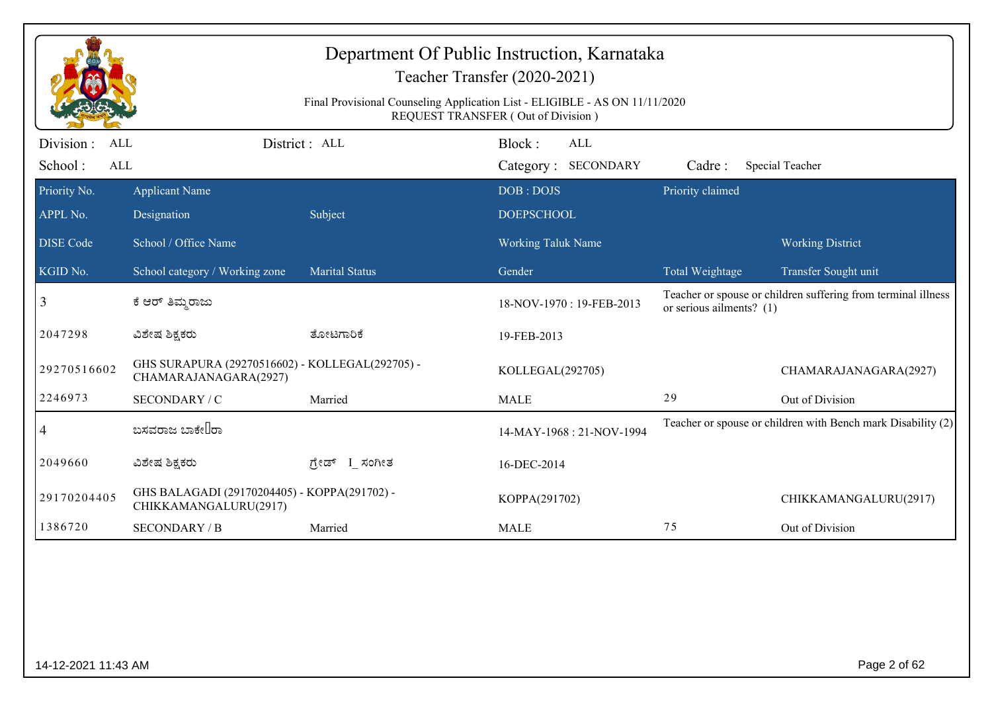|                                            |                                                                          | Department Of Public Instruction, Karnataka<br>Final Provisional Counseling Application List - ELIGIBLE - AS ON 11/11/2020 | Teacher Transfer (2020-2021)<br><b>REQUEST TRANSFER (Out of Division)</b> |                            |                                                               |
|--------------------------------------------|--------------------------------------------------------------------------|----------------------------------------------------------------------------------------------------------------------------|---------------------------------------------------------------------------|----------------------------|---------------------------------------------------------------|
| Division :<br>ALL<br>School:<br><b>ALL</b> |                                                                          | District : ALL                                                                                                             | Block:<br><b>ALL</b><br>Category: SECONDARY                               | Cadre:                     | Special Teacher                                               |
| Priority No.<br>APPL No.                   | <b>Applicant Name</b><br>Designation                                     | Subject                                                                                                                    | DOB: DOJS<br><b>DOEPSCHOOL</b>                                            | Priority claimed           |                                                               |
| <b>DISE Code</b>                           | School / Office Name                                                     |                                                                                                                            | <b>Working Taluk Name</b>                                                 |                            | <b>Working District</b>                                       |
| KGID No.                                   | School category / Working zone                                           | <b>Marital Status</b>                                                                                                      | Gender                                                                    | Total Weightage            | Transfer Sought unit                                          |
| 3                                          | ಕೆ ಆರ್ ತಿಮ್ಮರಾಜು                                                         |                                                                                                                            | 18-NOV-1970: 19-FEB-2013                                                  | or serious ailments? $(1)$ | Teacher or spouse or children suffering from terminal illness |
| 2047298                                    | ವಿಶೇಷ ಶಿಕ್ಷಕರು                                                           | ತೋಟಗಾರಿಕೆ                                                                                                                  | 19-FEB-2013                                                               |                            |                                                               |
| 29270516602                                | GHS SURAPURA (29270516602) - KOLLEGAL(292705) -<br>CHAMARAJANAGARA(2927) |                                                                                                                            | KOLLEGAL(292705)                                                          |                            | CHAMARAJANAGARA(2927)                                         |
| 2246973                                    | SECONDARY / C                                                            | Married                                                                                                                    | <b>MALE</b>                                                               | 29                         | Out of Division                                               |
| 4                                          | ಬಸವರಾಜ ಬಾಕೇ∐ರಾ                                                           |                                                                                                                            | 14-MAY-1968: 21-NOV-1994                                                  |                            | Teacher or spouse or children with Bench mark Disability (2)  |
| 2049660                                    | ವಿಶೇಷ ಶಿಕ್ಷಕರು                                                           | ಗ್ರೇಡ್ I_ಸಂಗೀತ                                                                                                             | 16-DEC-2014                                                               |                            |                                                               |
| 29170204405                                | GHS BALAGADI (29170204405) - KOPPA(291702) -<br>CHIKKAMANGALURU(2917)    |                                                                                                                            | KOPPA(291702)                                                             |                            | CHIKKAMANGALURU(2917)                                         |
| 1386720                                    | <b>SECONDARY / B</b>                                                     | Married                                                                                                                    | <b>MALE</b>                                                               | 75                         | Out of Division                                               |
|                                            |                                                                          |                                                                                                                            |                                                                           |                            |                                                               |
| 14-12-2021 11:43 AM                        |                                                                          |                                                                                                                            |                                                                           |                            | Page 2 of 62                                                  |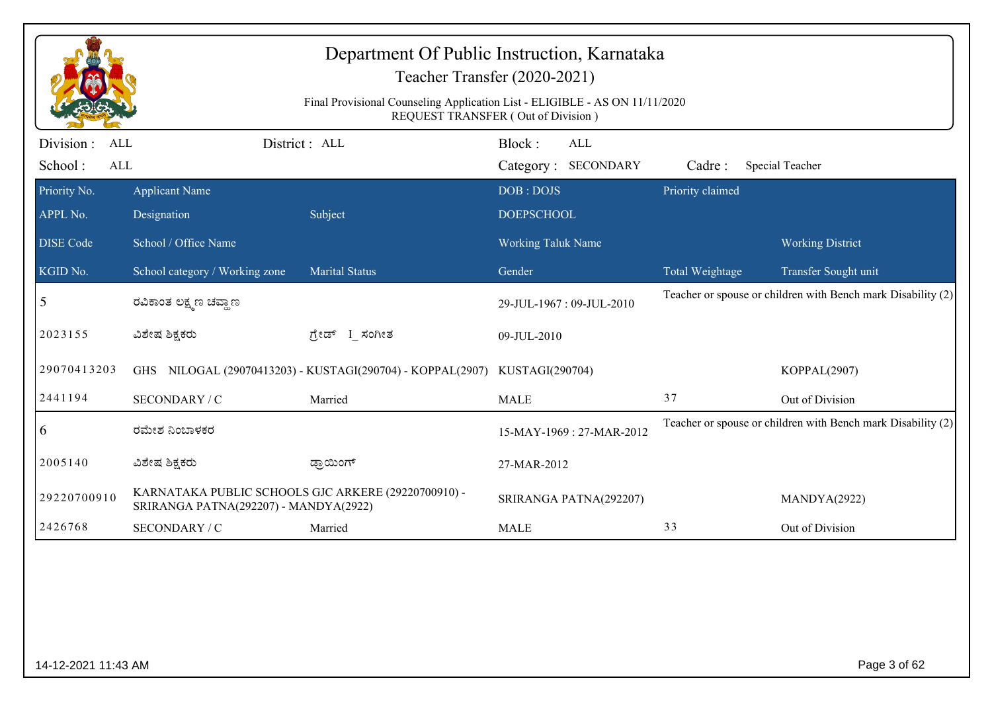|                                                   | Department Of Public Instruction, Karnataka<br>Teacher Transfer (2020-2021)<br>Final Provisional Counseling Application List - ELIGIBLE - AS ON 11/11/2020<br>REQUEST TRANSFER (Out of Division) |                                                                            |                                |                            |                  |                                                              |  |  |
|---------------------------------------------------|--------------------------------------------------------------------------------------------------------------------------------------------------------------------------------------------------|----------------------------------------------------------------------------|--------------------------------|----------------------------|------------------|--------------------------------------------------------------|--|--|
| Division :<br><b>ALL</b><br>School:<br><b>ALL</b> |                                                                                                                                                                                                  | District : ALL                                                             | Block:                         | ALL<br>Category: SECONDARY | Cadre:           | Special Teacher                                              |  |  |
| Priority No.<br>APPL No.                          | <b>Applicant Name</b><br>Designation                                                                                                                                                             | Subject                                                                    | DOB: DOJS<br><b>DOEPSCHOOL</b> |                            | Priority claimed |                                                              |  |  |
| <b>DISE Code</b>                                  | School / Office Name                                                                                                                                                                             |                                                                            | Working Taluk Name             |                            |                  | <b>Working District</b>                                      |  |  |
| KGID No.                                          | School category / Working zone                                                                                                                                                                   | <b>Marital Status</b>                                                      | Gender                         |                            | Total Weightage  | Transfer Sought unit                                         |  |  |
| 5                                                 | ರವಿಕಾಂತ ಲಕ್ಷ್ಮಣ ಚವ್ದಾಣ                                                                                                                                                                           |                                                                            |                                | 29-JUL-1967: 09-JUL-2010   |                  | Teacher or spouse or children with Bench mark Disability (2) |  |  |
| 2023155                                           | ವಿಶೇಷ ಶಿಕ್ಷಕರು                                                                                                                                                                                   | ಗ್ರೇಡ್ I_ಸಂಗೀತ                                                             | 09-JUL-2010                    |                            |                  |                                                              |  |  |
| 29070413203                                       |                                                                                                                                                                                                  | GHS NILOGAL (29070413203) - KUSTAGI(290704) - KOPPAL(2907) KUSTAGI(290704) |                                |                            |                  | KOPPAL(2907)                                                 |  |  |
| 2441194                                           | SECONDARY / C                                                                                                                                                                                    | Married                                                                    | <b>MALE</b>                    |                            | 37               | Out of Division                                              |  |  |
| $\overline{6}$                                    | ರಮೇಶ ನಿಂಬಾಳಕರ                                                                                                                                                                                    |                                                                            |                                | 15-MAY-1969: 27-MAR-2012   |                  | Teacher or spouse or children with Bench mark Disability (2) |  |  |
| 2005140                                           | ವಿಶೇಷ ಶಿಕ್ಷಕರು                                                                                                                                                                                   | ಡ್ರಾಯಿಂಗ್                                                                  | 27-MAR-2012                    |                            |                  |                                                              |  |  |
| 29220700910                                       | KARNATAKA PUBLIC SCHOOLS GJC ARKERE (29220700910) -<br>SRIRANGA PATNA(292207) - MANDYA(2922)                                                                                                     |                                                                            |                                | SRIRANGA PATNA(292207)     |                  | MANDYA(2922)                                                 |  |  |
| 2426768                                           | SECONDARY / C                                                                                                                                                                                    | Married                                                                    | <b>MALE</b>                    |                            | 33               | Out of Division                                              |  |  |
|                                                   |                                                                                                                                                                                                  |                                                                            |                                |                            |                  |                                                              |  |  |
| 14-12-2021 11:43 AM                               |                                                                                                                                                                                                  |                                                                            |                                |                            |                  | Page 3 of 62                                                 |  |  |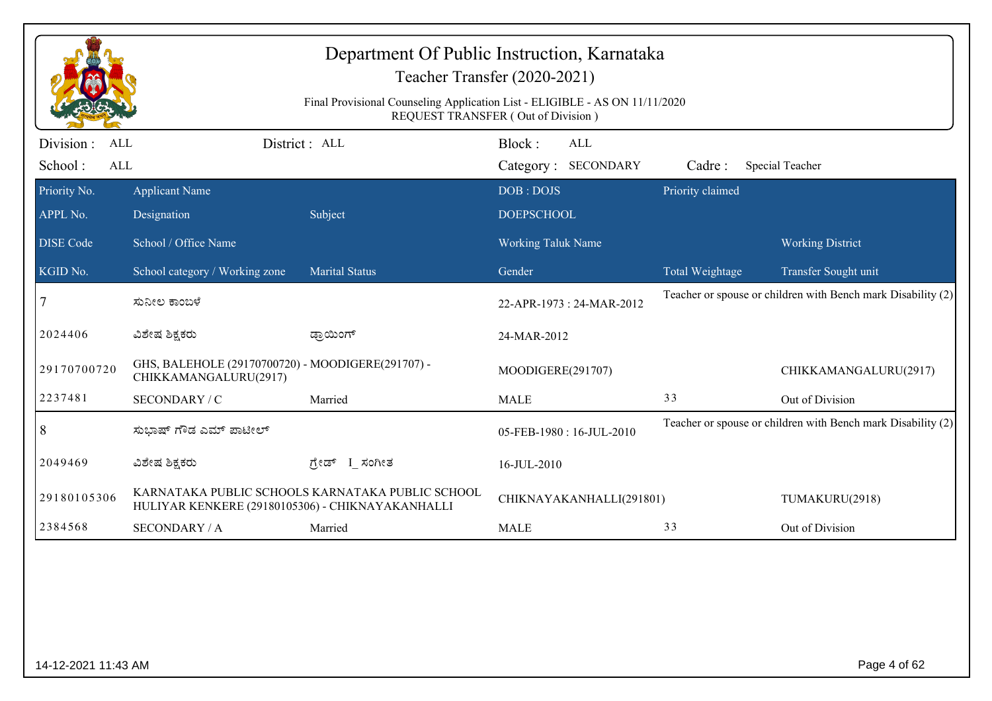|                                                   | Department Of Public Instruction, Karnataka<br>Teacher Transfer (2020-2021)<br>Final Provisional Counseling Application List - ELIGIBLE - AS ON 11/11/2020<br>REQUEST TRANSFER (Out of Division) |                                                  |                                      |                  |                                                              |  |  |  |
|---------------------------------------------------|--------------------------------------------------------------------------------------------------------------------------------------------------------------------------------------------------|--------------------------------------------------|--------------------------------------|------------------|--------------------------------------------------------------|--|--|--|
| Division :<br><b>ALL</b><br>School:<br><b>ALL</b> |                                                                                                                                                                                                  | District: ALL                                    | Block:<br>ALL<br>Category: SECONDARY | Cadre:           | Special Teacher                                              |  |  |  |
| Priority No.<br>APPL No.                          | <b>Applicant Name</b><br>Designation                                                                                                                                                             | Subject                                          | DOB: DOJS<br><b>DOEPSCHOOL</b>       | Priority claimed |                                                              |  |  |  |
| <b>DISE Code</b>                                  | School / Office Name                                                                                                                                                                             |                                                  | <b>Working Taluk Name</b>            |                  | <b>Working District</b>                                      |  |  |  |
| KGID No.                                          | School category / Working zone                                                                                                                                                                   | <b>Marital Status</b>                            | Gender                               | Total Weightage  | Transfer Sought unit                                         |  |  |  |
|                                                   | ಸುನೀಲ ಕಾಂಬಳೆ                                                                                                                                                                                     |                                                  | 22-APR-1973 : 24-MAR-2012            |                  | Teacher or spouse or children with Bench mark Disability (2) |  |  |  |
| 2024406                                           | ವಿಶೇಷ ಶಿಕ್ಷಕರು                                                                                                                                                                                   | ಡ್ರಾಯಿಂಗ್                                        | 24-MAR-2012                          |                  |                                                              |  |  |  |
| 29170700720                                       | GHS, BALEHOLE (29170700720) - MOODIGERE(291707) -<br>CHIKKAMANGALURU(2917)                                                                                                                       |                                                  | MOODIGERE(291707)                    |                  | CHIKKAMANGALURU(2917)                                        |  |  |  |
| 2237481                                           | SECONDARY / C                                                                                                                                                                                    | Married                                          | <b>MALE</b>                          | 33               | Out of Division                                              |  |  |  |
| $\vert 8$                                         | ಸುಭಾಷ್ ಗೌಡ ಎಮ್ ಪಾಟೀಲ್                                                                                                                                                                            |                                                  | 05-FEB-1980: 16-JUL-2010             |                  | Teacher or spouse or children with Bench mark Disability (2) |  |  |  |
| 2049469                                           | ವಿಶೇಷ ಶಿಕ್ಷಕರು                                                                                                                                                                                   | ಗ್ರೇಡ್ I_ಸಂಗೀತ                                   | 16-JUL-2010                          |                  |                                                              |  |  |  |
| 29180105306                                       | HULIYAR KENKERE (29180105306) - CHIKNAYAKANHALLI                                                                                                                                                 | KARNATAKA PUBLIC SCHOOLS KARNATAKA PUBLIC SCHOOL | CHIKNAYAKANHALLI(291801)             |                  | TUMAKURU(2918)                                               |  |  |  |
| 2384568                                           | <b>SECONDARY / A</b>                                                                                                                                                                             | Married                                          | <b>MALE</b>                          | 33               | Out of Division                                              |  |  |  |
|                                                   |                                                                                                                                                                                                  |                                                  |                                      |                  |                                                              |  |  |  |
| 14-12-2021 11:43 AM                               |                                                                                                                                                                                                  |                                                  |                                      |                  | Page 4 of 62                                                 |  |  |  |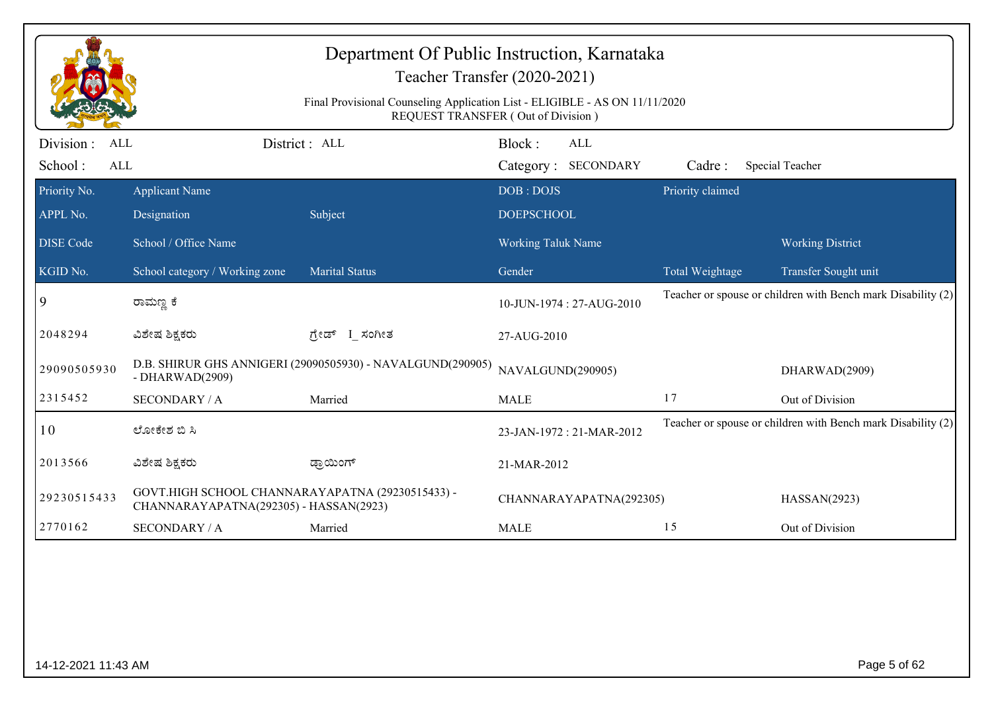|                                                   |                                                                                            | Department Of Public Instruction, Karnataka<br>Final Provisional Counseling Application List - ELIGIBLE - AS ON 11/11/2020 | Teacher Transfer (2020-2021)<br>REQUEST TRANSFER (Out of Division) |                  |                                                              |
|---------------------------------------------------|--------------------------------------------------------------------------------------------|----------------------------------------------------------------------------------------------------------------------------|--------------------------------------------------------------------|------------------|--------------------------------------------------------------|
| Division :<br><b>ALL</b><br>School:<br><b>ALL</b> |                                                                                            | District: ALL                                                                                                              | Block:<br><b>ALL</b><br>Category: SECONDARY                        | Cadre:           | Special Teacher                                              |
| Priority No.<br>APPL No.                          | <b>Applicant Name</b><br>Designation                                                       | Subject                                                                                                                    | DOB: DOJS<br><b>DOEPSCHOOL</b>                                     | Priority claimed |                                                              |
| <b>DISE Code</b>                                  | School / Office Name                                                                       |                                                                                                                            | <b>Working Taluk Name</b>                                          |                  | <b>Working District</b>                                      |
| KGID No.                                          | School category / Working zone                                                             | <b>Marital Status</b>                                                                                                      | Gender                                                             | Total Weightage  | Transfer Sought unit                                         |
| 9                                                 | ರಾಮಣ್ಣ ಕೆ                                                                                  |                                                                                                                            | 10-JUN-1974: 27-AUG-2010                                           |                  | Teacher or spouse or children with Bench mark Disability (2) |
| 2048294                                           | ವಿಶೇಷ ಶಿಕ್ಷಕರು                                                                             | ಗ್ರೇಡ್ I_ಸಂಗೀತ                                                                                                             | 27-AUG-2010                                                        |                  |                                                              |
| 29090505930                                       | - DHARWAD $(2909)$                                                                         | D.B. SHIRUR GHS ANNIGERI (29090505930) - NAVALGUND(290905)                                                                 | NAVALGUND(290905)                                                  |                  | DHARWAD(2909)                                                |
| 2315452                                           | <b>SECONDARY / A</b>                                                                       | Married                                                                                                                    | <b>MALE</b>                                                        | 17               | Out of Division                                              |
| 10                                                | ಲೋಕೇಶ ಬಿ ಸಿ                                                                                |                                                                                                                            | 23-JAN-1972: 21-MAR-2012                                           |                  | Teacher or spouse or children with Bench mark Disability (2) |
| 2013566                                           | ವಿಶೇಷ ಶಿಕ್ಷಕರು                                                                             | ಡ್ರಾಯಿಂಗ್                                                                                                                  | 21-MAR-2012                                                        |                  |                                                              |
| 29230515433                                       | GOVT.HIGH SCHOOL CHANNARAYAPATNA (29230515433) -<br>CHANNARAYAPATNA(292305) - HASSAN(2923) |                                                                                                                            | CHANNARAYAPATNA(292305)                                            |                  | HASSAN(2923)                                                 |
| 2770162                                           | <b>SECONDARY / A</b>                                                                       | Married                                                                                                                    | <b>MALE</b>                                                        | 15               | Out of Division                                              |
|                                                   |                                                                                            |                                                                                                                            |                                                                    |                  |                                                              |
| 14-12-2021 11:43 AM                               |                                                                                            |                                                                                                                            |                                                                    |                  | Page 5 of 62                                                 |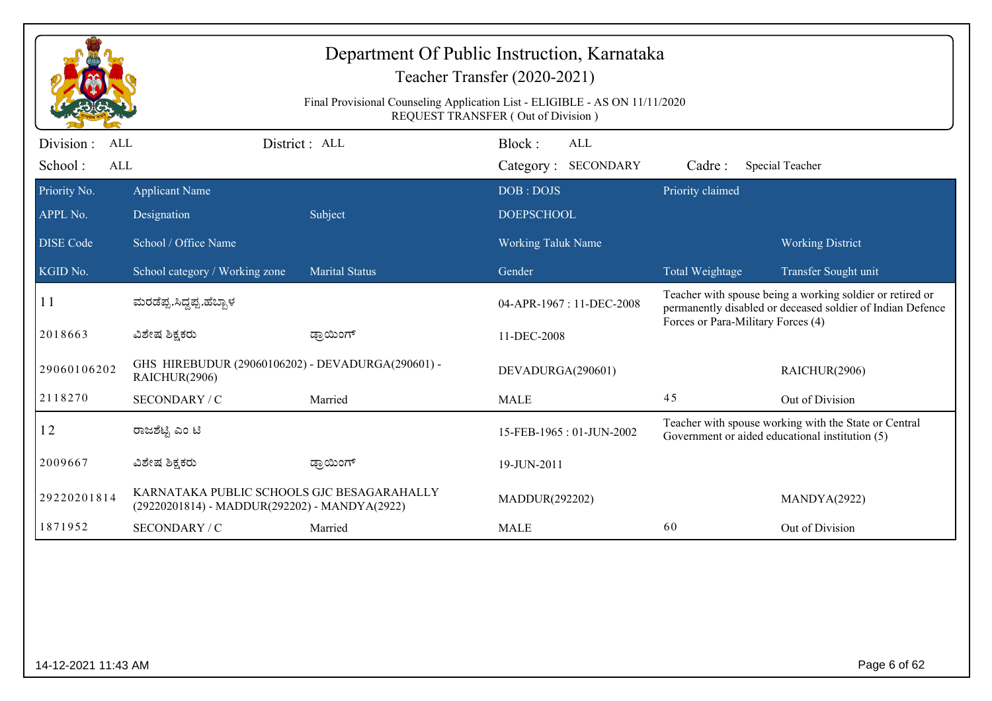|                                     |                                                                                             | Final Provisional Counseling Application List - ELIGIBLE - AS ON 11/11/2020 | Department Of Public Instruction, Karnataka<br>Teacher Transfer (2020-2021)<br>REQUEST TRANSFER (Out of Division) |                                    |                                                                                                                         |
|-------------------------------------|---------------------------------------------------------------------------------------------|-----------------------------------------------------------------------------|-------------------------------------------------------------------------------------------------------------------|------------------------------------|-------------------------------------------------------------------------------------------------------------------------|
| Division :<br>ALL<br>School:<br>ALL |                                                                                             | District: ALL                                                               | Block:<br>ALL<br>Category: SECONDARY                                                                              | Cadre:                             | Special Teacher                                                                                                         |
| Priority No.<br>APPL No.            | <b>Applicant Name</b><br>Designation                                                        | Subject                                                                     | DOB: DOJS<br><b>DOEPSCHOOL</b>                                                                                    | Priority claimed                   |                                                                                                                         |
| <b>DISE</b> Code                    | School / Office Name                                                                        |                                                                             | <b>Working Taluk Name</b>                                                                                         |                                    | <b>Working District</b>                                                                                                 |
| KGID No.                            | School category / Working zone                                                              | <b>Marital Status</b>                                                       | Gender                                                                                                            | Total Weightage                    | Transfer Sought unit                                                                                                    |
| <b>11</b>                           | ಮರಡೆಪ್ಪ.ಸಿದ್ದಪ್ಪ.ಹೆಬ್ಬಾಳ                                                                    |                                                                             | 04-APR-1967 : 11-DEC-2008                                                                                         | Forces or Para-Military Forces (4) | Teacher with spouse being a working soldier or retired or<br>permanently disabled or deceased soldier of Indian Defence |
| 2018663                             | ವಿಶೇಷ ಶಿಕ್ಷಕರು                                                                              | ಡ್ರಾಯಿಂಗ್                                                                   | 11-DEC-2008                                                                                                       |                                    |                                                                                                                         |
| 29060106202                         | GHS HIREBUDUR (29060106202) - DEVADURGA(290601) -<br>RAICHUR(2906)                          |                                                                             | DEVADURGA(290601)                                                                                                 |                                    | RAICHUR(2906)                                                                                                           |
| 2118270                             | SECONDARY / C                                                                               | Married                                                                     | <b>MALE</b>                                                                                                       | 45                                 | Out of Division                                                                                                         |
| 12                                  | ರಾಜಶೆಟ್ಟಿ ಎಂ ಟಿ                                                                             |                                                                             | 15-FEB-1965: 01-JUN-2002                                                                                          |                                    | Teacher with spouse working with the State or Central<br>Government or aided educational institution (5)                |
| 2009667                             | ವಿಶೇಷ ಶಿಕ್ಷಕರು                                                                              | ಡ್ರಾಯಿಂಗ್                                                                   | 19-JUN-2011                                                                                                       |                                    |                                                                                                                         |
| 29220201814                         | KARNATAKA PUBLIC SCHOOLS GJC BESAGARAHALLY<br>(29220201814) - MADDUR(292202) - MANDYA(2922) |                                                                             | MADDUR(292202)                                                                                                    |                                    | MANDYA(2922)                                                                                                            |
| 1871952                             | SECONDARY / C                                                                               | Married                                                                     | <b>MALE</b>                                                                                                       | 60                                 | Out of Division                                                                                                         |
|                                     |                                                                                             |                                                                             |                                                                                                                   |                                    |                                                                                                                         |
| 14-12-2021 11:43 AM                 |                                                                                             |                                                                             |                                                                                                                   |                                    | Page 6 of 62                                                                                                            |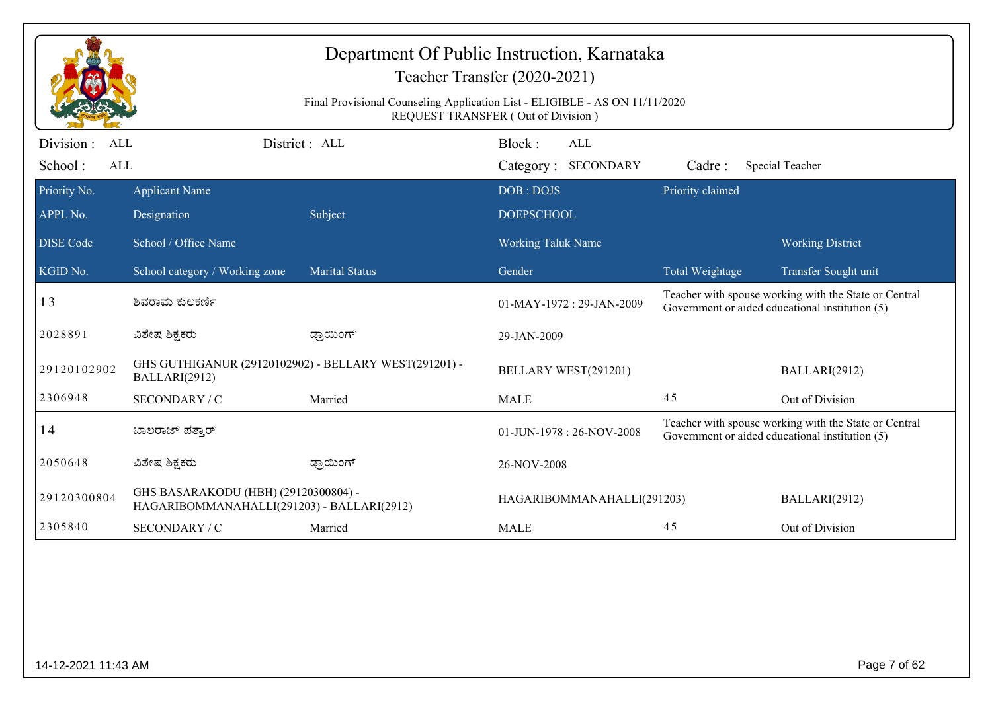|                         |                                                                                    |                                                                             | Teacher Transfer (2020-2021)       |                  |                                                                                                          |
|-------------------------|------------------------------------------------------------------------------------|-----------------------------------------------------------------------------|------------------------------------|------------------|----------------------------------------------------------------------------------------------------------|
|                         |                                                                                    | Final Provisional Counseling Application List - ELIGIBLE - AS ON 11/11/2020 | REQUEST TRANSFER (Out of Division) |                  |                                                                                                          |
| Division:<br><b>ALL</b> |                                                                                    | District : ALL                                                              | Block:<br>ALL                      |                  |                                                                                                          |
| School:<br><b>ALL</b>   |                                                                                    |                                                                             | Category: SECONDARY                | Cadre:           | Special Teacher                                                                                          |
| Priority No.            | <b>Applicant Name</b>                                                              |                                                                             | DOB: DOJS                          | Priority claimed |                                                                                                          |
| APPL No.                | Designation                                                                        | Subject                                                                     | <b>DOEPSCHOOL</b>                  |                  |                                                                                                          |
| <b>DISE Code</b>        | School / Office Name                                                               |                                                                             | <b>Working Taluk Name</b>          |                  | <b>Working District</b>                                                                                  |
| KGID No.                | School category / Working zone                                                     | <b>Marital Status</b>                                                       | Gender                             | Total Weightage  | Transfer Sought unit                                                                                     |
| 13                      | ಶಿವರಾಮ ಕುಲಕರ್ಣಿ                                                                    |                                                                             | $01-MAY-1972:29-JAN-2009$          |                  | Teacher with spouse working with the State or Central<br>Government or aided educational institution (5) |
| 2028891                 | ವಿಶೇಷ ಶಿಕ್ಷಕರು                                                                     | ಡ್ರಾಯಿಂಗ್                                                                   | 29-JAN-2009                        |                  |                                                                                                          |
| 29120102902             | BALLARI(2912)                                                                      | GHS GUTHIGANUR (29120102902) - BELLARY WEST(291201) -                       | BELLARY WEST(291201)               |                  | BALLARI(2912)                                                                                            |
| 2306948                 | SECONDARY / C                                                                      | Married                                                                     | <b>MALE</b>                        | 45               | Out of Division                                                                                          |
| 14                      | ಬಾಲರಾಜ್ ಪತ್ತಾರ್                                                                    |                                                                             | 01-JUN-1978: 26-NOV-2008           |                  | Teacher with spouse working with the State or Central<br>Government or aided educational institution (5) |
| 2050648                 | ವಿಶೇಷ ಶಿಕ್ಷಕರು                                                                     | ಡ್ರಾಯಿಂಗ್                                                                   | 26-NOV-2008                        |                  |                                                                                                          |
| 29120300804             | GHS BASARAKODU (HBH) (29120300804) -<br>HAGARIBOMMANAHALLI(291203) - BALLARI(2912) |                                                                             | HAGARIBOMMANAHALLI(291203)         |                  | BALLARI(2912)                                                                                            |
| 2305840                 | SECONDARY / C                                                                      | Married                                                                     | <b>MALE</b>                        | 45               | Out of Division                                                                                          |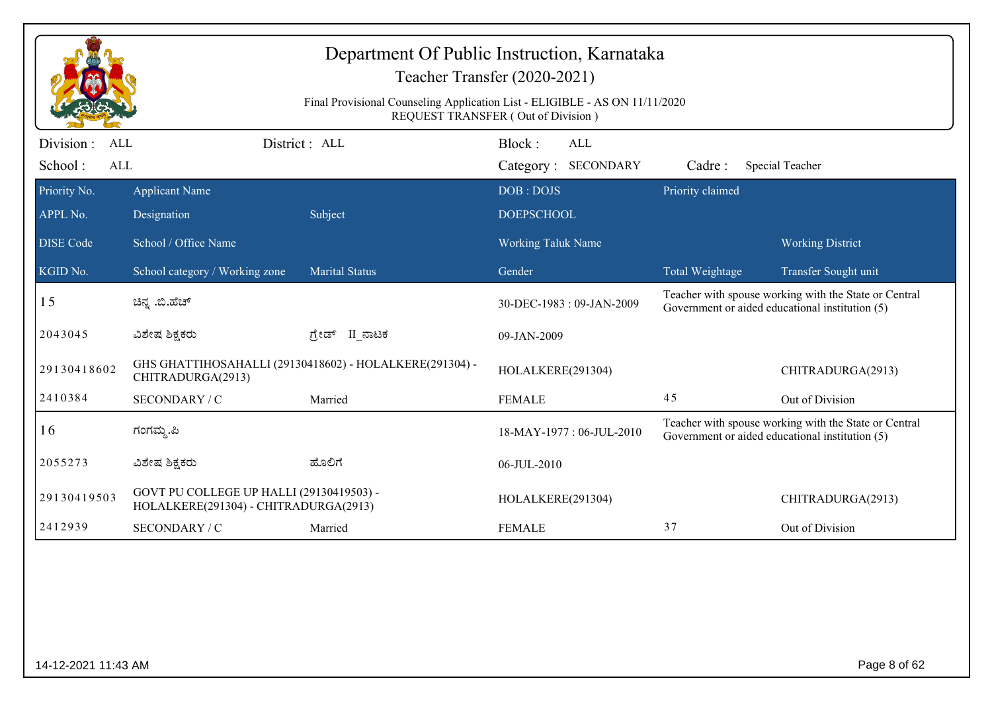|                                                   | Department Of Public Instruction, Karnataka<br>Teacher Transfer (2020-2021)       |                                                                             |                                      |                  |                                                                                                          |  |  |  |
|---------------------------------------------------|-----------------------------------------------------------------------------------|-----------------------------------------------------------------------------|--------------------------------------|------------------|----------------------------------------------------------------------------------------------------------|--|--|--|
|                                                   |                                                                                   | Final Provisional Counseling Application List - ELIGIBLE - AS ON 11/11/2020 | REQUEST TRANSFER (Out of Division)   |                  |                                                                                                          |  |  |  |
| Division :<br><b>ALL</b><br>School:<br><b>ALL</b> |                                                                                   | District : ALL                                                              | Block:<br>ALL<br>Category: SECONDARY | Cadre:           | Special Teacher                                                                                          |  |  |  |
| Priority No.                                      | <b>Applicant Name</b>                                                             |                                                                             | DOB: DOJS                            | Priority claimed |                                                                                                          |  |  |  |
| APPL No.                                          | Designation                                                                       | Subject                                                                     | <b>DOEPSCHOOL</b>                    |                  |                                                                                                          |  |  |  |
| <b>DISE</b> Code                                  | School / Office Name                                                              |                                                                             | <b>Working Taluk Name</b>            |                  | <b>Working District</b>                                                                                  |  |  |  |
| KGID No.                                          | School category / Working zone                                                    | <b>Marital Status</b>                                                       | Gender                               | Total Weightage  | Transfer Sought unit                                                                                     |  |  |  |
| 15                                                | ಚಿನ್ನ .ಬಿ.ಹೆಚ್                                                                    |                                                                             | 30-DEC-1983: 09-JAN-2009             |                  | Teacher with spouse working with the State or Central<br>Government or aided educational institution (5) |  |  |  |
| 2043045                                           | ವಿಶೇಷ ಶಿಕ್ಷಕರು                                                                    | II ನಾಟಕ<br>ಗೇಡ್                                                             | 09-JAN-2009                          |                  |                                                                                                          |  |  |  |
| 29130418602                                       | CHITRADURGA(2913)                                                                 | GHS GHATTIHOSAHALLI (29130418602) - HOLALKERE(291304) -                     | HOLALKERE(291304)                    |                  | CHITRADURGA(2913)                                                                                        |  |  |  |
| 2410384                                           | SECONDARY / C                                                                     | Married                                                                     | <b>FEMALE</b>                        | 45               | Out of Division                                                                                          |  |  |  |
| 16                                                | ಗಂಗಮ್ಮ.ಪಿ                                                                         |                                                                             | 18-MAY-1977: 06-JUL-2010             |                  | Teacher with spouse working with the State or Central<br>Government or aided educational institution (5) |  |  |  |
| 2055273                                           | ವಿಶೇಷ ಶಿಕ್ಷಕರು                                                                    | ಹೊಲಿಗೆ                                                                      | 06-JUL-2010                          |                  |                                                                                                          |  |  |  |
| 29130419503                                       | GOVT PU COLLEGE UP HALLI (29130419503) -<br>HOLALKERE(291304) - CHITRADURGA(2913) |                                                                             | HOLALKERE(291304)                    |                  | CHITRADURGA(2913)                                                                                        |  |  |  |
| 2412939                                           | SECONDARY / C                                                                     | Married                                                                     | <b>FEMALE</b>                        | 37               | Out of Division                                                                                          |  |  |  |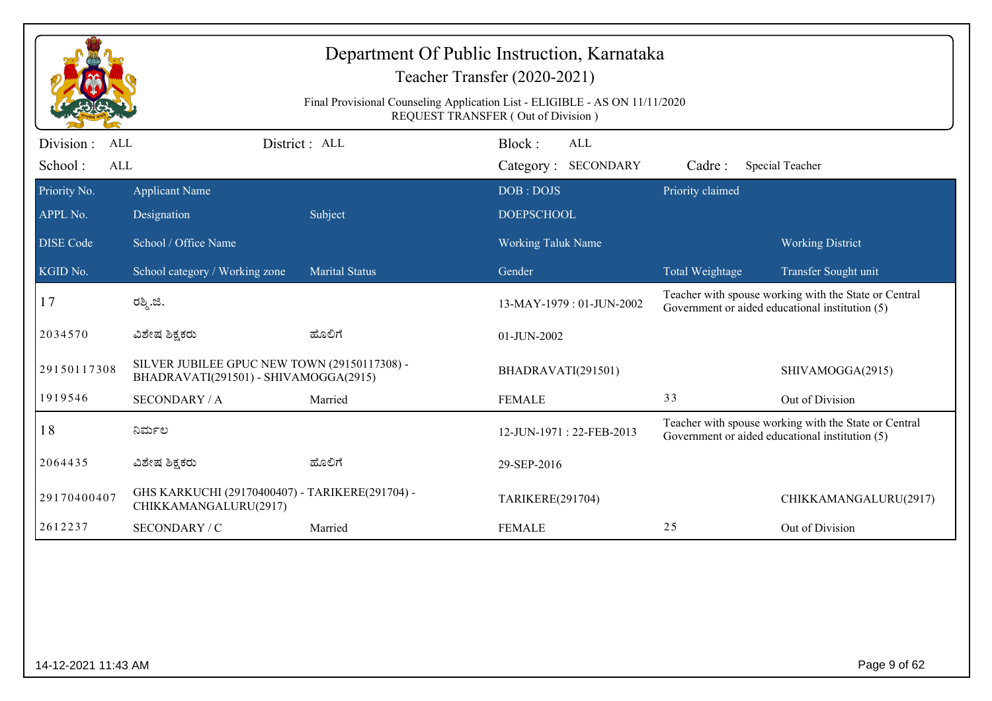|                          |                                                                                       |                                                                             | Department Of Public Instruction, Karnataka<br>Teacher Transfer (2020-2021)                                                          |                  |                                                                                                          |
|--------------------------|---------------------------------------------------------------------------------------|-----------------------------------------------------------------------------|--------------------------------------------------------------------------------------------------------------------------------------|------------------|----------------------------------------------------------------------------------------------------------|
|                          |                                                                                       | Final Provisional Counseling Application List - ELIGIBLE - AS ON 11/11/2020 | REQUEST TRANSFER (Out of Division)                                                                                                   |                  |                                                                                                          |
| Division :<br><b>ALL</b> |                                                                                       | District: ALL                                                               | Block:<br>ALL                                                                                                                        |                  |                                                                                                          |
| School:<br><b>ALL</b>    |                                                                                       |                                                                             | Category: SECONDARY                                                                                                                  | Cadre:           | <b>Special Teacher</b>                                                                                   |
| Priority No.             | <b>Applicant Name</b>                                                                 |                                                                             | DOB: DOJS                                                                                                                            | Priority claimed |                                                                                                          |
| APPL No.                 | Designation                                                                           | Subject                                                                     | <b>DOEPSCHOOL</b>                                                                                                                    |                  |                                                                                                          |
| <b>DISE</b> Code         | School / Office Name                                                                  |                                                                             | <b>Working Taluk Name</b>                                                                                                            |                  | <b>Working District</b>                                                                                  |
| KGID No.                 | School category / Working zone                                                        | <b>Marital Status</b>                                                       | Gender                                                                                                                               | Total Weightage  | Transfer Sought unit                                                                                     |
| 17                       | ರಶ್ಮಿ.ಜಿ.                                                                             |                                                                             | Teacher with spouse working with the State or Central<br>13-MAY-1979: 01-JUN-2002<br>Government or aided educational institution (5) |                  |                                                                                                          |
| 2034570                  | ವಿಶೇಷ ಶಿಕ್ಷಕರು                                                                        | ಹೊಲಿಗೆ                                                                      | 01-JUN-2002                                                                                                                          |                  |                                                                                                          |
| 29150117308              | SILVER JUBILEE GPUC NEW TOWN (29150117308) -<br>BHADRAVATI(291501) - SHIVAMOGGA(2915) |                                                                             | BHADRAVATI(291501)                                                                                                                   |                  | SHIVAMOGGA(2915)                                                                                         |
| 1919546                  | <b>SECONDARY / A</b>                                                                  | Married                                                                     | <b>FEMALE</b>                                                                                                                        | 33               | Out of Division                                                                                          |
| 18                       | ನಿರ್ಮಲ                                                                                |                                                                             | 12-JUN-1971: 22-FEB-2013                                                                                                             |                  | Teacher with spouse working with the State or Central<br>Government or aided educational institution (5) |
| 2064435                  | ವಿಶೇಷ ಶಿಕ್ಷಕರು                                                                        | ಹೊಲಿಗೆ                                                                      | 29-SEP-2016                                                                                                                          |                  |                                                                                                          |
| 29170400407              | GHS KARKUCHI (29170400407) - TARIKERE(291704) -<br>CHIKKAMANGALURU(2917)              |                                                                             | TARIKERE(291704)                                                                                                                     |                  | CHIKKAMANGALURU(2917)                                                                                    |
| 2612237                  | SECONDARY / C                                                                         | Married                                                                     | <b>FEMALE</b>                                                                                                                        | 25               | Out of Division                                                                                          |
|                          |                                                                                       |                                                                             |                                                                                                                                      |                  |                                                                                                          |
|                          |                                                                                       |                                                                             |                                                                                                                                      |                  |                                                                                                          |
|                          |                                                                                       |                                                                             |                                                                                                                                      |                  |                                                                                                          |
|                          |                                                                                       |                                                                             |                                                                                                                                      |                  |                                                                                                          |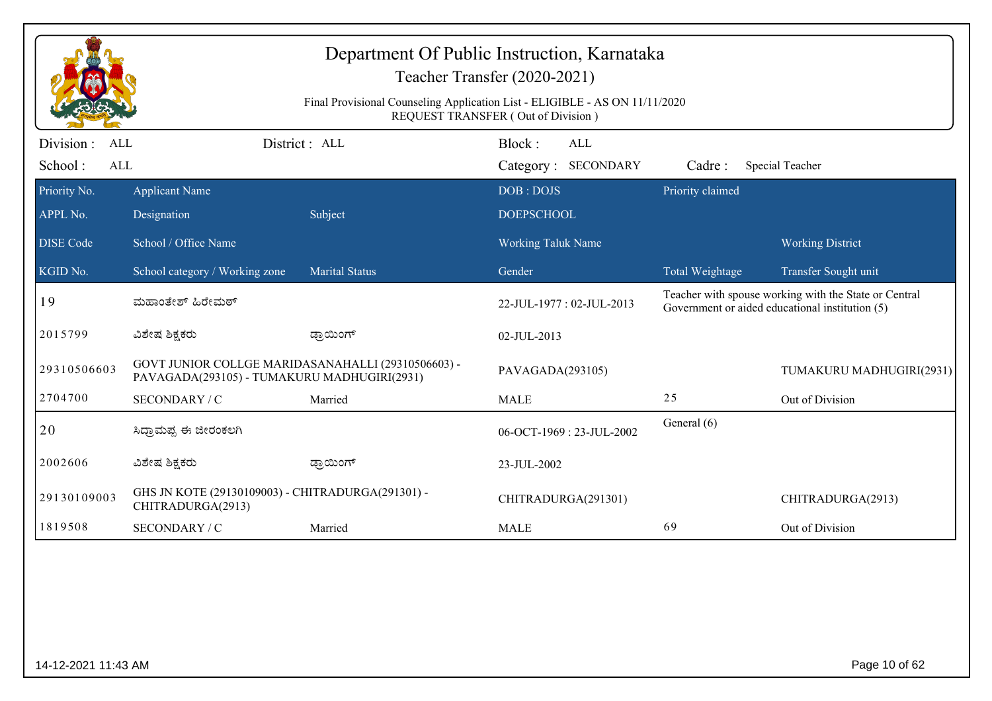|                                            | Department Of Public Instruction, Karnataka<br>Teacher Transfer (2020-2021)<br>Final Provisional Counseling Application List - ELIGIBLE - AS ON 11/11/2020<br><b>REQUEST TRANSFER (Out of Division)</b> |                       |                                      |  |                  |                                                                                                          |  |  |
|--------------------------------------------|---------------------------------------------------------------------------------------------------------------------------------------------------------------------------------------------------------|-----------------------|--------------------------------------|--|------------------|----------------------------------------------------------------------------------------------------------|--|--|
| Division :<br>ALL<br>School:<br><b>ALL</b> |                                                                                                                                                                                                         | District: ALL         | Block:<br>ALL<br>Category: SECONDARY |  | Cadre:           | Special Teacher                                                                                          |  |  |
| Priority No.                               | <b>Applicant Name</b>                                                                                                                                                                                   |                       | DOB: DOJS                            |  | Priority claimed |                                                                                                          |  |  |
| APPL No.                                   | Designation                                                                                                                                                                                             | Subject               | <b>DOEPSCHOOL</b>                    |  |                  |                                                                                                          |  |  |
| <b>DISE</b> Code                           | School / Office Name                                                                                                                                                                                    |                       | <b>Working Taluk Name</b>            |  |                  | <b>Working District</b>                                                                                  |  |  |
| KGID No.                                   | School category / Working zone                                                                                                                                                                          | <b>Marital Status</b> | Gender                               |  | Total Weightage  | Transfer Sought unit                                                                                     |  |  |
| 19                                         | ಮಹಾಂತೇಶ್ ಹಿರೇಮಠ್                                                                                                                                                                                        |                       | 22-JUL-1977: 02-JUL-2013             |  |                  | Teacher with spouse working with the State or Central<br>Government or aided educational institution (5) |  |  |
| 2015799                                    | ವಿಶೇಷ ಶಿಕ್ಷಕರು                                                                                                                                                                                          | ಡ್ರಾಯಿಂಗ್             | 02-JUL-2013                          |  |                  |                                                                                                          |  |  |
| 29310506603                                | GOVT JUNIOR COLLGE MARIDASANAHALLI (29310506603) -<br>PAVAGADA(293105) - TUMAKURU MADHUGIRI(2931)                                                                                                       |                       | PAVAGADA(293105)                     |  |                  | TUMAKURU MADHUGIRI(2931)                                                                                 |  |  |
| 2704700                                    | SECONDARY / C                                                                                                                                                                                           | Married               | <b>MALE</b>                          |  | 25               | Out of Division                                                                                          |  |  |
| 20                                         | ಸಿದ್ರಾಮಪ್ಪ ಈ ಜೀರಂಕಲಗಿ                                                                                                                                                                                   |                       | 06-OCT-1969 : 23-JUL-2002            |  | General (6)      |                                                                                                          |  |  |
| 2002606                                    | ವಿಶೇಷ ಶಿಕ್ಷಕರು                                                                                                                                                                                          | ಡ್ರಾಯಿಂಗ್             | 23-JUL-2002                          |  |                  |                                                                                                          |  |  |
| 29130109003                                | GHS JN KOTE (29130109003) - CHITRADURGA(291301) -<br>CHITRADURGA(2913)                                                                                                                                  |                       | CHITRADURGA(291301)                  |  |                  | CHITRADURGA(2913)                                                                                        |  |  |
| 1819508                                    | SECONDARY / C                                                                                                                                                                                           | Married               | <b>MALE</b>                          |  | 69               | Out of Division                                                                                          |  |  |
|                                            |                                                                                                                                                                                                         |                       |                                      |  |                  |                                                                                                          |  |  |
| 14-12-2021 11:43 AM                        |                                                                                                                                                                                                         |                       |                                      |  |                  | Page 10 of 62                                                                                            |  |  |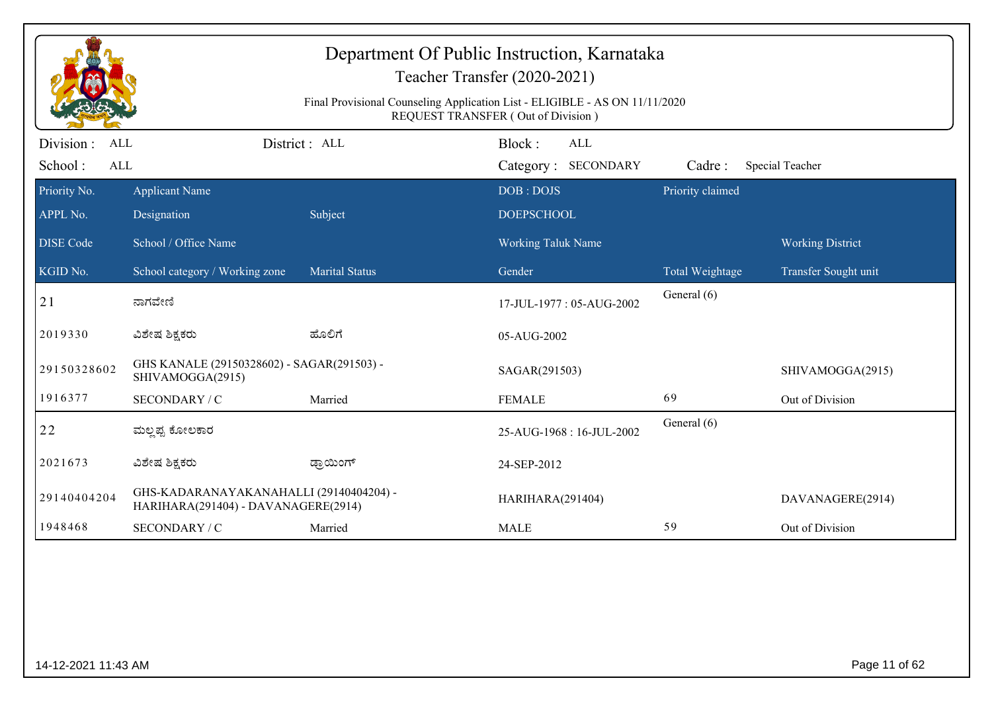|                                            |                                                                                | Final Provisional Counseling Application List - ELIGIBLE - AS ON 11/11/2020 | Department Of Public Instruction, Karnataka<br>Teacher Transfer (2020-2021)<br><b>REQUEST TRANSFER (Out of Division)</b> |                  |                         |
|--------------------------------------------|--------------------------------------------------------------------------------|-----------------------------------------------------------------------------|--------------------------------------------------------------------------------------------------------------------------|------------------|-------------------------|
| Division :<br>ALL<br>School:<br><b>ALL</b> |                                                                                | District : ALL                                                              | Block:<br><b>ALL</b><br>Category: SECONDARY                                                                              | Cadre:           | Special Teacher         |
| Priority No.<br>APPL No.                   | <b>Applicant Name</b><br>Designation                                           | Subject                                                                     | DOB: DOJS<br><b>DOEPSCHOOL</b>                                                                                           | Priority claimed |                         |
| <b>DISE Code</b>                           | School / Office Name                                                           |                                                                             | <b>Working Taluk Name</b>                                                                                                |                  | <b>Working District</b> |
| KGID No.                                   | School category / Working zone                                                 | <b>Marital Status</b>                                                       | Gender                                                                                                                   | Total Weightage  | Transfer Sought unit    |
| 21                                         | ನಾಗವೇಣಿ                                                                        |                                                                             | 17-JUL-1977: 05-AUG-2002                                                                                                 | General (6)      |                         |
| 2019330                                    | ವಿಶೇಷ ಶಿಕ್ಷಕರು                                                                 | ಹೊಲಿಗೆ                                                                      | 05-AUG-2002                                                                                                              |                  |                         |
| 29150328602                                | GHS KANALE (29150328602) - SAGAR(291503) -<br>SHIVAMOGGA(2915)                 |                                                                             | SAGAR(291503)                                                                                                            |                  | SHIVAMOGGA(2915)        |
| 1916377                                    | SECONDARY / C                                                                  | Married                                                                     | <b>FEMALE</b>                                                                                                            | 69               | Out of Division         |
| 22                                         | ಮಲ್ಲಪ್ಪ ಕೋಲಕಾರ                                                                 |                                                                             | 25-AUG-1968: 16-JUL-2002                                                                                                 | General (6)      |                         |
| 2021673                                    | ವಿಶೇಷ ಶಿಕ್ಷಕರು                                                                 | ಡ್ರಾಯಿಂಗ್                                                                   | 24-SEP-2012                                                                                                              |                  |                         |
| 29140404204                                | GHS-KADARANAYAKANAHALLI (29140404204) -<br>HARIHARA(291404) - DAVANAGERE(2914) |                                                                             | HARIHARA(291404)                                                                                                         |                  | DAVANAGERE(2914)        |
| 1948468                                    | SECONDARY / C                                                                  | Married                                                                     | <b>MALE</b>                                                                                                              | 59               | Out of Division         |
|                                            |                                                                                |                                                                             |                                                                                                                          |                  |                         |
| 14-12-2021 11:43 AM                        |                                                                                |                                                                             |                                                                                                                          |                  | Page 11 of 62           |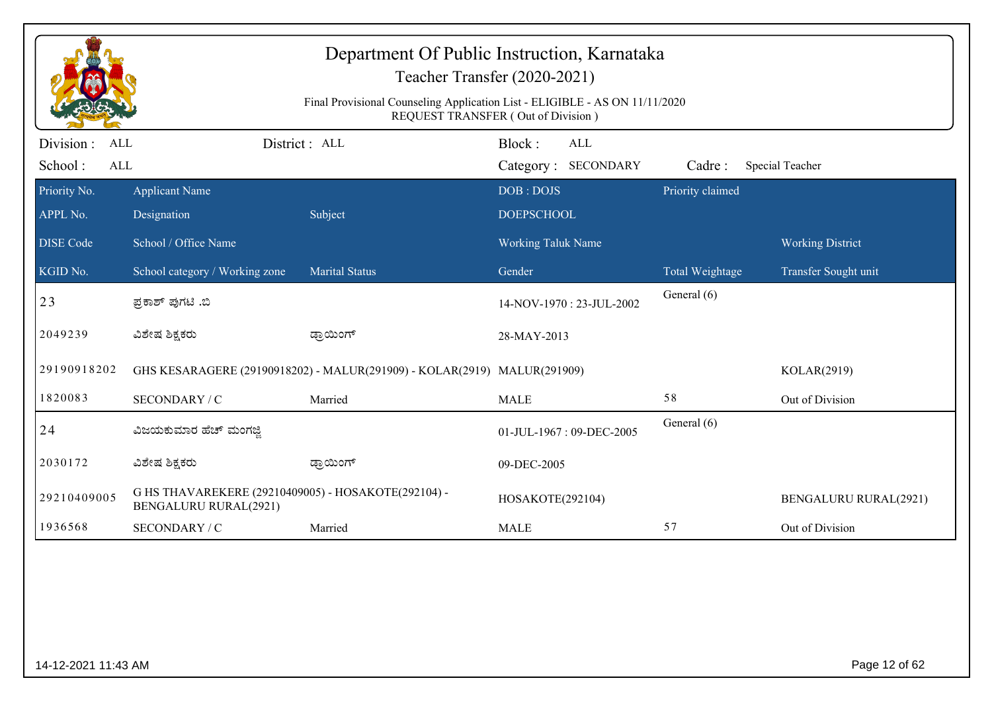|                                                  |                                                                                     | Department Of Public Instruction, Karnataka<br>Teacher Transfer (2020-2021)<br>Final Provisional Counseling Application List - ELIGIBLE - AS ON 11/11/2020 |                           |                            |                  |                              |  |
|--------------------------------------------------|-------------------------------------------------------------------------------------|------------------------------------------------------------------------------------------------------------------------------------------------------------|---------------------------|----------------------------|------------------|------------------------------|--|
|                                                  | <b>REQUEST TRANSFER (Out of Division)</b>                                           |                                                                                                                                                            |                           |                            |                  |                              |  |
| Division:<br><b>ALL</b><br>School:<br><b>ALL</b> |                                                                                     | District : ALL                                                                                                                                             | Block:                    | ALL<br>Category: SECONDARY | Cadre:           | Special Teacher              |  |
| Priority No.                                     | <b>Applicant Name</b>                                                               |                                                                                                                                                            | DOB: DOJS                 |                            | Priority claimed |                              |  |
| APPL No.                                         | Designation                                                                         | Subject                                                                                                                                                    | <b>DOEPSCHOOL</b>         |                            |                  |                              |  |
| <b>DISE Code</b>                                 | School / Office Name                                                                |                                                                                                                                                            | <b>Working Taluk Name</b> |                            |                  | <b>Working District</b>      |  |
| KGID No.                                         | School category / Working zone                                                      | <b>Marital Status</b>                                                                                                                                      | Gender                    |                            | Total Weightage  | Transfer Sought unit         |  |
| 23                                               | ಪ್ರಕಾಶ್ ಪುಗಟಿ .ಬಿ                                                                   |                                                                                                                                                            |                           | 14-NOV-1970: 23-JUL-2002   | General (6)      |                              |  |
| 2049239                                          | ವಿಶೇಷ ಶಿಕ್ಷಕರು                                                                      | ಡ್ರಾಯಿಂಗ್                                                                                                                                                  | 28-MAY-2013               |                            |                  |                              |  |
| 29190918202                                      |                                                                                     | GHS KESARAGERE (29190918202) - MALUR(291909) - KOLAR(2919) MALUR(291909)                                                                                   |                           |                            |                  | KOLAR(2919)                  |  |
| 1820083                                          | SECONDARY / C                                                                       | Married                                                                                                                                                    | <b>MALE</b>               |                            | 58               | Out of Division              |  |
| 24                                               | ವಿಜಯಕುಮಾರ ಹೆಚ್ ಮಂಗಜ್ಜಿ                                                              |                                                                                                                                                            |                           | 01-JUL-1967: 09-DEC-2005   | General (6)      |                              |  |
| 2030172                                          | ವಿಶೇಷ ಶಿಕ್ಷಕರು                                                                      | ಡ್ರಾಯಿಂಗ್                                                                                                                                                  | 09-DEC-2005               |                            |                  |                              |  |
| 29210409005                                      | G HS THAVAREKERE (29210409005) - HOSAKOTE(292104) -<br><b>BENGALURU RURAL(2921)</b> |                                                                                                                                                            | HOSAKOTE(292104)          |                            |                  | <b>BENGALURU RURAL(2921)</b> |  |
| 1936568                                          | SECONDARY / C                                                                       | Married                                                                                                                                                    | <b>MALE</b>               |                            | 57               | Out of Division              |  |
|                                                  |                                                                                     |                                                                                                                                                            |                           |                            |                  |                              |  |
| 14-12-2021 11:43 AM                              |                                                                                     |                                                                                                                                                            |                           |                            |                  | Page 12 of 62                |  |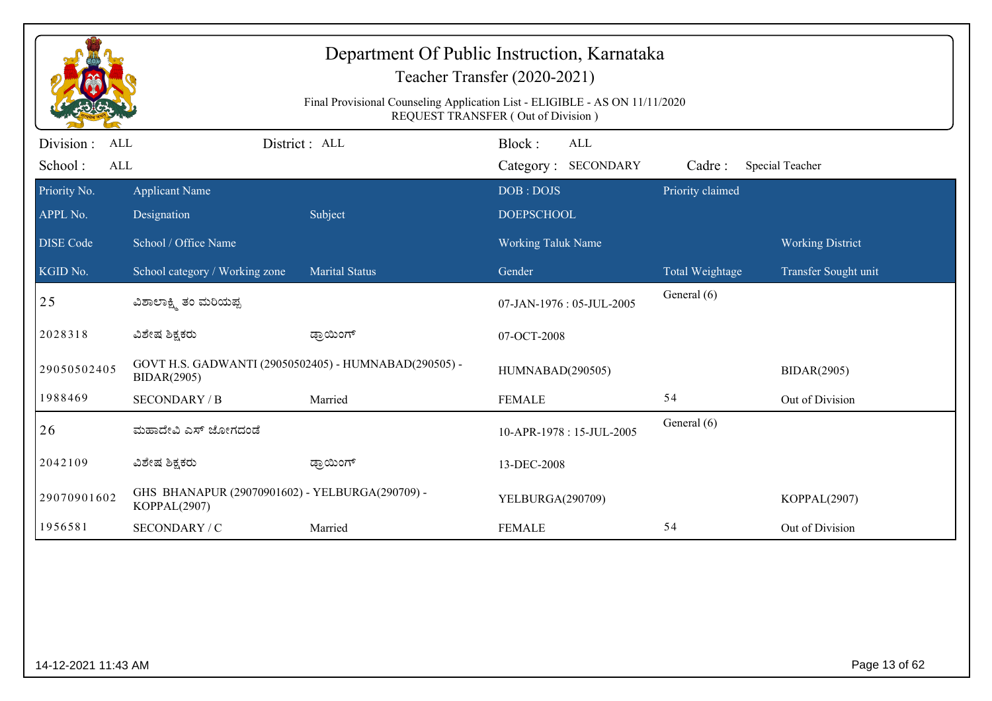| Department Of Public Instruction, Karnataka<br>Teacher Transfer (2020-2021) |                                                                                                                   |                       |                                      |                  |                         |  |  |  |
|-----------------------------------------------------------------------------|-------------------------------------------------------------------------------------------------------------------|-----------------------|--------------------------------------|------------------|-------------------------|--|--|--|
|                                                                             | Final Provisional Counseling Application List - ELIGIBLE - AS ON 11/11/2020<br>REQUEST TRANSFER (Out of Division) |                       |                                      |                  |                         |  |  |  |
| Division :<br>ALL<br>School:<br>ALL                                         | District: ALL                                                                                                     |                       | Block:<br>ALL<br>Category: SECONDARY | Cadre:           | Special Teacher         |  |  |  |
| Priority No.                                                                | <b>Applicant Name</b>                                                                                             |                       | DOB: DOJS                            | Priority claimed |                         |  |  |  |
| APPL No.                                                                    | Designation                                                                                                       | Subject               | <b>DOEPSCHOOL</b>                    |                  |                         |  |  |  |
| <b>DISE</b> Code                                                            | School / Office Name                                                                                              |                       | Working Taluk Name                   |                  | <b>Working District</b> |  |  |  |
| KGID No.                                                                    | School category / Working zone                                                                                    | <b>Marital Status</b> | Gender                               | Total Weightage  | Transfer Sought unit    |  |  |  |
| 25                                                                          | ವಿಶಾಲಾಕ್ಷ್ಮಿ ತಂ ಮರಿಯಪ್ಪ                                                                                           |                       | 07-JAN-1976: 05-JUL-2005             | General (6)      |                         |  |  |  |
| 2028318                                                                     | ವಿಶೇಷ ಶಿಕ್ಷಕರು                                                                                                    | ಡ್ರಾಯಿಂಗ್             | 07-OCT-2008                          |                  |                         |  |  |  |
| 29050502405                                                                 | GOVT H.S. GADWANTI (29050502405) - HUMNABAD(290505) -<br><b>BIDAR(2905)</b>                                       |                       | HUMNABAD(290505)                     |                  | <b>BIDAR(2905)</b>      |  |  |  |
| 1988469                                                                     | <b>SECONDARY / B</b>                                                                                              | Married               | <b>FEMALE</b>                        | 54               | Out of Division         |  |  |  |
| 26                                                                          | ಮಹಾದೇವಿ ಎಸ್ ಜೋಗದಂಡೆ                                                                                               |                       | 10-APR-1978: 15-JUL-2005             | General (6)      |                         |  |  |  |
| 2042109                                                                     | ವಿಶೇಷ ಶಿಕ್ಷಕರು                                                                                                    | ಡ್ರಾಯಿಂಗ್             | 13-DEC-2008                          |                  |                         |  |  |  |
| 29070901602                                                                 | GHS BHANAPUR (29070901602) - YELBURGA(290709) -<br>KOPPAL(2907)                                                   |                       | YELBURGA(290709)                     |                  | KOPPAL(2907)            |  |  |  |
| 1956581                                                                     | SECONDARY / C                                                                                                     | Married               | <b>FEMALE</b>                        | 54               | Out of Division         |  |  |  |
|                                                                             |                                                                                                                   |                       |                                      |                  |                         |  |  |  |
| 14-12-2021 11:43 AM                                                         |                                                                                                                   |                       |                                      |                  | Page 13 of 62           |  |  |  |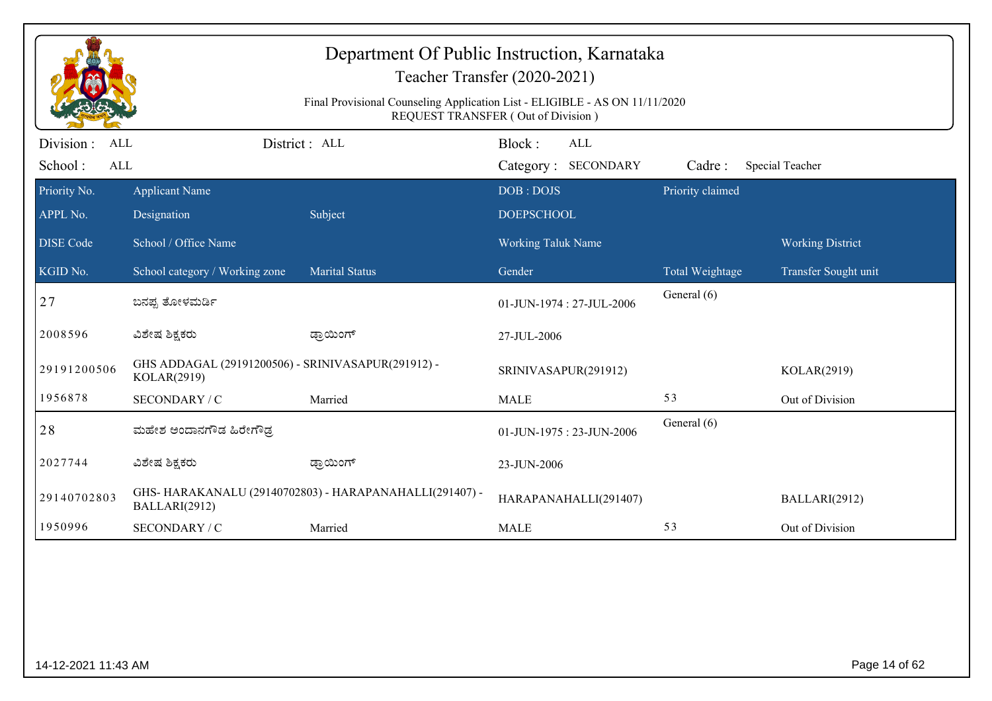| Department Of Public Instruction, Karnataka<br>Teacher Transfer (2020-2021)<br>Final Provisional Counseling Application List - ELIGIBLE - AS ON 11/11/2020<br><b>REQUEST TRANSFER (Out of Division)</b> |                                                                   |                                                        |                                |                  |                         |  |  |
|---------------------------------------------------------------------------------------------------------------------------------------------------------------------------------------------------------|-------------------------------------------------------------------|--------------------------------------------------------|--------------------------------|------------------|-------------------------|--|--|
| Division :<br>ALL                                                                                                                                                                                       |                                                                   | District: ALL                                          | Block:<br><b>ALL</b>           |                  |                         |  |  |
| School:<br>ALL                                                                                                                                                                                          |                                                                   |                                                        | Category: SECONDARY            | Cadre:           | Special Teacher         |  |  |
| Priority No.<br>APPL No.                                                                                                                                                                                | <b>Applicant Name</b><br>Designation                              | Subject                                                | DOB: DOJS<br><b>DOEPSCHOOL</b> | Priority claimed |                         |  |  |
| <b>DISE Code</b>                                                                                                                                                                                        | School / Office Name                                              |                                                        | <b>Working Taluk Name</b>      |                  | <b>Working District</b> |  |  |
| KGID No.                                                                                                                                                                                                | School category / Working zone                                    | <b>Marital Status</b>                                  | Gender                         | Total Weightage  | Transfer Sought unit    |  |  |
| 27                                                                                                                                                                                                      | ಬನಪ್ಪ ತೋಳಮರ್ಡಿ                                                    |                                                        | 01-JUN-1974: 27-JUL-2006       | General (6)      |                         |  |  |
| 2008596                                                                                                                                                                                                 | ವಿಶೇಷ ಶಿಕ್ಷಕರು                                                    | ಡ್ರಾಯಿಂಗ್                                              | 27-JUL-2006                    |                  |                         |  |  |
| 29191200506                                                                                                                                                                                             | GHS ADDAGAL (29191200506) - SRINIVASAPUR(291912) -<br>KOLAR(2919) |                                                        | SRINIVASAPUR(291912)           |                  | KOLAR(2919)             |  |  |
| 1956878                                                                                                                                                                                                 | SECONDARY / C                                                     | Married                                                | <b>MALE</b>                    | 53               | Out of Division         |  |  |
| 28                                                                                                                                                                                                      | ಮಹೇಶ ಅಂದಾನಗೌಡ ಹಿರೇಗೌಡ್ರ                                           |                                                        | 01-JUN-1975: 23-JUN-2006       | General (6)      |                         |  |  |
| 2027744                                                                                                                                                                                                 | ವಿಶೇಷ ಶಿಕ್ಷಕರು                                                    | ಡ್ರಾಯಿಂಗ್                                              | 23-JUN-2006                    |                  |                         |  |  |
| 29140702803                                                                                                                                                                                             | BALLARI(2912)                                                     | GHS-HARAKANALU (29140702803) - HARAPANAHALLI(291407) - | HARAPANAHALLI(291407)          |                  | BALLARI(2912)           |  |  |
| 1950996                                                                                                                                                                                                 | SECONDARY / C                                                     | Married                                                | <b>MALE</b>                    | 53               | Out of Division         |  |  |
|                                                                                                                                                                                                         |                                                                   |                                                        |                                |                  |                         |  |  |
|                                                                                                                                                                                                         | Page 14 of 62<br>14-12-2021 11:43 AM                              |                                                        |                                |                  |                         |  |  |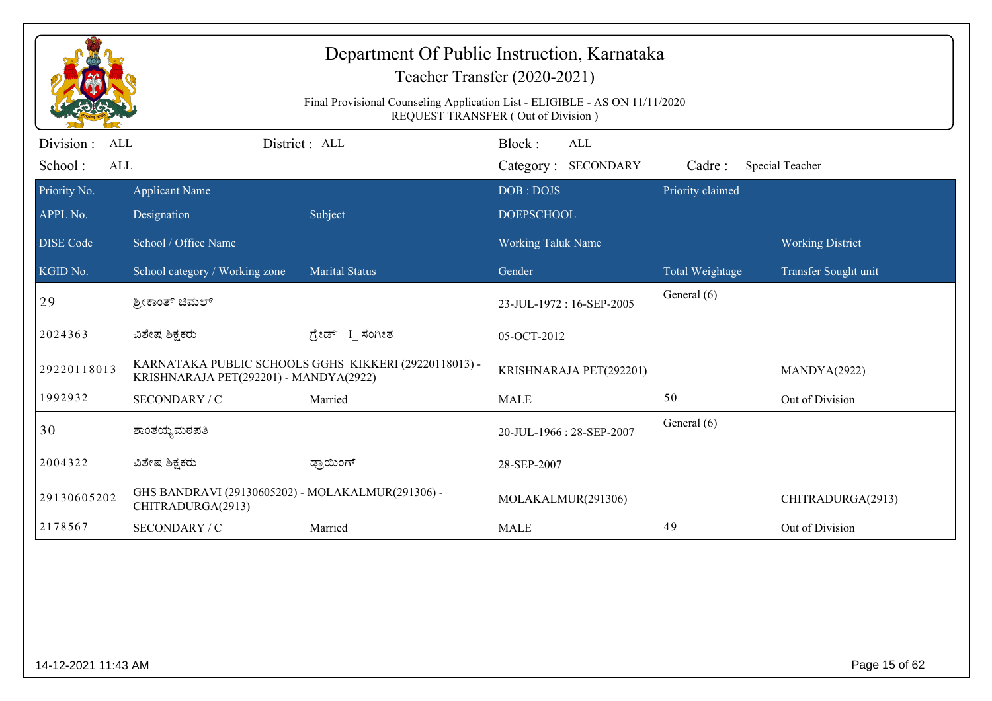| Department Of Public Instruction, Karnataka<br>Teacher Transfer (2020-2021) |                                                                                                                   |                                                       |                                      |                  |                         |  |  |  |
|-----------------------------------------------------------------------------|-------------------------------------------------------------------------------------------------------------------|-------------------------------------------------------|--------------------------------------|------------------|-------------------------|--|--|--|
|                                                                             | Final Provisional Counseling Application List - ELIGIBLE - AS ON 11/11/2020<br>REQUEST TRANSFER (Out of Division) |                                                       |                                      |                  |                         |  |  |  |
| Division :<br>ALL<br>School:<br>ALL                                         |                                                                                                                   | District: ALL                                         | Block:<br>ALL<br>Category: SECONDARY | Cadre:           | Special Teacher         |  |  |  |
| Priority No.<br>APPL No.                                                    | <b>Applicant Name</b><br>Designation                                                                              | Subject                                               | DOB: DOJS<br><b>DOEPSCHOOL</b>       | Priority claimed |                         |  |  |  |
| <b>DISE</b> Code                                                            | School / Office Name                                                                                              |                                                       | <b>Working Taluk Name</b>            |                  | <b>Working District</b> |  |  |  |
| KGID No.                                                                    | School category / Working zone                                                                                    | <b>Marital Status</b>                                 | Gender                               | Total Weightage  | Transfer Sought unit    |  |  |  |
| 29                                                                          | ಶ್ರೀಕಾಂತ್ ಚಿಮಲ್                                                                                                   |                                                       | 23-JUL-1972: 16-SEP-2005             | General (6)      |                         |  |  |  |
| 2024363                                                                     | ವಿಶೇಷ ಶಿಕ್ಷಕರು                                                                                                    | ಗ್ರೇಡ್ I_ಸಂಗೀತ                                        | 05-OCT-2012                          |                  |                         |  |  |  |
| 29220118013                                                                 | KRISHNARAJA PET(292201) - MANDYA(2922)                                                                            | KARNATAKA PUBLIC SCHOOLS GGHS KIKKERI (29220118013) - | KRISHNARAJA PET(292201)              |                  | MANDYA(2922)            |  |  |  |
| 1992932                                                                     | SECONDARY / C                                                                                                     | Married                                               | <b>MALE</b>                          | 50               | Out of Division         |  |  |  |
| 30                                                                          | ಶಾಂತಯ್ಯಮಠಪತಿ                                                                                                      |                                                       | 20-JUL-1966: 28-SEP-2007             | General (6)      |                         |  |  |  |
| 2004322                                                                     | ವಿಶೇಷ ಶಿಕ್ಷಕರು                                                                                                    | ಡ್ರಾಯಿಂಗ್                                             | 28-SEP-2007                          |                  |                         |  |  |  |
| 29130605202                                                                 | GHS BANDRAVI (29130605202) - MOLAKALMUR(291306) -<br>CHITRADURGA(2913)                                            |                                                       | MOLAKALMUR(291306)                   |                  | CHITRADURGA(2913)       |  |  |  |
| 2178567                                                                     | SECONDARY / C                                                                                                     | Married                                               | <b>MALE</b>                          | 49               | Out of Division         |  |  |  |
|                                                                             |                                                                                                                   |                                                       |                                      |                  |                         |  |  |  |
|                                                                             |                                                                                                                   |                                                       |                                      |                  |                         |  |  |  |
|                                                                             |                                                                                                                   |                                                       |                                      |                  |                         |  |  |  |
| 14-12-2021 11:43 AM                                                         |                                                                                                                   |                                                       |                                      |                  | Page 15 of 62           |  |  |  |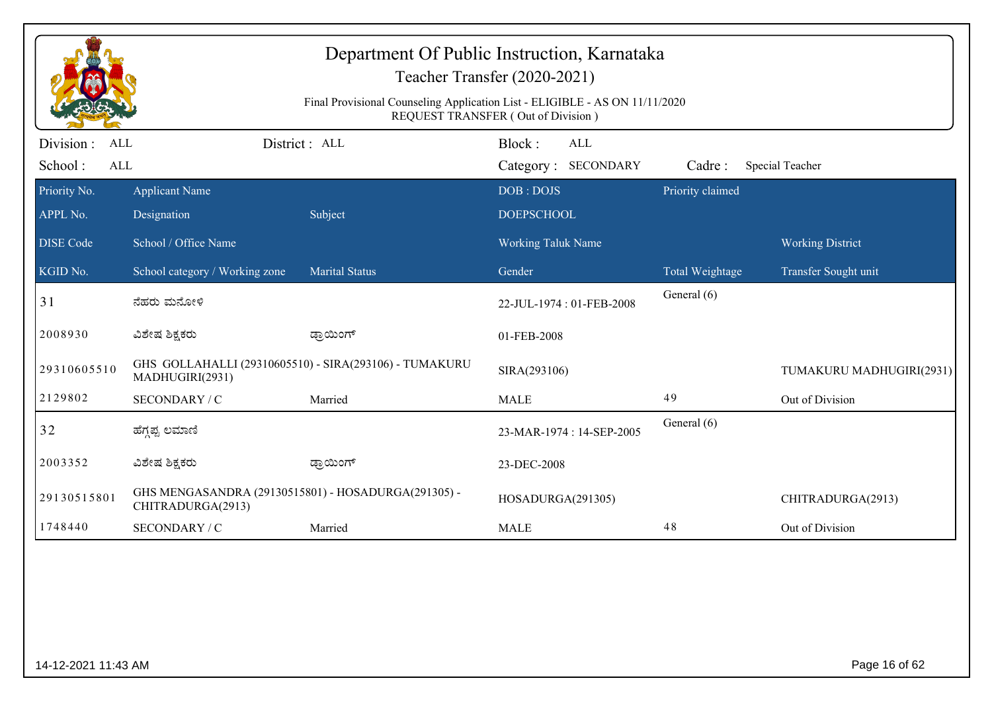|                                     |                                                                                                                          |                                                        | Department Of Public Instruction, Karnataka<br>Teacher Transfer (2020-2021) |                  |                          |  |  |  |
|-------------------------------------|--------------------------------------------------------------------------------------------------------------------------|--------------------------------------------------------|-----------------------------------------------------------------------------|------------------|--------------------------|--|--|--|
|                                     | Final Provisional Counseling Application List - ELIGIBLE - AS ON 11/11/2020<br><b>REQUEST TRANSFER (Out of Division)</b> |                                                        |                                                                             |                  |                          |  |  |  |
| Division :<br>ALL<br>School:<br>ALL |                                                                                                                          | District : ALL                                         | Block:<br>ALL<br>Category: SECONDARY                                        | Cadre:           | Special Teacher          |  |  |  |
| Priority No.<br>APPL No.            | <b>Applicant Name</b><br>Designation                                                                                     | Subject                                                | DOB: DOJS<br><b>DOEPSCHOOL</b>                                              | Priority claimed |                          |  |  |  |
| <b>DISE</b> Code                    | School / Office Name                                                                                                     |                                                        | Working Taluk Name                                                          |                  | <b>Working District</b>  |  |  |  |
| KGID No.                            | School category / Working zone                                                                                           | <b>Marital Status</b>                                  | Gender                                                                      | Total Weightage  | Transfer Sought unit     |  |  |  |
| 31                                  | ನೆಹರು ಮನೋಳಿ                                                                                                              |                                                        | 22-JUL-1974: 01-FEB-2008                                                    | General (6)      |                          |  |  |  |
| 2008930                             | ವಿಶೇಷ ಶಿಕ್ಷಕರು                                                                                                           | ಡ್ರಾಯಿಂಗ್                                              | 01-FEB-2008                                                                 |                  |                          |  |  |  |
| 29310605510                         | MADHUGIRI(2931)                                                                                                          | GHS GOLLAHALLI (29310605510) - SIRA(293106) - TUMAKURU | SIRA(293106)                                                                |                  | TUMAKURU MADHUGIRI(2931) |  |  |  |
| 2129802                             | SECONDARY / C                                                                                                            | Married                                                | <b>MALE</b>                                                                 | 49               | Out of Division          |  |  |  |
| 32                                  | ಹೆಗ್ಗಪ್ಪ ಲಮಾಣಿ                                                                                                           |                                                        | 23-MAR-1974: 14-SEP-2005                                                    | General (6)      |                          |  |  |  |
| 2003352                             | ವಿಶೇಷ ಶಿಕ್ಷಕರು                                                                                                           | ಡ್ರಾಯಿಂಗ್                                              | 23-DEC-2008                                                                 |                  |                          |  |  |  |
| 29130515801                         | GHS MENGASANDRA (29130515801) - HOSADURGA(291305) -<br>CHITRADURGA(2913)                                                 |                                                        | HOSADURGA(291305)                                                           |                  | CHITRADURGA(2913)        |  |  |  |
| 1748440                             | SECONDARY / C                                                                                                            | Married                                                | <b>MALE</b>                                                                 | 48               | Out of Division          |  |  |  |
|                                     |                                                                                                                          |                                                        |                                                                             |                  |                          |  |  |  |
| 14-12-2021 11:43 AM                 |                                                                                                                          |                                                        |                                                                             |                  | Page 16 of 62            |  |  |  |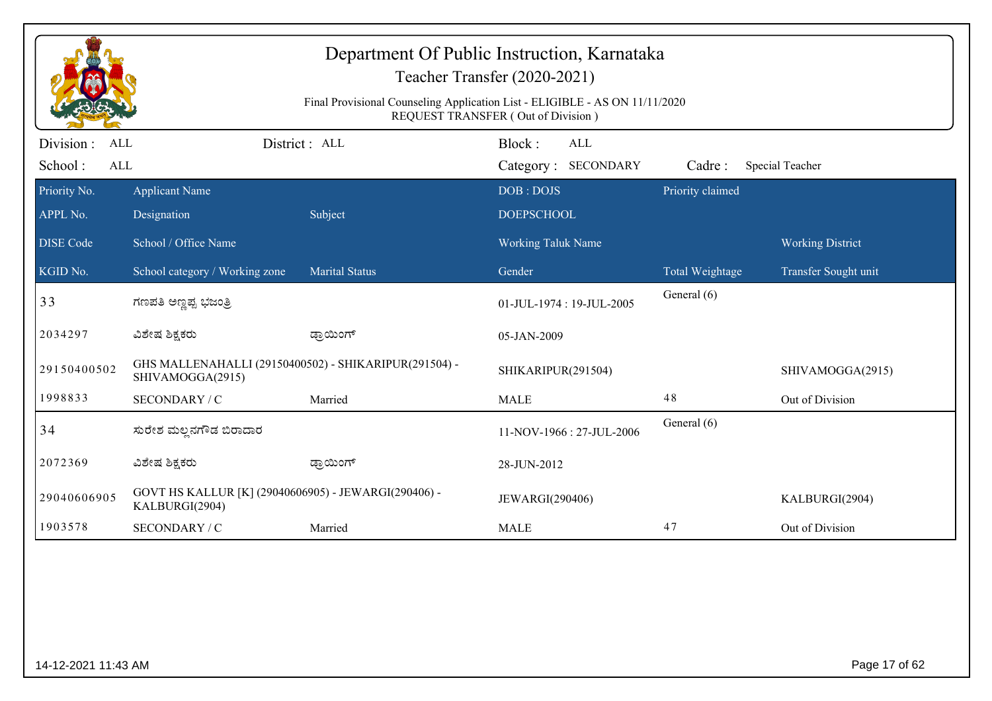| Final Provisional Counseling Application List - ELIGIBLE - AS ON 11/11/2020<br>REQUEST TRANSFER (Out of Division) |                                                                           |                       |                                             |                  |                         |  |
|-------------------------------------------------------------------------------------------------------------------|---------------------------------------------------------------------------|-----------------------|---------------------------------------------|------------------|-------------------------|--|
| Division :<br>ALL<br>School:<br>ALL                                                                               |                                                                           | District : ALL        | Block:<br><b>ALL</b><br>Category: SECONDARY | Cadre:           | Special Teacher         |  |
| Priority No.                                                                                                      | <b>Applicant Name</b>                                                     |                       | DOB: DOJS                                   | Priority claimed |                         |  |
| APPL No.                                                                                                          | Designation                                                               | Subject               | <b>DOEPSCHOOL</b>                           |                  |                         |  |
| <b>DISE Code</b>                                                                                                  | School / Office Name                                                      |                       | Working Taluk Name                          |                  | <b>Working District</b> |  |
| KGID No.                                                                                                          | School category / Working zone                                            | <b>Marital Status</b> | Gender                                      | Total Weightage  | Transfer Sought unit    |  |
| 33                                                                                                                | ಗಣಪತಿ ಅಣ್ಣಪ್ಪ ಭಜಂತ್ರಿ                                                     |                       | 01-JUL-1974: 19-JUL-2005                    | General (6)      |                         |  |
| 2034297                                                                                                           | ವಿಶೇಷ ಶಿಕ್ಷಕರು                                                            | ಡ್ರಾಯಿಂಗ್             | 05-JAN-2009                                 |                  |                         |  |
| 29150400502                                                                                                       | GHS MALLENAHALLI (29150400502) - SHIKARIPUR(291504) -<br>SHIVAMOGGA(2915) |                       | SHIKARIPUR(291504)                          |                  | SHIVAMOGGA(2915)        |  |
| 1998833                                                                                                           | SECONDARY / C                                                             | Married               | <b>MALE</b>                                 | 48               | Out of Division         |  |
| 34                                                                                                                | ಸುರೇಶ ಮಲ್ಲನಗೌಡ ಬಿರಾದಾರ                                                    |                       | 11-NOV-1966: 27-JUL-2006                    | General (6)      |                         |  |
| 2072369                                                                                                           | ವಿಶೇಷ ಶಿಕ್ಷಕರು                                                            | ಡ್ರಾಯಿಂಗ್             | 28-JUN-2012                                 |                  |                         |  |
| 29040606905                                                                                                       | GOVT HS KALLUR [K] (29040606905) - JEWARGI(290406) -<br>KALBURGI(2904)    |                       | JEWARGI(290406)                             |                  | KALBURGI(2904)          |  |
| 1903578                                                                                                           | SECONDARY / C                                                             | Married               | <b>MALE</b>                                 | 47               | Out of Division         |  |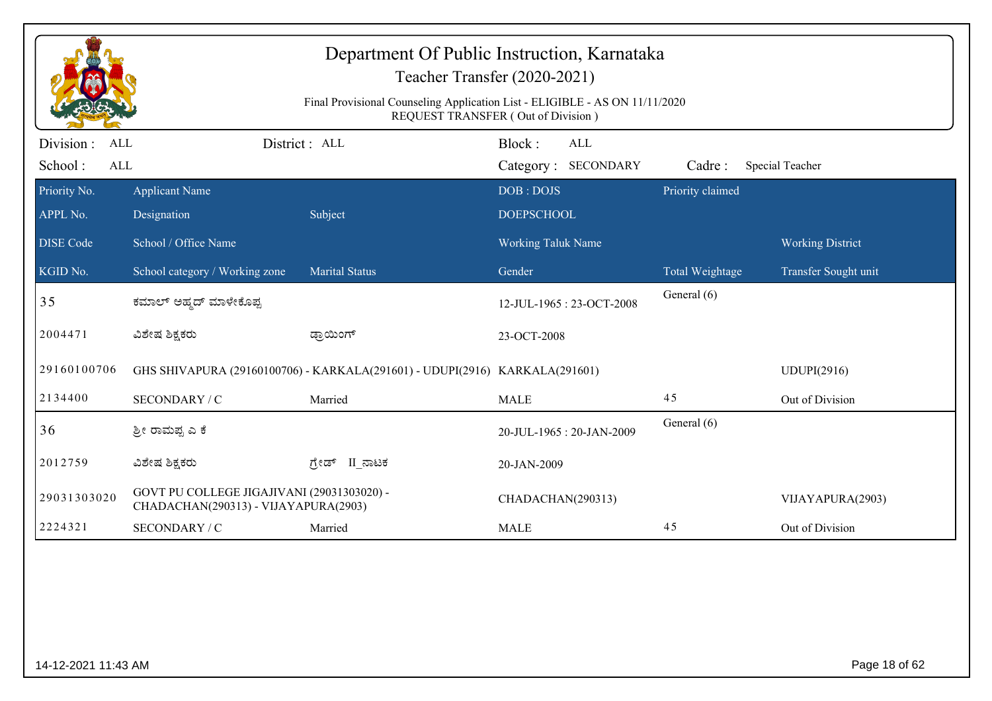|                                     |                                                                                    | Department Of Public Instruction, Karnataka<br>Final Provisional Counseling Application List - ELIGIBLE - AS ON 11/11/2020 | Teacher Transfer (2020-2021)                |                  |                         |
|-------------------------------------|------------------------------------------------------------------------------------|----------------------------------------------------------------------------------------------------------------------------|---------------------------------------------|------------------|-------------------------|
|                                     |                                                                                    |                                                                                                                            | REQUEST TRANSFER (Out of Division)          |                  |                         |
| Division :<br>ALL<br>School:<br>ALL |                                                                                    | District: ALL                                                                                                              | Block:<br><b>ALL</b><br>Category: SECONDARY | Cadre:           | Special Teacher         |
| Priority No.                        | <b>Applicant Name</b>                                                              |                                                                                                                            | DOB: DOJS                                   | Priority claimed |                         |
| APPL No.                            | Designation                                                                        | Subject                                                                                                                    | <b>DOEPSCHOOL</b>                           |                  |                         |
| <b>DISE</b> Code                    | School / Office Name                                                               |                                                                                                                            | Working Taluk Name                          |                  | <b>Working District</b> |
| KGID No.                            | School category / Working zone                                                     | <b>Marital Status</b>                                                                                                      | Gender                                      | Total Weightage  | Transfer Sought unit    |
| 35                                  | ಕಮಾಲ್ ಅಹ್ಮದ್ ಮಾಳೇಕೊಪ್ಪ                                                             |                                                                                                                            | 12-JUL-1965: 23-OCT-2008                    | General (6)      |                         |
| 2004471                             | ವಿಶೇಷ ಶಿಕ್ಷಕರು                                                                     | ಡ್ರಾಯಿಂಗ್                                                                                                                  | 23-OCT-2008                                 |                  |                         |
| 29160100706                         |                                                                                    | GHS SHIVAPURA (29160100706) - KARKALA(291601) - UDUPI(2916) KARKALA(291601)                                                |                                             |                  | UDUPI(2916)             |
| 2134400                             | SECONDARY / C                                                                      | Married                                                                                                                    | <b>MALE</b>                                 | 45               | Out of Division         |
| 36                                  | ಶ್ರೀ ರಾಮಪ್ಪ ಎ ಕೆ                                                                   |                                                                                                                            | 20-JUL-1965: 20-JAN-2009                    | General (6)      |                         |
| 2012759                             | ವಿಶೇಷ ಶಿಕ್ಷಕರು                                                                     | II ನಾಟಕ<br>ಗ್ರೇಡ್                                                                                                          | 20-JAN-2009                                 |                  |                         |
| 29031303020                         | GOVT PU COLLEGE JIGAJIVANI (29031303020) -<br>CHADACHAN(290313) - VIJAYAPURA(2903) |                                                                                                                            | CHADACHAN(290313)                           |                  | VIJAYAPURA(2903)        |
| 2224321                             | SECONDARY / C                                                                      | Married                                                                                                                    | <b>MALE</b>                                 | 45               | Out of Division         |
|                                     |                                                                                    |                                                                                                                            |                                             |                  |                         |
| 14-12-2021 11:43 AM                 |                                                                                    |                                                                                                                            |                                             |                  | Page 18 of 62           |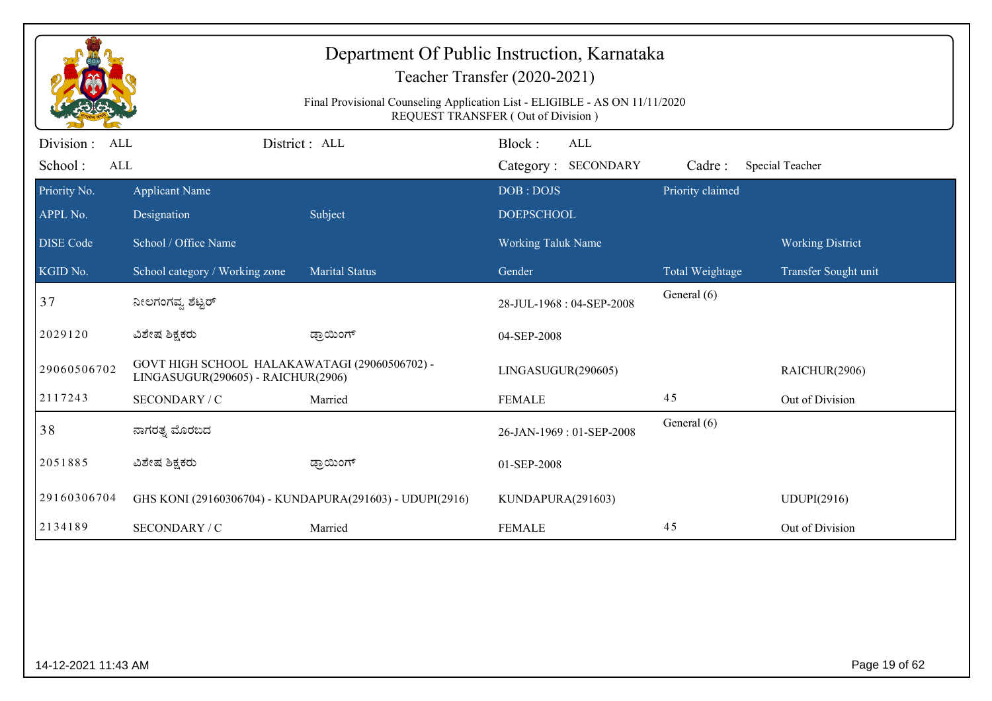| Department Of Public Instruction, Karnataka<br>Teacher Transfer (2020-2021)<br>Final Provisional Counseling Application List - ELIGIBLE - AS ON 11/11/2020 |                                                                                     |                                                          |                          |                  |                         |  |  |  |  |
|------------------------------------------------------------------------------------------------------------------------------------------------------------|-------------------------------------------------------------------------------------|----------------------------------------------------------|--------------------------|------------------|-------------------------|--|--|--|--|
|                                                                                                                                                            | <b>REQUEST TRANSFER (Out of Division)</b>                                           |                                                          |                          |                  |                         |  |  |  |  |
| Division :<br>ALL                                                                                                                                          |                                                                                     | District : ALL                                           | Block:<br>ALL            |                  |                         |  |  |  |  |
| School:<br>ALL                                                                                                                                             |                                                                                     |                                                          | Category: SECONDARY      | Cadre:           | Special Teacher         |  |  |  |  |
| Priority No.                                                                                                                                               | <b>Applicant Name</b>                                                               |                                                          | DOB: DOJS                | Priority claimed |                         |  |  |  |  |
| APPL No.                                                                                                                                                   | Designation                                                                         | Subject                                                  | <b>DOEPSCHOOL</b>        |                  |                         |  |  |  |  |
| <b>DISE</b> Code                                                                                                                                           | School / Office Name                                                                |                                                          | Working Taluk Name       |                  | <b>Working District</b> |  |  |  |  |
| KGID No.                                                                                                                                                   | School category / Working zone                                                      | <b>Marital Status</b>                                    | Gender                   | Total Weightage  | Transfer Sought unit    |  |  |  |  |
| 37                                                                                                                                                         | ನೀಲಗಂಗವ್ನ ಶೆಟ್ಟರ್                                                                   |                                                          | 28-JUL-1968: 04-SEP-2008 | General (6)      |                         |  |  |  |  |
| 2029120                                                                                                                                                    | ವಿಶೇಷ ಶಿಕ್ಷಕರು                                                                      | ಡ್ರಾಯಿಂಗ್                                                | 04-SEP-2008              |                  |                         |  |  |  |  |
| 29060506702                                                                                                                                                | GOVT HIGH SCHOOL HALAKAWATAGI (29060506702) -<br>LINGASUGUR(290605) - RAICHUR(2906) |                                                          | LINGASUGUR(290605)       |                  | RAICHUR(2906)           |  |  |  |  |
| 2117243                                                                                                                                                    | SECONDARY / C                                                                       | Married                                                  | <b>FEMALE</b>            | 45               | Out of Division         |  |  |  |  |
| 38                                                                                                                                                         | ನಾಗರತ್ನ ಮೊರಬದ                                                                       |                                                          | 26-JAN-1969: 01-SEP-2008 | General (6)      |                         |  |  |  |  |
| 2051885                                                                                                                                                    | ವಿಶೇಷ ಶಿಕ್ಷಕರು                                                                      | ಡ್ರಾಯಿಂಗ್                                                | 01-SEP-2008              |                  |                         |  |  |  |  |
| 29160306704                                                                                                                                                |                                                                                     | GHS KONI (29160306704) - KUNDAPURA(291603) - UDUPI(2916) | KUNDAPURA(291603)        |                  | <b>UDUPI(2916)</b>      |  |  |  |  |
| 2134189                                                                                                                                                    | SECONDARY / C                                                                       | Married                                                  | <b>FEMALE</b>            | 45               | Out of Division         |  |  |  |  |
|                                                                                                                                                            |                                                                                     |                                                          |                          |                  |                         |  |  |  |  |
|                                                                                                                                                            | Page 19 of 62<br>14-12-2021 11:43 AM                                                |                                                          |                          |                  |                         |  |  |  |  |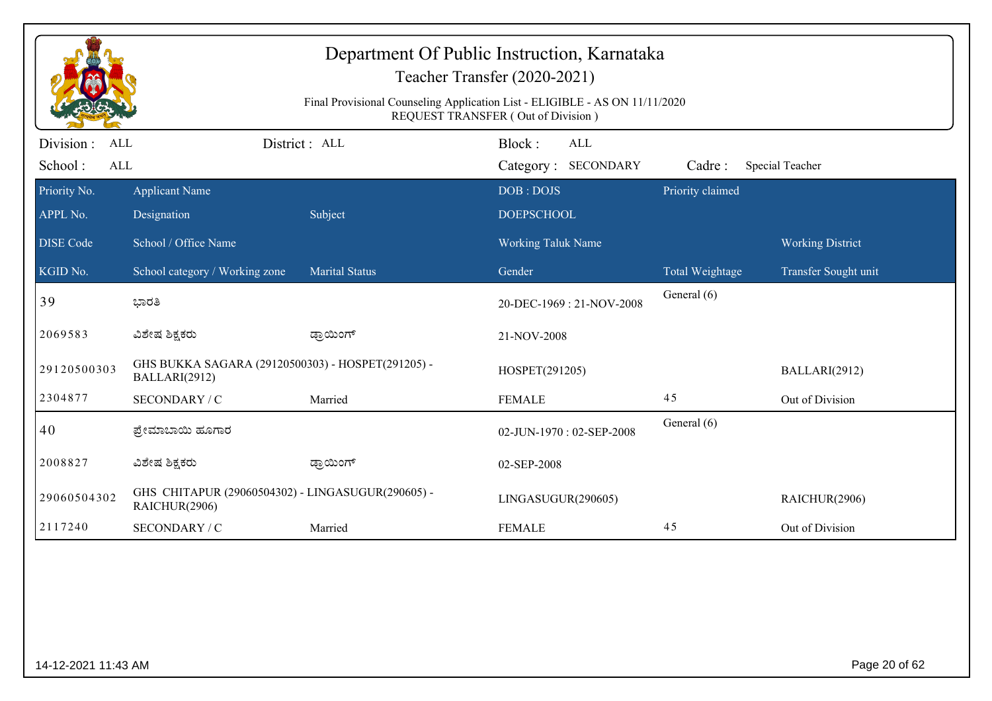| Department Of Public Instruction, Karnataka<br>Teacher Transfer (2020-2021)<br>Final Provisional Counseling Application List - ELIGIBLE - AS ON 11/11/2020<br>REQUEST TRANSFER (Out of Division) |                                                                    |                       |                                             |                        |                         |  |  |
|--------------------------------------------------------------------------------------------------------------------------------------------------------------------------------------------------|--------------------------------------------------------------------|-----------------------|---------------------------------------------|------------------------|-------------------------|--|--|
| Division:<br><b>ALL</b><br>School:<br><b>ALL</b>                                                                                                                                                 |                                                                    | District: ALL         | Block:<br><b>ALL</b><br>Category: SECONDARY | Cadre:                 | Special Teacher         |  |  |
| Priority No.                                                                                                                                                                                     | <b>Applicant Name</b>                                              |                       | DOB: DOJS                                   | Priority claimed       |                         |  |  |
| APPL No.                                                                                                                                                                                         | Designation                                                        | Subject               | <b>DOEPSCHOOL</b>                           |                        |                         |  |  |
| <b>DISE Code</b>                                                                                                                                                                                 | School / Office Name                                               |                       | Working Taluk Name                          |                        | <b>Working District</b> |  |  |
| KGID No.                                                                                                                                                                                         | School category / Working zone                                     | <b>Marital Status</b> | Gender                                      | <b>Total Weightage</b> | Transfer Sought unit    |  |  |
| 39                                                                                                                                                                                               | ಭಾರತಿ                                                              |                       | 20-DEC-1969: 21-NOV-2008                    | General (6)            |                         |  |  |
| 2069583                                                                                                                                                                                          | ವಿಶೇಷ ಶಿಕ್ಷಕರು                                                     | ಡ್ರಾಯಿಂಗ್             | 21-NOV-2008                                 |                        |                         |  |  |
| 29120500303                                                                                                                                                                                      | GHS BUKKA SAGARA (29120500303) - HOSPET(291205) -<br>BALLARI(2912) |                       | HOSPET(291205)                              |                        | BALLARI(2912)           |  |  |
| 2304877                                                                                                                                                                                          | SECONDARY / C                                                      | Married               | <b>FEMALE</b>                               | 45                     | Out of Division         |  |  |
| 40                                                                                                                                                                                               | ಪ್ರೇಮಾಬಾಯಿ ಹೂಗಾರ                                                   |                       | 02-JUN-1970: 02-SEP-2008                    | General (6)            |                         |  |  |
| 2008827                                                                                                                                                                                          | ವಿಶೇಷ ಶಿಕ್ಷಕರು                                                     | ಡ್ರಾಯಿಂಗ್             | 02-SEP-2008                                 |                        |                         |  |  |
| 29060504302                                                                                                                                                                                      | GHS CHITAPUR (29060504302) - LINGASUGUR(290605) -<br>RAICHUR(2906) |                       | LINGASUGUR(290605)                          |                        | RAICHUR(2906)           |  |  |
| 2117240                                                                                                                                                                                          | SECONDARY / C                                                      | Married               | <b>FEMALE</b>                               | 45                     | Out of Division         |  |  |
|                                                                                                                                                                                                  |                                                                    |                       |                                             |                        |                         |  |  |
| Page 20 of 62<br>14-12-2021 11:43 AM                                                                                                                                                             |                                                                    |                       |                                             |                        |                         |  |  |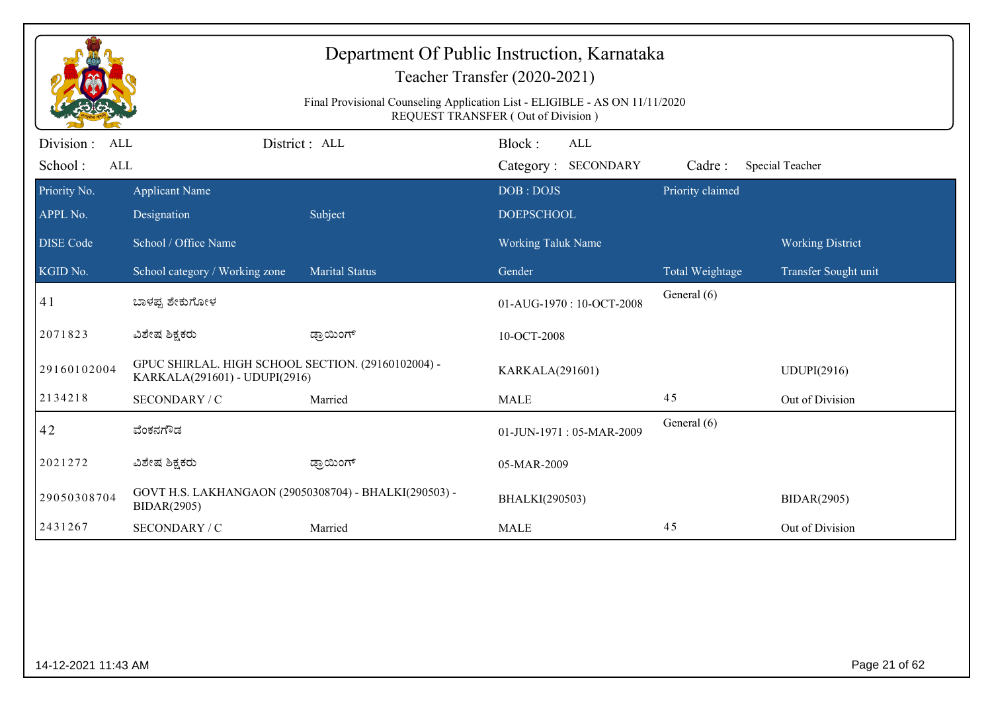| Department Of Public Instruction, Karnataka<br>Teacher Transfer (2020-2021)<br>Final Provisional Counseling Application List - ELIGIBLE - AS ON 11/11/2020<br>REQUEST TRANSFER (Out of Division) |                                                                                     |                       |                                             |                  |                                                 |  |  |
|--------------------------------------------------------------------------------------------------------------------------------------------------------------------------------------------------|-------------------------------------------------------------------------------------|-----------------------|---------------------------------------------|------------------|-------------------------------------------------|--|--|
| Division :<br>ALL<br>School:<br>ALL                                                                                                                                                              |                                                                                     | District: ALL         | Block:<br><b>ALL</b><br>Category: SECONDARY | Cadre:           | Special Teacher                                 |  |  |
| Priority No.<br>APPL No.                                                                                                                                                                         | <b>Applicant Name</b><br>Designation                                                | Subject               | DOB: DOJS<br><b>DOEPSCHOOL</b>              | Priority claimed |                                                 |  |  |
| <b>DISE Code</b><br>KGID No.                                                                                                                                                                     | School / Office Name<br>School category / Working zone                              | <b>Marital Status</b> | Working Taluk Name<br>Gender                | Total Weightage  | <b>Working District</b><br>Transfer Sought unit |  |  |
| 41                                                                                                                                                                                               | ಬಾಳಪ್ಪ ಶೇಕುಗೋಳ                                                                      |                       | 01-AUG-1970: 10-OCT-2008                    | General (6)      |                                                 |  |  |
| 2071823                                                                                                                                                                                          | ವಿಶೇಷ ಶಿಕ್ಷಕರು                                                                      | ಡ್ರಾಯಿಂಗ್             | 10-OCT-2008                                 |                  |                                                 |  |  |
| 29160102004                                                                                                                                                                                      | GPUC SHIRLAL. HIGH SCHOOL SECTION. (29160102004) -<br>KARKALA(291601) - UDUPI(2916) |                       | KARKALA(291601)                             |                  | <b>UDUPI(2916)</b>                              |  |  |
| 2134218                                                                                                                                                                                          | SECONDARY / C                                                                       | Married               | <b>MALE</b>                                 | 45               | Out of Division                                 |  |  |
| 42                                                                                                                                                                                               | ವೆಂಕನಗೌಡ                                                                            |                       | 01-JUN-1971: 05-MAR-2009                    | General (6)      |                                                 |  |  |
| 2021272                                                                                                                                                                                          | ವಿಶೇಷ ಶಿಕ್ಷಕರು                                                                      | ಡ್ರಾಯಿಂಗ್             | 05-MAR-2009                                 |                  |                                                 |  |  |
| 29050308704                                                                                                                                                                                      | GOVT H.S. LAKHANGAON (29050308704) - BHALKI(290503) -<br>BIDAR(2905)                |                       | BHALKI(290503)                              |                  | <b>BIDAR(2905)</b>                              |  |  |
| 2431267                                                                                                                                                                                          | SECONDARY / C                                                                       | Married               | <b>MALE</b>                                 | 45               | Out of Division                                 |  |  |
|                                                                                                                                                                                                  |                                                                                     |                       |                                             |                  |                                                 |  |  |
|                                                                                                                                                                                                  | Page 21 of 62<br>14-12-2021 11:43 AM                                                |                       |                                             |                  |                                                 |  |  |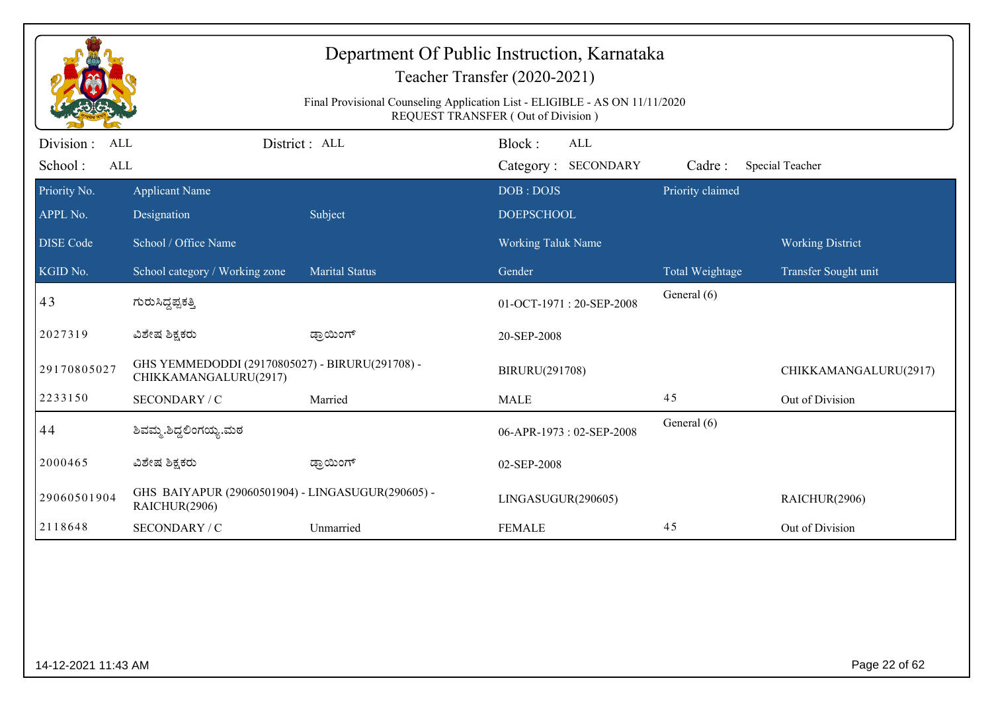| Department Of Public Instruction, Karnataka<br>Teacher Transfer (2020-2021)<br>Final Provisional Counseling Application List - ELIGIBLE - AS ON 11/11/2020 |                                                                          |                       |                                                     |                            |                         |  |  |
|------------------------------------------------------------------------------------------------------------------------------------------------------------|--------------------------------------------------------------------------|-----------------------|-----------------------------------------------------|----------------------------|-------------------------|--|--|
| Division :<br>ALL                                                                                                                                          |                                                                          | District : ALL        | REQUEST TRANSFER (Out of Division)<br>Block:<br>ALL |                            |                         |  |  |
| School:<br><b>ALL</b><br>Priority No.                                                                                                                      | <b>Applicant Name</b>                                                    |                       | <b>SECONDARY</b><br>Category:<br>DOB: DOJS          | Cadre:<br>Priority claimed | Special Teacher         |  |  |
| APPL No.                                                                                                                                                   | Designation                                                              | Subject               | <b>DOEPSCHOOL</b>                                   |                            |                         |  |  |
| <b>DISE</b> Code                                                                                                                                           | School / Office Name                                                     |                       | Working Taluk Name                                  |                            | <b>Working District</b> |  |  |
| KGID No.                                                                                                                                                   | School category / Working zone                                           | <b>Marital Status</b> | Gender                                              | <b>Total Weightage</b>     | Transfer Sought unit    |  |  |
| 43                                                                                                                                                         | ಗುರುಸಿದ್ದಪ್ಪಕತ್ತಿ                                                        |                       | 01-OCT-1971: 20-SEP-2008                            | General (6)                |                         |  |  |
| 2027319                                                                                                                                                    | ವಿಶೇಷ ಶಿಕ್ಷಕರು                                                           | ಡ್ರಾಯಿಂಗ್             | 20-SEP-2008                                         |                            |                         |  |  |
| 29170805027                                                                                                                                                | GHS YEMMEDODDI (29170805027) - BIRURU(291708) -<br>CHIKKAMANGALURU(2917) |                       | BIRURU(291708)                                      |                            | CHIKKAMANGALURU(2917)   |  |  |
| 2233150                                                                                                                                                    | SECONDARY / C                                                            | Married               | <b>MALE</b>                                         | 45                         | Out of Division         |  |  |
| 44                                                                                                                                                         | ಶಿವಮ್ಮ.ಶಿದ್ಧಲಿಂಗಯ್ಯ.ಮಠ                                                   |                       | 06-APR-1973: 02-SEP-2008                            | General (6)                |                         |  |  |
| 2000465                                                                                                                                                    | ವಿಶೇಷ ಶಿಕ್ಷಕರು                                                           | ಡ್ರಾಯಿಂಗ್             | 02-SEP-2008                                         |                            |                         |  |  |
| 29060501904                                                                                                                                                | GHS BAIYAPUR (29060501904) - LINGASUGUR(290605) -<br>RAICHUR(2906)       |                       | LINGASUGUR(290605)                                  |                            | RAICHUR(2906)           |  |  |
| 2118648                                                                                                                                                    | SECONDARY / C                                                            | Unmarried             | <b>FEMALE</b>                                       | 45                         | Out of Division         |  |  |
|                                                                                                                                                            |                                                                          |                       |                                                     |                            |                         |  |  |
| 14-12-2021 11:43 AM                                                                                                                                        |                                                                          |                       |                                                     |                            | Page 22 of 62           |  |  |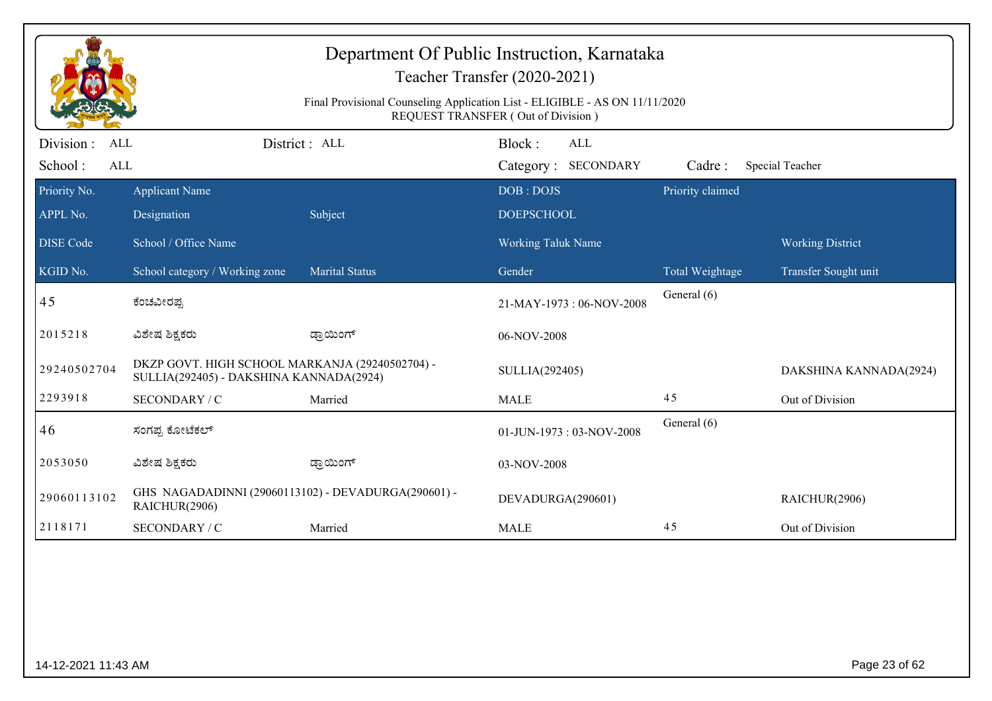| Department Of Public Instruction, Karnataka<br>Teacher Transfer (2020-2021)<br>Final Provisional Counseling Application List - ELIGIBLE - AS ON 11/11/2020<br>REQUEST TRANSFER (Out of Division) |                                                                                            |                       |                                             |                  |                         |  |  |
|--------------------------------------------------------------------------------------------------------------------------------------------------------------------------------------------------|--------------------------------------------------------------------------------------------|-----------------------|---------------------------------------------|------------------|-------------------------|--|--|
| Division:<br><b>ALL</b><br>School:<br><b>ALL</b>                                                                                                                                                 |                                                                                            | District: ALL         | Block:<br><b>ALL</b><br>Category: SECONDARY | Cadre:           | Special Teacher         |  |  |
| Priority No.<br>APPL No.                                                                                                                                                                         | <b>Applicant Name</b><br>Designation                                                       | Subject               | DOB: DOJS<br><b>DOEPSCHOOL</b>              | Priority claimed |                         |  |  |
| <b>DISE Code</b>                                                                                                                                                                                 | School / Office Name                                                                       |                       | Working Taluk Name                          |                  | <b>Working District</b> |  |  |
| KGID No.                                                                                                                                                                                         | School category / Working zone                                                             | <b>Marital Status</b> | Gender                                      | Total Weightage  | Transfer Sought unit    |  |  |
| 45                                                                                                                                                                                               | ಕೆಂಚವೀರಪ್ಪ                                                                                 |                       | 21-MAY-1973: 06-NOV-2008                    | General (6)      |                         |  |  |
| 2015218                                                                                                                                                                                          | ವಿಶೇಷ ಶಿಕ್ಷಕರು                                                                             | ಡ್ರಾಯಿಂಗ್             | 06-NOV-2008                                 |                  |                         |  |  |
| 29240502704                                                                                                                                                                                      | DKZP GOVT. HIGH SCHOOL MARKANJA (29240502704) -<br>SULLIA(292405) - DAKSHINA KANNADA(2924) |                       | SULLIA(292405)                              |                  | DAKSHINA KANNADA(2924)  |  |  |
| 2293918                                                                                                                                                                                          | SECONDARY / C                                                                              | Married               | <b>MALE</b>                                 | 45               | Out of Division         |  |  |
| 46                                                                                                                                                                                               | ಸಂಗಪ್ಪ ಕೋಟೆಕಲ್                                                                             |                       | 01-JUN-1973: 03-NOV-2008                    | General (6)      |                         |  |  |
| 2053050                                                                                                                                                                                          | ವಿಶೇಷ ಶಿಕ್ಷಕರು                                                                             | ಡ್ರಾಯಿಂಗ್             | 03-NOV-2008                                 |                  |                         |  |  |
| 29060113102                                                                                                                                                                                      | GHS NAGADADINNI (29060113102) - DEVADURGA(290601) -<br>RAICHUR(2906)                       |                       | DEVADURGA(290601)                           |                  | RAICHUR(2906)           |  |  |
| 2118171                                                                                                                                                                                          | SECONDARY / C                                                                              | Married               | <b>MALE</b>                                 | 45               | Out of Division         |  |  |
|                                                                                                                                                                                                  |                                                                                            |                       |                                             |                  |                         |  |  |
|                                                                                                                                                                                                  | Page 23 of 62<br>14-12-2021 11:43 AM                                                       |                       |                                             |                  |                         |  |  |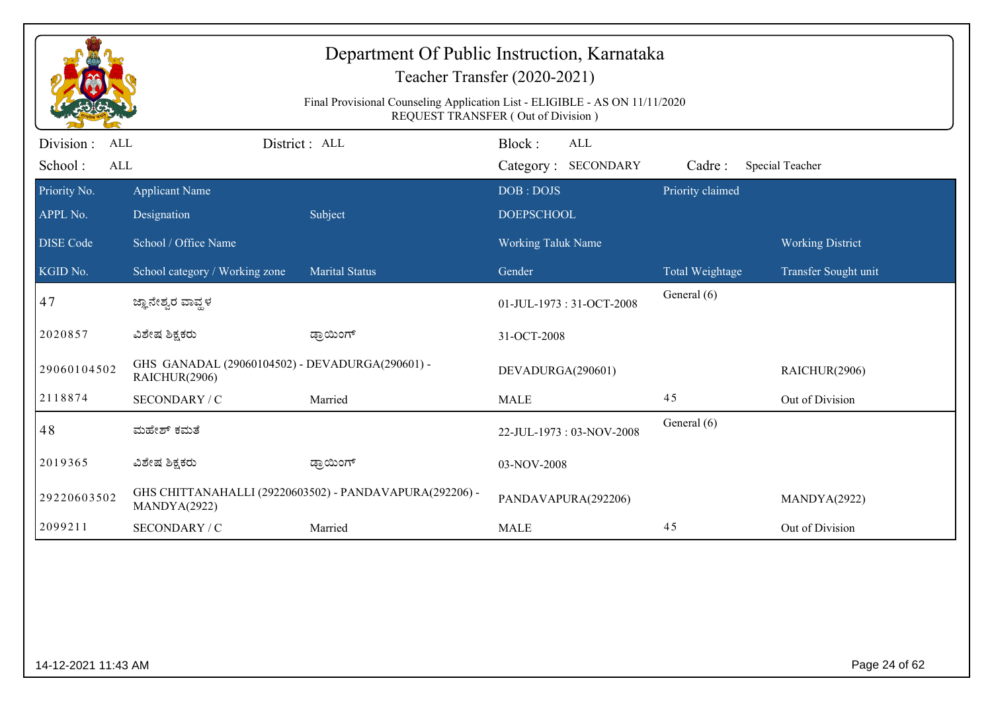| Department Of Public Instruction, Karnataka<br>Teacher Transfer (2020-2021)<br>Final Provisional Counseling Application List - ELIGIBLE - AS ON 11/11/2020<br>REQUEST TRANSFER (Out of Division) |                                                                  |                                                         |                                |                  |                         |  |  |
|--------------------------------------------------------------------------------------------------------------------------------------------------------------------------------------------------|------------------------------------------------------------------|---------------------------------------------------------|--------------------------------|------------------|-------------------------|--|--|
| Division:<br><b>ALL</b>                                                                                                                                                                          |                                                                  | District: ALL                                           | Block:<br>ALL                  |                  |                         |  |  |
| School:<br><b>ALL</b>                                                                                                                                                                            |                                                                  |                                                         | Category: SECONDARY            | Cadre:           | Special Teacher         |  |  |
| Priority No.<br>APPL No.                                                                                                                                                                         | <b>Applicant Name</b><br>Designation                             | Subject                                                 | DOB: DOJS<br><b>DOEPSCHOOL</b> | Priority claimed |                         |  |  |
|                                                                                                                                                                                                  |                                                                  |                                                         |                                |                  |                         |  |  |
| <b>DISE Code</b>                                                                                                                                                                                 | School / Office Name                                             |                                                         | Working Taluk Name             |                  | <b>Working District</b> |  |  |
| KGID No.                                                                                                                                                                                         | School category / Working zone                                   | Marital Status                                          | Gender                         | Total Weightage  | Transfer Sought unit    |  |  |
| 47                                                                                                                                                                                               | ಜ್ಞಾನೇಶ್ವರ ವಾವ್ಹಳ                                                |                                                         | 01-JUL-1973: 31-OCT-2008       | General (6)      |                         |  |  |
| 2020857                                                                                                                                                                                          | ವಿಶೇಷ ಶಿಕ್ಷಕರು                                                   | ಡ್ರಾಯಿಂಗ್                                               | 31-OCT-2008                    |                  |                         |  |  |
| 29060104502                                                                                                                                                                                      | GHS GANADAL (29060104502) - DEVADURGA(290601) -<br>RAICHUR(2906) |                                                         | DEVADURGA(290601)              |                  | RAICHUR(2906)           |  |  |
| 2118874                                                                                                                                                                                          | SECONDARY / C                                                    | Married                                                 | <b>MALE</b>                    | 45               | Out of Division         |  |  |
| 48                                                                                                                                                                                               | ಮಹೇಶ್ ಕಮತೆ                                                       |                                                         | 22-JUL-1973: 03-NOV-2008       | General (6)      |                         |  |  |
| 2019365                                                                                                                                                                                          | ವಿಶೇಷ ಶಿಕ್ಷಕರು                                                   | ಡ್ರಾಯಿಂಗ್                                               | 03-NOV-2008                    |                  |                         |  |  |
| 29220603502                                                                                                                                                                                      | MANDYA(2922)                                                     | GHS CHITTANAHALLI (29220603502) - PANDAVAPURA(292206) - | PANDAVAPURA(292206)            |                  | MANDYA(2922)            |  |  |
| 2099211                                                                                                                                                                                          | SECONDARY / C                                                    | Married                                                 | <b>MALE</b>                    | 45               | Out of Division         |  |  |
|                                                                                                                                                                                                  |                                                                  |                                                         |                                |                  |                         |  |  |
|                                                                                                                                                                                                  | Page 24 of 62<br>14-12-2021 11:43 AM                             |                                                         |                                |                  |                         |  |  |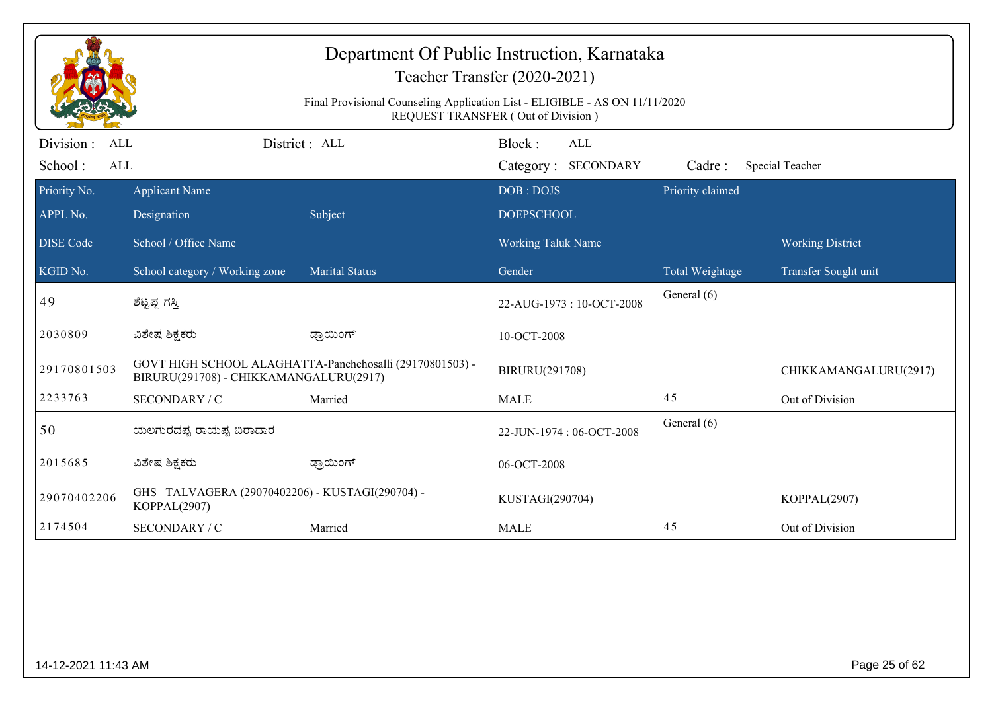| Department Of Public Instruction, Karnataka<br>Teacher Transfer (2020-2021)<br>Final Provisional Counseling Application List - ELIGIBLE - AS ON 11/11/2020 |                                                                 |                                                          |                                      |                        |                         |  |
|------------------------------------------------------------------------------------------------------------------------------------------------------------|-----------------------------------------------------------------|----------------------------------------------------------|--------------------------------------|------------------------|-------------------------|--|
|                                                                                                                                                            |                                                                 |                                                          | REQUEST TRANSFER (Out of Division)   |                        |                         |  |
| Division :<br>ALL<br>School:<br>ALL                                                                                                                        |                                                                 | District : ALL                                           | Block:<br>ALL<br>Category: SECONDARY | Cadre:                 | Special Teacher         |  |
| Priority No.<br>APPL No.                                                                                                                                   | <b>Applicant Name</b><br>Designation                            | Subject                                                  | DOB: DOJS<br><b>DOEPSCHOOL</b>       | Priority claimed       |                         |  |
| <b>DISE</b> Code                                                                                                                                           | School / Office Name                                            |                                                          | Working Taluk Name                   |                        | <b>Working District</b> |  |
| KGID No.                                                                                                                                                   | School category / Working zone                                  | <b>Marital Status</b>                                    | Gender                               | <b>Total Weightage</b> | Transfer Sought unit    |  |
| 49                                                                                                                                                         | ಶೆಟ್ಟಪ್ಪ ಗಸ್ತಿ                                                  |                                                          | 22-AUG-1973: 10-OCT-2008             | General (6)            |                         |  |
| 2030809                                                                                                                                                    | ವಿಶೇಷ ಶಿಕ್ಷಕರು                                                  | ಡ್ರಾಯಿಂಗ್                                                | 10-OCT-2008                          |                        |                         |  |
| 29170801503                                                                                                                                                | BIRURU(291708) - CHIKKAMANGALURU(2917)                          | GOVT HIGH SCHOOL ALAGHATTA-Panchehosalli (29170801503) - | BIRURU(291708)                       |                        | CHIKKAMANGALURU(2917)   |  |
| 2233763                                                                                                                                                    | SECONDARY / C                                                   | Married                                                  | <b>MALE</b>                          | 45                     | Out of Division         |  |
| 50                                                                                                                                                         | ಯಲಗುರದಪ್ಪ ರಾಯಪ್ಪ ಬಿರಾದಾರ                                        |                                                          | 22-JUN-1974: 06-OCT-2008             | General (6)            |                         |  |
| 2015685                                                                                                                                                    | ವಿಶೇಷ ಶಿಕ್ಷಕರು                                                  | ಡ್ರಾಯಿಂಗ್                                                | 06-OCT-2008                          |                        |                         |  |
| 29070402206                                                                                                                                                | GHS TALVAGERA (29070402206) - KUSTAGI(290704) -<br>KOPPAL(2907) |                                                          | KUSTAGI(290704)                      |                        | KOPPAL(2907)            |  |
| 2174504                                                                                                                                                    | SECONDARY / C                                                   | Married                                                  | <b>MALE</b>                          | 45                     | Out of Division         |  |
|                                                                                                                                                            |                                                                 |                                                          |                                      |                        |                         |  |
| 14-12-2021 11:43 AM                                                                                                                                        |                                                                 |                                                          |                                      |                        | Page 25 of 62           |  |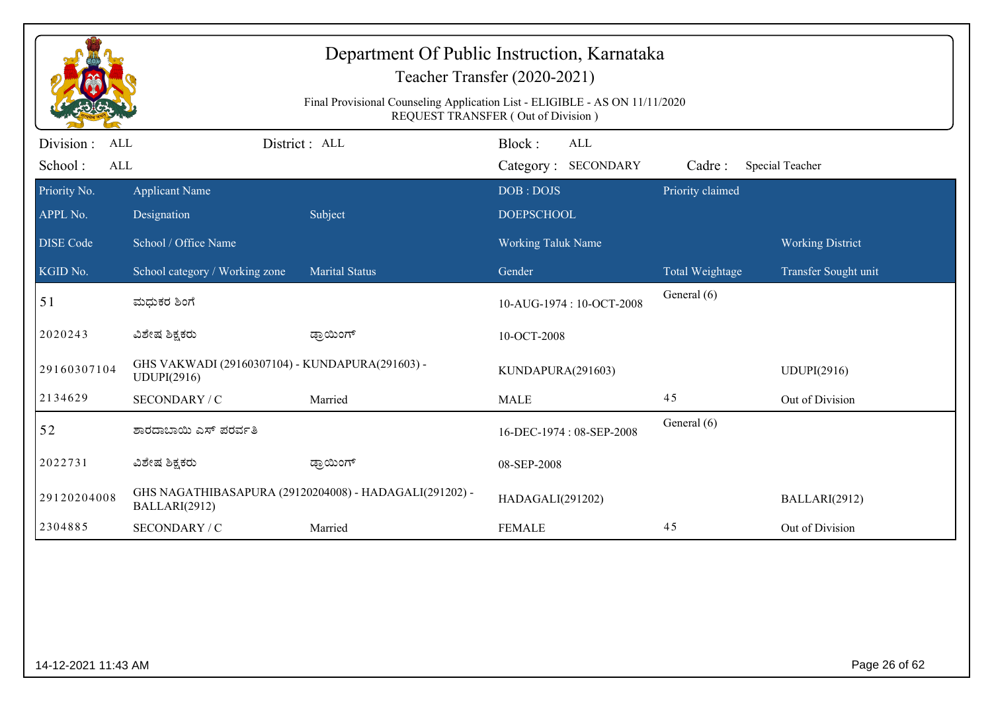| Department Of Public Instruction, Karnataka<br>Teacher Transfer (2020-2021)<br>Final Provisional Counseling Application List - ELIGIBLE - AS ON 11/11/2020<br>REQUEST TRANSFER (Out of Division) |                                                                |                                                        |                          |                  |                         |  |  |
|--------------------------------------------------------------------------------------------------------------------------------------------------------------------------------------------------|----------------------------------------------------------------|--------------------------------------------------------|--------------------------|------------------|-------------------------|--|--|
| Division :<br>ALL                                                                                                                                                                                |                                                                | District: ALL                                          | Block:<br><b>ALL</b>     |                  |                         |  |  |
| School:<br>ALL                                                                                                                                                                                   |                                                                |                                                        | Category: SECONDARY      | Cadre:           | Special Teacher         |  |  |
| Priority No.                                                                                                                                                                                     | <b>Applicant Name</b>                                          |                                                        | DOB: DOJS                | Priority claimed |                         |  |  |
| APPL No.                                                                                                                                                                                         | Designation                                                    | Subject                                                | <b>DOEPSCHOOL</b>        |                  |                         |  |  |
| <b>DISE Code</b>                                                                                                                                                                                 | School / Office Name                                           |                                                        | Working Taluk Name       |                  | <b>Working District</b> |  |  |
| KGID No.                                                                                                                                                                                         | School category / Working zone                                 | <b>Marital Status</b>                                  | Gender                   | Total Weightage  | Transfer Sought unit    |  |  |
| 51                                                                                                                                                                                               | ಮಧುಕರ ಶಿಂಗೆ                                                    |                                                        | 10-AUG-1974: 10-OCT-2008 | General (6)      |                         |  |  |
| 2020243                                                                                                                                                                                          | ವಿಶೇಷ ಶಿಕ್ಷಕರು                                                 | ಡ್ರಾಯಿಂಗ್                                              | 10-OCT-2008              |                  |                         |  |  |
| 29160307104                                                                                                                                                                                      | GHS VAKWADI (29160307104) - KUNDAPURA(291603) -<br>UDUPI(2916) |                                                        | KUNDAPURA(291603)        |                  | <b>UDUPI(2916)</b>      |  |  |
| 2134629                                                                                                                                                                                          | SECONDARY / C                                                  | Married                                                | <b>MALE</b>              | 45               | Out of Division         |  |  |
| 52                                                                                                                                                                                               | ಶಾರದಾಬಾಯಿ ಎಸ್ ಪರರ್ವತಿ                                          |                                                        | 16-DEC-1974: 08-SEP-2008 | General (6)      |                         |  |  |
| 2022731                                                                                                                                                                                          | ವಿಶೇಷ ಶಿಕ್ಷಕರು                                                 | ಡ್ರಾಯಿಂಗ್                                              | 08-SEP-2008              |                  |                         |  |  |
| 29120204008                                                                                                                                                                                      | BALLARI(2912)                                                  | GHS NAGATHIBASAPURA (29120204008) - HADAGALI(291202) - | HADAGALI(291202)         |                  | BALLARI(2912)           |  |  |
| 2304885                                                                                                                                                                                          | SECONDARY / C                                                  | Married                                                | <b>FEMALE</b>            | 45               | Out of Division         |  |  |
|                                                                                                                                                                                                  |                                                                |                                                        |                          |                  |                         |  |  |
| 14-12-2021 11:43 AM                                                                                                                                                                              |                                                                |                                                        |                          |                  | Page 26 of 62           |  |  |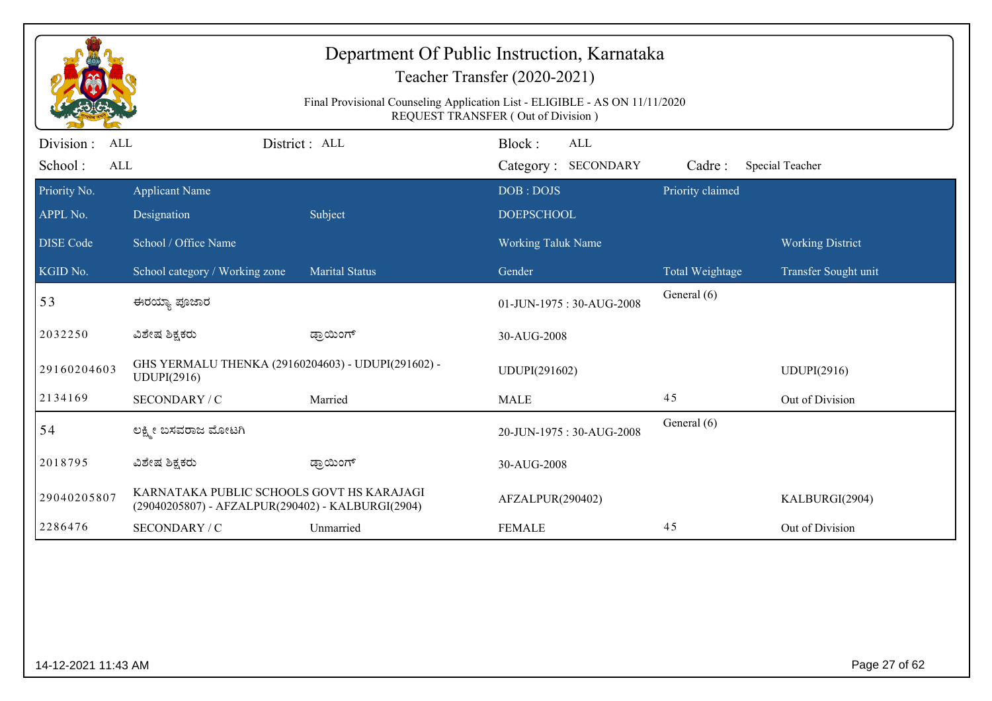| Department Of Public Instruction, Karnataka<br>Teacher Transfer (2020-2021)<br>Final Provisional Counseling Application List - ELIGIBLE - AS ON 11/11/2020<br><b>REQUEST TRANSFER (Out of Division)</b> |                                                                                                |                       |                                      |                  |                         |  |  |
|---------------------------------------------------------------------------------------------------------------------------------------------------------------------------------------------------------|------------------------------------------------------------------------------------------------|-----------------------|--------------------------------------|------------------|-------------------------|--|--|
| Division :<br>ALL<br>School:<br><b>ALL</b>                                                                                                                                                              |                                                                                                | District : ALL        | Block:<br>ALL<br>Category: SECONDARY | Cadre:           | Special Teacher         |  |  |
| Priority No.                                                                                                                                                                                            | <b>Applicant Name</b>                                                                          |                       | DOB: DOJS                            | Priority claimed |                         |  |  |
| APPL No.                                                                                                                                                                                                | Designation                                                                                    | Subject               | <b>DOEPSCHOOL</b>                    |                  |                         |  |  |
| <b>DISE Code</b>                                                                                                                                                                                        | School / Office Name                                                                           |                       | Working Taluk Name                   |                  | <b>Working District</b> |  |  |
| KGID No.                                                                                                                                                                                                | School category / Working zone                                                                 | <b>Marital Status</b> | Gender                               | Total Weightage  | Transfer Sought unit    |  |  |
| 53                                                                                                                                                                                                      | ಈರಯ್ಯಾ ಪೂಜಾರ                                                                                   |                       | 01-JUN-1975: 30-AUG-2008             | General (6)      |                         |  |  |
| 2032250                                                                                                                                                                                                 | ವಿಶೇಷ ಶಿಕ್ಷಕರು                                                                                 | ಡ್ರಾಯಿಂಗ್             | 30-AUG-2008                          |                  |                         |  |  |
| 29160204603                                                                                                                                                                                             | GHS YERMALU THENKA (29160204603) - UDUPI(291602) -<br>UDUPI(2916)                              |                       | UDUPI(291602)                        |                  | <b>UDUPI(2916)</b>      |  |  |
| 2134169                                                                                                                                                                                                 | SECONDARY / C                                                                                  | Married               | <b>MALE</b>                          | 45               | Out of Division         |  |  |
| 54                                                                                                                                                                                                      | ಲಕ್ಷ್ಮೀ ಬಸವರಾಜ ಮೋಟಗಿ                                                                           |                       | 20-JUN-1975: 30-AUG-2008             | General (6)      |                         |  |  |
| 2018795                                                                                                                                                                                                 | ವಿಶೇಷ ಶಿಕ್ಷಕರು                                                                                 | ಡ್ರಾಯಿಂಗ್             | 30-AUG-2008                          |                  |                         |  |  |
| 29040205807                                                                                                                                                                                             | KARNATAKA PUBLIC SCHOOLS GOVT HS KARAJAGI<br>(29040205807) - AFZALPUR(290402) - KALBURGI(2904) |                       | AFZALPUR(290402)                     |                  | KALBURGI(2904)          |  |  |
| 2286476                                                                                                                                                                                                 | SECONDARY / C                                                                                  | Unmarried             | <b>FEMALE</b>                        | 45               | Out of Division         |  |  |
|                                                                                                                                                                                                         |                                                                                                |                       |                                      |                  |                         |  |  |
| 14-12-2021 11:43 AM                                                                                                                                                                                     |                                                                                                |                       |                                      |                  | Page 27 of 62           |  |  |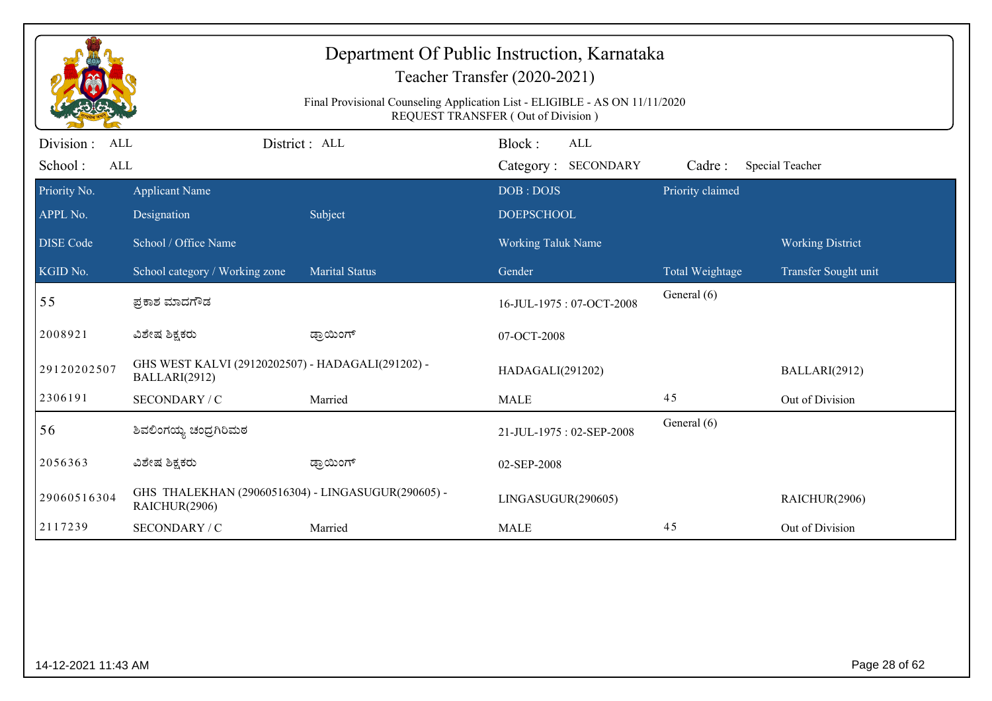| Department Of Public Instruction, Karnataka<br>Teacher Transfer (2020-2021)<br>Final Provisional Counseling Application List - ELIGIBLE - AS ON 11/11/2020<br>REQUEST TRANSFER (Out of Division) |                                                                     |                       |                                |                        |                         |  |  |
|--------------------------------------------------------------------------------------------------------------------------------------------------------------------------------------------------|---------------------------------------------------------------------|-----------------------|--------------------------------|------------------------|-------------------------|--|--|
| Division :<br><b>ALL</b>                                                                                                                                                                         |                                                                     | District: ALL         | Block:<br><b>ALL</b>           |                        |                         |  |  |
| School:<br><b>ALL</b>                                                                                                                                                                            |                                                                     |                       | Category: SECONDARY            | Cadre:                 | Special Teacher         |  |  |
| Priority No.<br>APPL No.                                                                                                                                                                         | <b>Applicant Name</b><br>Designation                                | Subject               | DOB: DOJS<br><b>DOEPSCHOOL</b> | Priority claimed       |                         |  |  |
| <b>DISE Code</b>                                                                                                                                                                                 | School / Office Name                                                |                       | Working Taluk Name             |                        | <b>Working District</b> |  |  |
| KGID No.                                                                                                                                                                                         | School category / Working zone                                      | <b>Marital Status</b> | Gender                         | <b>Total Weightage</b> | Transfer Sought unit    |  |  |
| 55                                                                                                                                                                                               | ಪ್ರಕಾಶ ಮಾದಗೌಡ                                                       |                       | 16-JUL-1975: 07-OCT-2008       | General (6)            |                         |  |  |
| 2008921                                                                                                                                                                                          | ವಿಶೇಷ ಶಿಕ್ಷಕರು                                                      | ಡ್ರಾಯಿಂಗ್             | 07-OCT-2008                    |                        |                         |  |  |
| 29120202507                                                                                                                                                                                      | GHS WEST KALVI (29120202507) - HADAGALI(291202) -<br>BALLARI(2912)  |                       | HADAGALI(291202)               |                        | BALLARI(2912)           |  |  |
| 2306191                                                                                                                                                                                          | SECONDARY / C                                                       | Married               | <b>MALE</b>                    | 45                     | Out of Division         |  |  |
| 56                                                                                                                                                                                               | ಶಿವಲಿಂಗಯ್ಯ ಚಂದ್ರಗಿರಿಮಠ                                              |                       | 21-JUL-1975: 02-SEP-2008       | General (6)            |                         |  |  |
| 2056363                                                                                                                                                                                          | ವಿಶೇಷ ಶಿಕ್ಷಕರು                                                      | ಡ್ರಾಯಿಂಗ್             | 02-SEP-2008                    |                        |                         |  |  |
| 29060516304                                                                                                                                                                                      | GHS THALEKHAN (29060516304) - LINGASUGUR(290605) -<br>RAICHUR(2906) |                       | LINGASUGUR(290605)             |                        | RAICHUR(2906)           |  |  |
| 2117239                                                                                                                                                                                          | SECONDARY / C                                                       | Married               | <b>MALE</b>                    | 45                     | Out of Division         |  |  |
|                                                                                                                                                                                                  |                                                                     |                       |                                |                        |                         |  |  |
| Page 28 of 62<br>14-12-2021 11:43 AM                                                                                                                                                             |                                                                     |                       |                                |                        |                         |  |  |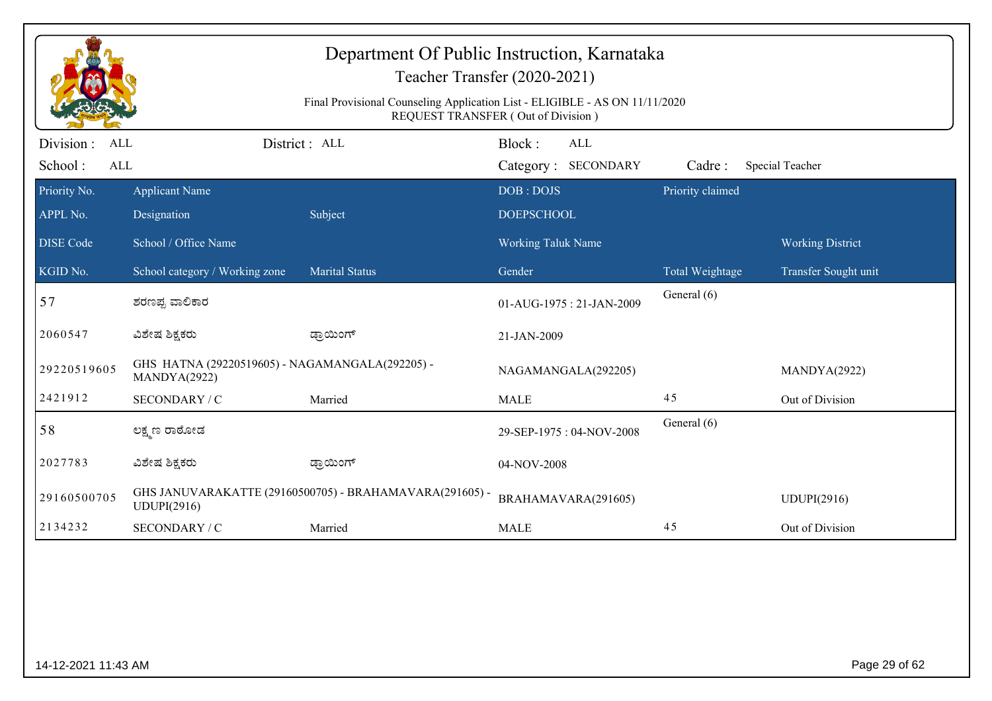| Department Of Public Instruction, Karnataka<br>Teacher Transfer (2020-2021)<br>Final Provisional Counseling Application List - ELIGIBLE - AS ON 11/11/2020<br>REQUEST TRANSFER (Out of Division) |                                                                 |                                                         |                                             |                  |                         |  |  |
|--------------------------------------------------------------------------------------------------------------------------------------------------------------------------------------------------|-----------------------------------------------------------------|---------------------------------------------------------|---------------------------------------------|------------------|-------------------------|--|--|
| Division:<br>ALL<br>School:<br>ALL                                                                                                                                                               |                                                                 | District: ALL                                           | Block:<br><b>ALL</b><br>Category: SECONDARY | Cadre:           | Special Teacher         |  |  |
| Priority No.                                                                                                                                                                                     | <b>Applicant Name</b>                                           |                                                         | DOB: DOJS                                   | Priority claimed |                         |  |  |
| APPL No.                                                                                                                                                                                         | Designation                                                     | Subject                                                 | <b>DOEPSCHOOL</b>                           |                  |                         |  |  |
| <b>DISE Code</b>                                                                                                                                                                                 | School / Office Name                                            |                                                         | Working Taluk Name                          |                  | <b>Working District</b> |  |  |
| KGID No.                                                                                                                                                                                         | School category / Working zone                                  | <b>Marital Status</b>                                   | Gender                                      | Total Weightage  | Transfer Sought unit    |  |  |
| 57                                                                                                                                                                                               | ಶರಣಪ್ಪ ವಾಲಿಕಾರ                                                  |                                                         | 01-AUG-1975: 21-JAN-2009                    | General (6)      |                         |  |  |
| 2060547                                                                                                                                                                                          | ವಿಶೇಷ ಶಿಕ್ಷಕರು                                                  | ಡ್ರಾಯಿಂಗ್                                               | 21-JAN-2009                                 |                  |                         |  |  |
| 29220519605                                                                                                                                                                                      | GHS HATNA (29220519605) - NAGAMANGALA(292205) -<br>MANDYA(2922) |                                                         | NAGAMANGALA(292205)                         |                  | MANDYA(2922)            |  |  |
| 2421912                                                                                                                                                                                          | SECONDARY / C                                                   | Married                                                 | <b>MALE</b>                                 | 45               | Out of Division         |  |  |
| 58                                                                                                                                                                                               | ಲಕ್ಷ್ಮಣ ರಾರೋಡ                                                   |                                                         | 29-SEP-1975: 04-NOV-2008                    | General (6)      |                         |  |  |
| 2027783                                                                                                                                                                                          | ವಿಶೇಷ ಶಿಕ್ಷಕರು                                                  | ಡ್ರಾಯಿಂಗ್                                               | 04-NOV-2008                                 |                  |                         |  |  |
| 29160500705                                                                                                                                                                                      | UDUPI(2916)                                                     | GHS JANUVARAKATTE (29160500705) - BRAHAMAVARA(291605) - | BRAHAMAVARA(291605)                         |                  | <b>UDUPI(2916)</b>      |  |  |
| 2134232                                                                                                                                                                                          | SECONDARY / C                                                   | Married                                                 | <b>MALE</b>                                 | 45               | Out of Division         |  |  |
|                                                                                                                                                                                                  |                                                                 |                                                         |                                             |                  |                         |  |  |
| Page 29 of 62<br>14-12-2021 11:43 AM                                                                                                                                                             |                                                                 |                                                         |                                             |                  |                         |  |  |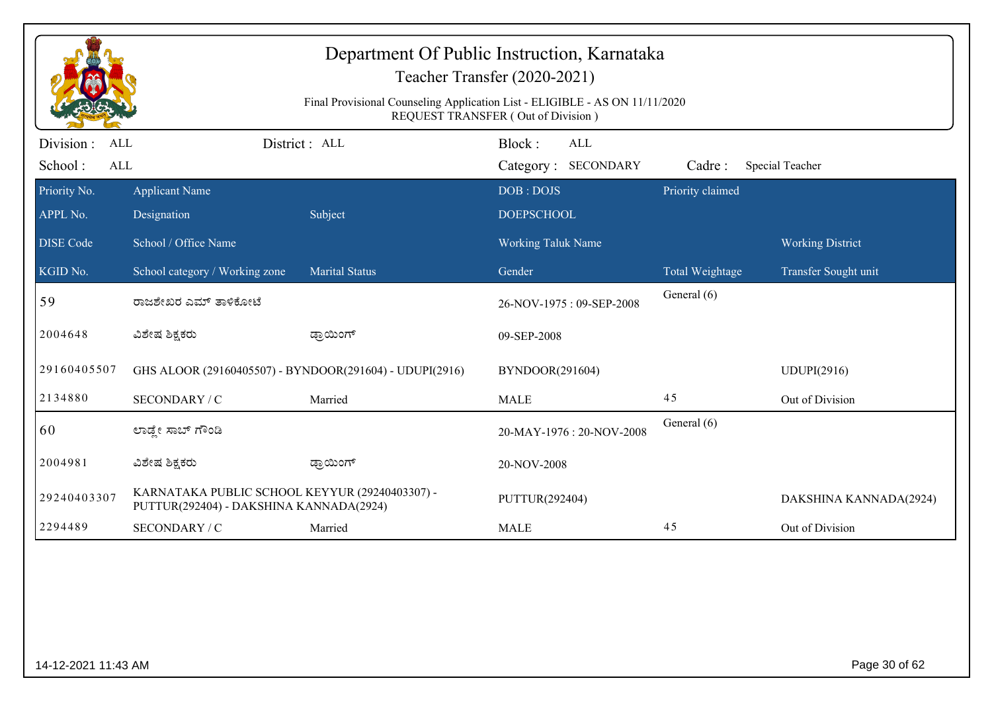| Department Of Public Instruction, Karnataka<br>Teacher Transfer (2020-2021)<br>Final Provisional Counseling Application List - ELIGIBLE - AS ON 11/11/2020<br><b>REQUEST TRANSFER (Out of Division)</b> |                                                                                           |                       |                                      |                  |                         |  |  |
|---------------------------------------------------------------------------------------------------------------------------------------------------------------------------------------------------------|-------------------------------------------------------------------------------------------|-----------------------|--------------------------------------|------------------|-------------------------|--|--|
| Division:<br><b>ALL</b><br>School:<br><b>ALL</b>                                                                                                                                                        |                                                                                           | District : ALL        | Block:<br>ALL<br>Category: SECONDARY | Cadre:           | Special Teacher         |  |  |
| Priority No.<br>APPL No.                                                                                                                                                                                | <b>Applicant Name</b><br>Designation                                                      | Subject               | DOB: DOJS<br><b>DOEPSCHOOL</b>       | Priority claimed |                         |  |  |
| <b>DISE Code</b>                                                                                                                                                                                        | School / Office Name                                                                      |                       | Working Taluk Name                   |                  | <b>Working District</b> |  |  |
| KGID No.                                                                                                                                                                                                | School category / Working zone                                                            | <b>Marital Status</b> | Gender                               | Total Weightage  | Transfer Sought unit    |  |  |
| 59                                                                                                                                                                                                      | ರಾಜಶೇಖರ ಎಮ್ ತಾಳಿಕೋಟೆ                                                                      |                       | 26-NOV-1975: 09-SEP-2008             | General (6)      |                         |  |  |
| 2004648                                                                                                                                                                                                 | ವಿಶೇಷ ಶಿಕ್ಷಕರು                                                                            | ಡ್ರಾಯಿಂಗ್             | 09-SEP-2008                          |                  |                         |  |  |
| 29160405507                                                                                                                                                                                             | GHS ALOOR (29160405507) - BYNDOOR(291604) - UDUPI(2916)                                   |                       | BYNDOOR(291604)                      |                  | UDUPI(2916)             |  |  |
| 2134880                                                                                                                                                                                                 | SECONDARY / C                                                                             | Married               | <b>MALE</b>                          | 45               | Out of Division         |  |  |
| 60                                                                                                                                                                                                      | ಲಾಡ್ಡೇ ಸಾಬ್ ಗೌಂಡಿ                                                                         |                       | 20-MAY-1976: 20-NOV-2008             | General (6)      |                         |  |  |
| 2004981                                                                                                                                                                                                 | ವಿಶೇಷ ಶಿಕ್ಷಕರು                                                                            | ಡ್ರಾಯಿಂಗ್             | 20-NOV-2008                          |                  |                         |  |  |
| 29240403307                                                                                                                                                                                             | KARNATAKA PUBLIC SCHOOL KEYYUR (29240403307) -<br>PUTTUR(292404) - DAKSHINA KANNADA(2924) |                       | PUTTUR(292404)                       |                  | DAKSHINA KANNADA(2924)  |  |  |
| 2294489                                                                                                                                                                                                 | SECONDARY / C                                                                             | Married               | <b>MALE</b>                          | 45               | Out of Division         |  |  |
|                                                                                                                                                                                                         |                                                                                           |                       |                                      |                  |                         |  |  |
| 14-12-2021 11:43 AM                                                                                                                                                                                     |                                                                                           |                       |                                      |                  | Page 30 of 62           |  |  |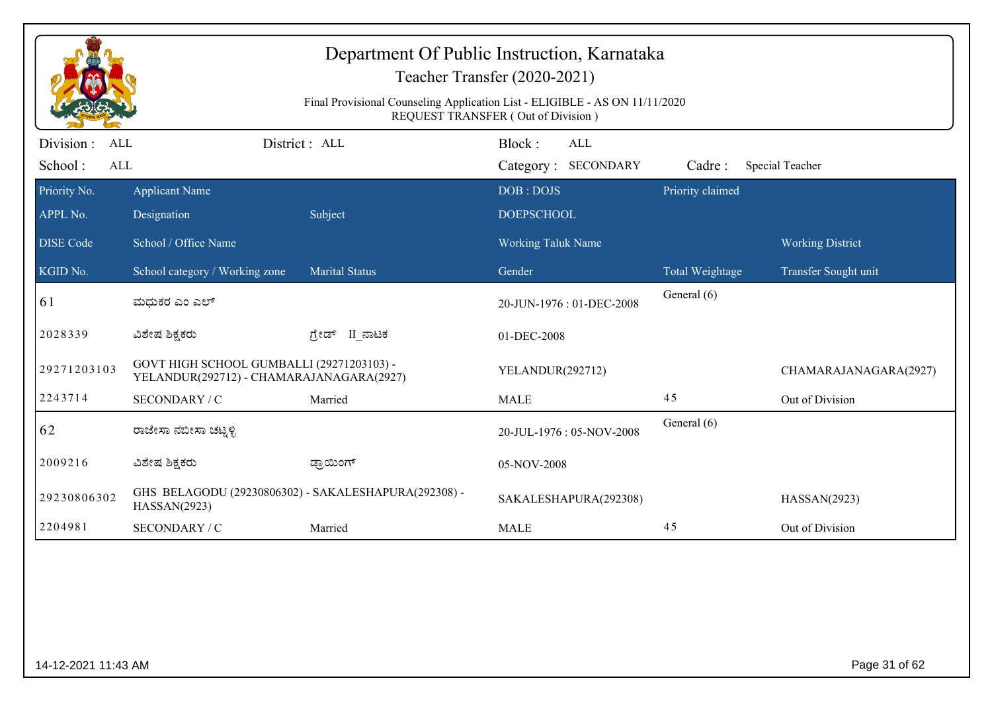| Department Of Public Instruction, Karnataka<br>Teacher Transfer (2020-2021)<br>Final Provisional Counseling Application List - ELIGIBLE - AS ON 11/11/2020<br>REQUEST TRANSFER (Out of Division) |                                                                                       |                       |                                             |                  |                         |  |  |
|--------------------------------------------------------------------------------------------------------------------------------------------------------------------------------------------------|---------------------------------------------------------------------------------------|-----------------------|---------------------------------------------|------------------|-------------------------|--|--|
| Division :<br>ALL<br>School:<br>ALL                                                                                                                                                              |                                                                                       | District: ALL         | Block:<br><b>ALL</b><br>Category: SECONDARY | Cadre:           | Special Teacher         |  |  |
| Priority No.                                                                                                                                                                                     | <b>Applicant Name</b>                                                                 |                       | DOB: DOJS                                   | Priority claimed |                         |  |  |
| APPL No.                                                                                                                                                                                         | Designation                                                                           | Subject               | <b>DOEPSCHOOL</b>                           |                  |                         |  |  |
| <b>DISE Code</b>                                                                                                                                                                                 | School / Office Name                                                                  |                       | <b>Working Taluk Name</b>                   |                  | <b>Working District</b> |  |  |
| KGID No.                                                                                                                                                                                         | School category / Working zone                                                        | <b>Marital Status</b> | Gender                                      | Total Weightage  | Transfer Sought unit    |  |  |
| 61                                                                                                                                                                                               | ಮಧುಕರ ಎಂ ಎಲ್                                                                          |                       | 20-JUN-1976: 01-DEC-2008                    | General (6)      |                         |  |  |
| 2028339                                                                                                                                                                                          | ವಿಶೇಷ ಶಿಕ್ಷಕರು                                                                        | II_ನಾಟಕ<br>ಗ್ರೇಡ್     | 01-DEC-2008                                 |                  |                         |  |  |
| 29271203103                                                                                                                                                                                      | GOVT HIGH SCHOOL GUMBALLI (29271203103) -<br>YELANDUR(292712) - CHAMARAJANAGARA(2927) |                       | YELANDUR(292712)                            |                  | CHAMARAJANAGARA(2927)   |  |  |
| 2243714                                                                                                                                                                                          | SECONDARY / C                                                                         | Married               | <b>MALE</b>                                 | 45               | Out of Division         |  |  |
| 62                                                                                                                                                                                               | ರಾಜೇಸಾ ನಬೀಸಾ ಚಟ್ನಳ್ಳಿ                                                                 |                       | 20-JUL-1976: 05-NOV-2008                    | General (6)      |                         |  |  |
| 2009216                                                                                                                                                                                          | ವಿಶೇಷ ಶಿಕ್ಷಕರು                                                                        | ಡ್ರಾಯಿಂಗ್             | 05-NOV-2008                                 |                  |                         |  |  |
| 29230806302                                                                                                                                                                                      | GHS BELAGODU (29230806302) - SAKALESHAPURA(292308) -<br>HASSAN(2923)                  |                       | SAKALESHAPURA(292308)                       |                  | HASSAN(2923)            |  |  |
| 2204981                                                                                                                                                                                          | SECONDARY / C                                                                         | Married               | <b>MALE</b>                                 | 45               | Out of Division         |  |  |
|                                                                                                                                                                                                  |                                                                                       |                       |                                             |                  |                         |  |  |
|                                                                                                                                                                                                  | Page 31 of 62<br>14-12-2021 11:43 AM                                                  |                       |                                             |                  |                         |  |  |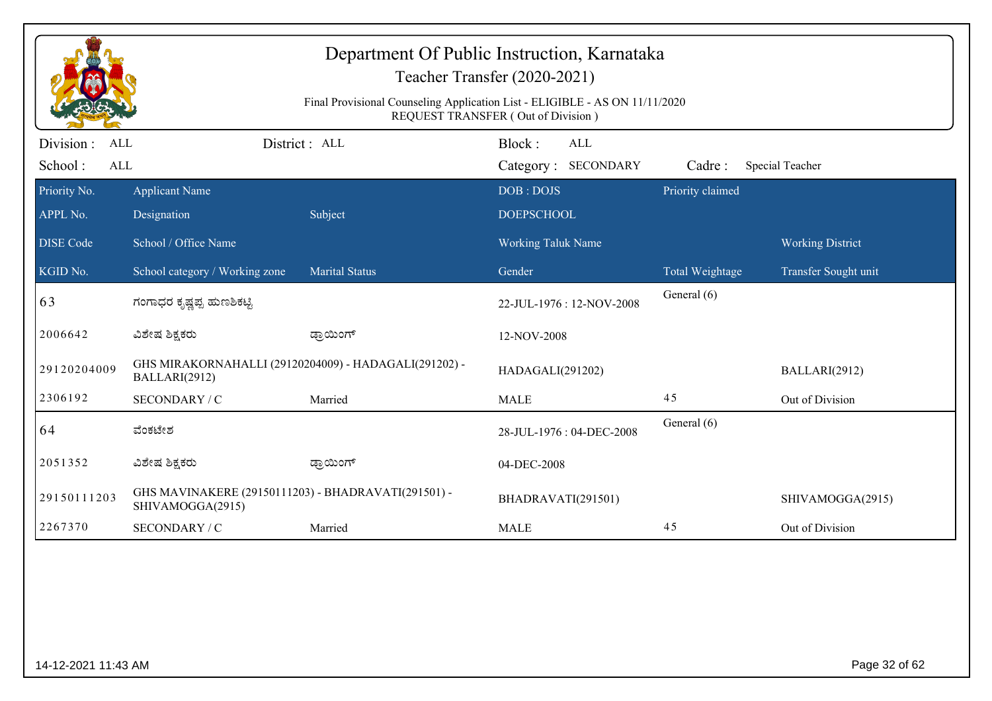| Department Of Public Instruction, Karnataka<br>Teacher Transfer (2020-2021)<br>Final Provisional Counseling Application List - ELIGIBLE - AS ON 11/11/2020<br>REQUEST TRANSFER (Out of Division) |                                                                         |                       |                                  |                            |                         |  |  |
|--------------------------------------------------------------------------------------------------------------------------------------------------------------------------------------------------|-------------------------------------------------------------------------|-----------------------|----------------------------------|----------------------------|-------------------------|--|--|
| Division :<br>ALL<br><b>ALL</b>                                                                                                                                                                  |                                                                         | District: ALL         | Block:<br><b>ALL</b>             |                            |                         |  |  |
| School:<br>Priority No.                                                                                                                                                                          | <b>Applicant Name</b>                                                   |                       | Category: SECONDARY<br>DOB: DOJS | Cadre:<br>Priority claimed | Special Teacher         |  |  |
| APPL No.                                                                                                                                                                                         | Designation                                                             | Subject               | <b>DOEPSCHOOL</b>                |                            |                         |  |  |
| <b>DISE Code</b>                                                                                                                                                                                 | School / Office Name                                                    |                       | Working Taluk Name               |                            | <b>Working District</b> |  |  |
| KGID No.                                                                                                                                                                                         | School category / Working zone                                          | <b>Marital Status</b> | Gender                           | Total Weightage            | Transfer Sought unit    |  |  |
| 63                                                                                                                                                                                               | ಗಂಗಾಧರ ಕೃಷ್ಣಪ್ಪ ಹುಣಶಿಕಟ್ಟಿ                                              |                       | 22-JUL-1976: 12-NOV-2008         | General (6)                |                         |  |  |
| 2006642                                                                                                                                                                                          | ವಿಶೇಷ ಶಿಕ್ಷಕರು                                                          | ಡ್ರಾಯಿಂಗ್             | 12-NOV-2008                      |                            |                         |  |  |
| 29120204009                                                                                                                                                                                      | GHS MIRAKORNAHALLI (29120204009) - HADAGALI(291202) -<br>BALLARI(2912)  |                       | HADAGALI(291202)                 |                            | BALLARI(2912)           |  |  |
| 2306192                                                                                                                                                                                          | SECONDARY / C                                                           | Married               | <b>MALE</b>                      | 45                         | Out of Division         |  |  |
| 64                                                                                                                                                                                               | ವೆಂಕಟೇಶ                                                                 |                       | 28-JUL-1976: 04-DEC-2008         | General (6)                |                         |  |  |
| 2051352                                                                                                                                                                                          | ವಿಶೇಷ ಶಿಕ್ಷಕರು                                                          | ಡ್ರಾಯಿಂಗ್             | 04-DEC-2008                      |                            |                         |  |  |
| 29150111203                                                                                                                                                                                      | GHS MAVINAKERE (29150111203) - BHADRAVATI(291501) -<br>SHIVAMOGGA(2915) |                       | BHADRAVATI(291501)               |                            | SHIVAMOGGA(2915)        |  |  |
| 2267370                                                                                                                                                                                          | SECONDARY / C                                                           | Married               | <b>MALE</b>                      | 45                         | Out of Division         |  |  |
|                                                                                                                                                                                                  |                                                                         |                       |                                  |                            |                         |  |  |
| 14-12-2021 11:43 AM                                                                                                                                                                              |                                                                         |                       |                                  |                            | Page 32 of 62           |  |  |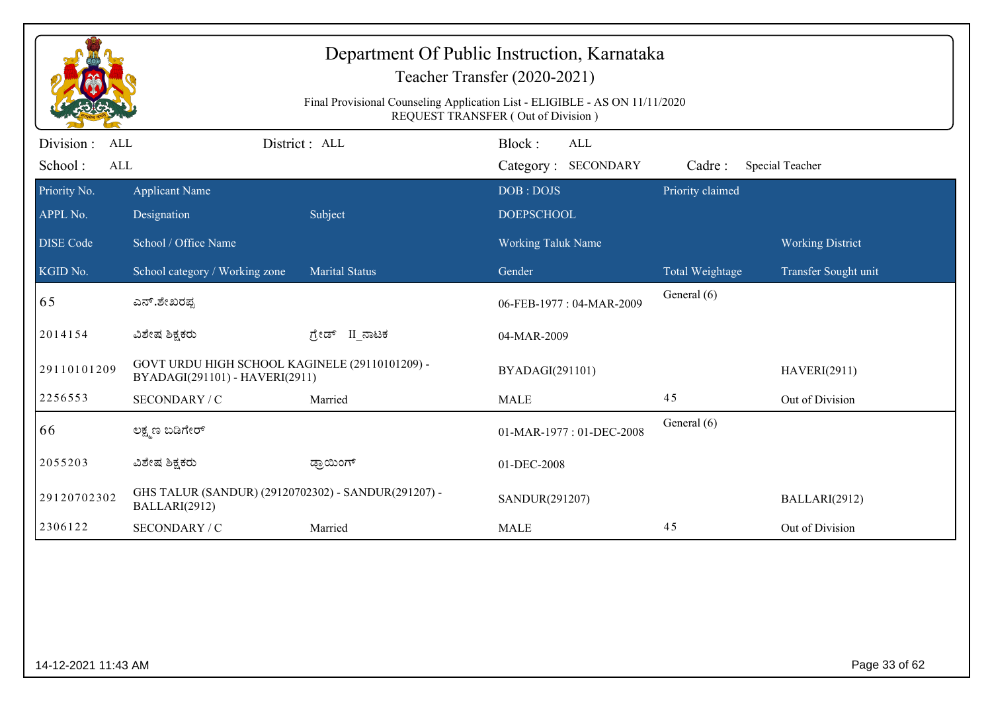| Department Of Public Instruction, Karnataka<br>Teacher Transfer (2020-2021)<br>Final Provisional Counseling Application List - ELIGIBLE - AS ON 11/11/2020<br>REQUEST TRANSFER (Out of Division) |                                                                                  |                       |                                      |                  |                         |  |  |
|--------------------------------------------------------------------------------------------------------------------------------------------------------------------------------------------------|----------------------------------------------------------------------------------|-----------------------|--------------------------------------|------------------|-------------------------|--|--|
| Division :<br>ALL<br>School:<br>ALL                                                                                                                                                              |                                                                                  | District : ALL        | Block:<br>ALL<br>Category: SECONDARY | Cadre:           | Special Teacher         |  |  |
| Priority No.<br>APPL No.                                                                                                                                                                         | <b>Applicant Name</b><br>Designation                                             | Subject               | DOB: DOJS<br><b>DOEPSCHOOL</b>       | Priority claimed |                         |  |  |
| <b>DISE</b> Code                                                                                                                                                                                 | School / Office Name                                                             |                       | Working Taluk Name                   |                  | <b>Working District</b> |  |  |
| KGID No.                                                                                                                                                                                         | School category / Working zone                                                   | <b>Marital Status</b> | Gender                               | Total Weightage  | Transfer Sought unit    |  |  |
| 65                                                                                                                                                                                               | ಎನ್.ಶೇಖರಪ್ಪ                                                                      |                       | 06-FEB-1977: 04-MAR-2009             | General (6)      |                         |  |  |
| 2014154                                                                                                                                                                                          | ವಿಶೇಷ ಶಿಕ್ಷಕರು                                                                   | II_ನಾಟಕ<br>ಗ್ರೇಡ್     | 04-MAR-2009                          |                  |                         |  |  |
| 29110101209                                                                                                                                                                                      | GOVT URDU HIGH SCHOOL KAGINELE (29110101209) -<br>BYADAGI(291101) - HAVERI(2911) |                       | BYADAGI(291101)                      |                  | <b>HAVERI(2911)</b>     |  |  |
| 2256553                                                                                                                                                                                          | SECONDARY / C                                                                    | Married               | <b>MALE</b>                          | 45               | Out of Division         |  |  |
| 66                                                                                                                                                                                               | ಲಕ್ಷ್ಮಣ ಬಡಿಗೇರ್                                                                  |                       | 01-MAR-1977: 01-DEC-2008             | General (6)      |                         |  |  |
| 2055203                                                                                                                                                                                          | ವಿಶೇಷ ಶಿಕ್ಷಕರು                                                                   | ಡ್ರಾಯಿಂಗ್             | 01-DEC-2008                          |                  |                         |  |  |
| 29120702302                                                                                                                                                                                      | GHS TALUR (SANDUR) (29120702302) - SANDUR(291207) -<br>BALLARI(2912)             |                       | SANDUR(291207)                       |                  | BALLARI(2912)           |  |  |
| 2306122                                                                                                                                                                                          | SECONDARY / C                                                                    | Married               | <b>MALE</b>                          | 45               | Out of Division         |  |  |
|                                                                                                                                                                                                  |                                                                                  |                       |                                      |                  |                         |  |  |
| 14-12-2021 11:43 AM                                                                                                                                                                              |                                                                                  |                       |                                      |                  | Page 33 of 62           |  |  |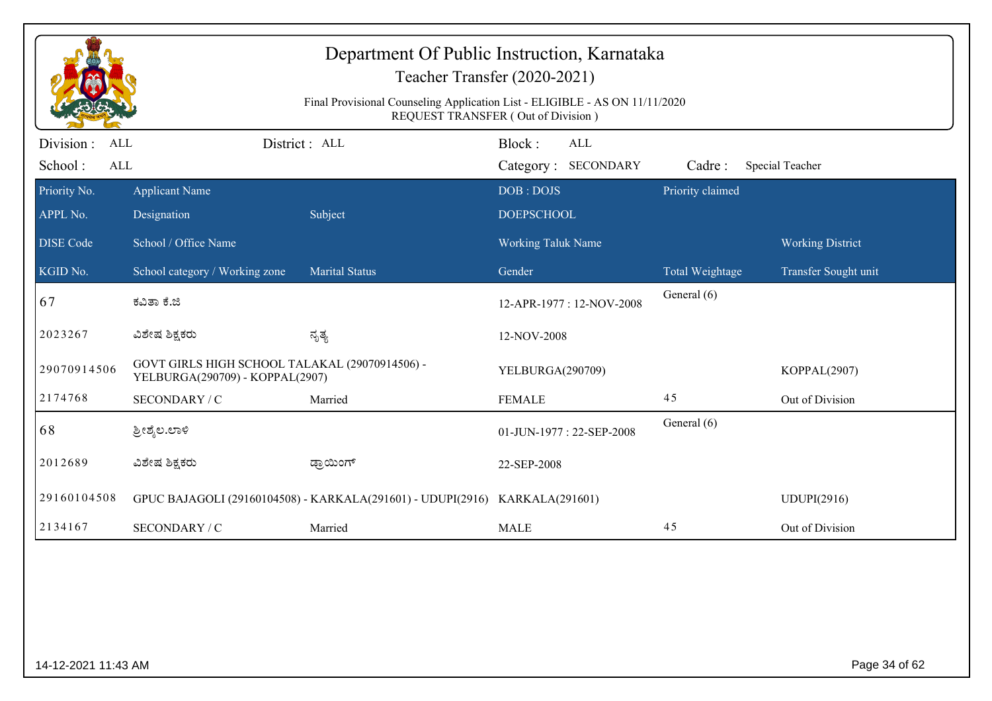| Department Of Public Instruction, Karnataka<br>Teacher Transfer (2020-2021)<br>Final Provisional Counseling Application List - ELIGIBLE - AS ON 11/11/2020<br>REQUEST TRANSFER (Out of Division) |                                                                                   |                                                                             |                                                |                  |                         |  |
|--------------------------------------------------------------------------------------------------------------------------------------------------------------------------------------------------|-----------------------------------------------------------------------------------|-----------------------------------------------------------------------------|------------------------------------------------|------------------|-------------------------|--|
| Division:<br>ALL<br>School:<br><b>ALL</b>                                                                                                                                                        |                                                                                   | District: ALL                                                               | Block:<br>ALL<br><b>SECONDARY</b><br>Category: | Cadre:           | Special Teacher         |  |
| Priority No.<br>APPL No.                                                                                                                                                                         | <b>Applicant Name</b><br>Designation                                              | Subject                                                                     | DOB: DOJS<br><b>DOEPSCHOOL</b>                 | Priority claimed |                         |  |
| <b>DISE Code</b>                                                                                                                                                                                 | School / Office Name                                                              |                                                                             | Working Taluk Name                             |                  | <b>Working District</b> |  |
| KGID No.                                                                                                                                                                                         | School category / Working zone                                                    | <b>Marital Status</b>                                                       | Gender                                         | Total Weightage  | Transfer Sought unit    |  |
| 67                                                                                                                                                                                               | ಕವಿತಾ ಕೆ.ಜಿ                                                                       |                                                                             | 12-APR-1977: 12-NOV-2008                       | General (6)      |                         |  |
| 2023267                                                                                                                                                                                          | ವಿಶೇಷ ಶಿಕ್ಷಕರು                                                                    | ನೃತ್ಯ                                                                       | 12-NOV-2008                                    |                  |                         |  |
| 29070914506                                                                                                                                                                                      | GOVT GIRLS HIGH SCHOOL TALAKAL (29070914506) -<br>YELBURGA(290709) - KOPPAL(2907) |                                                                             | YELBURGA(290709)                               |                  | KOPPAL(2907)            |  |
| 2174768                                                                                                                                                                                          | SECONDARY / C                                                                     | Married                                                                     | <b>FEMALE</b>                                  | 45               | Out of Division         |  |
| 68                                                                                                                                                                                               | ಶ್ರೀಶ್ಮೆಲ.ಲಾಳಿ                                                                    |                                                                             | 01-JUN-1977: 22-SEP-2008                       | General (6)      |                         |  |
| 2012689                                                                                                                                                                                          | ವಿಶೇಷ ಶಿಕ್ಷಕರು                                                                    | ಡ್ರಾಯಿಂಗ್                                                                   | 22-SEP-2008                                    |                  |                         |  |
| 29160104508                                                                                                                                                                                      |                                                                                   | GPUC BAJAGOLI (29160104508) - KARKALA(291601) - UDUPI(2916) KARKALA(291601) |                                                |                  | UDUPI(2916)             |  |
| 2134167                                                                                                                                                                                          | <b>SECONDARY / C</b>                                                              | Married                                                                     | <b>MALE</b>                                    | 45               | Out of Division         |  |
|                                                                                                                                                                                                  |                                                                                   |                                                                             |                                                |                  |                         |  |
| 14-12-2021 11:43 AM                                                                                                                                                                              |                                                                                   |                                                                             |                                                |                  | Page 34 of 62           |  |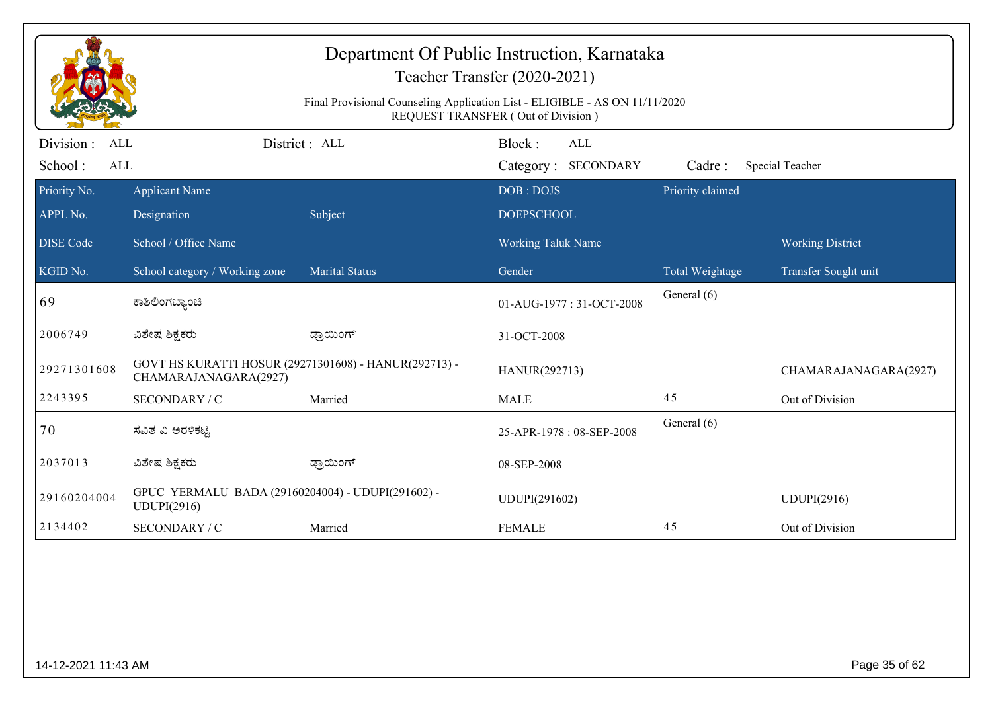| Department Of Public Instruction, Karnataka<br>Teacher Transfer (2020-2021)<br>Final Provisional Counseling Application List - ELIGIBLE - AS ON 11/11/2020 |                                                                                |                       |                                                                                   |                  |                         |  |  |
|------------------------------------------------------------------------------------------------------------------------------------------------------------|--------------------------------------------------------------------------------|-----------------------|-----------------------------------------------------------------------------------|------------------|-------------------------|--|--|
| Division :<br>ALL<br>School:<br>ALL                                                                                                                        |                                                                                | District : ALL        | <b>REQUEST TRANSFER (Out of Division)</b><br>Block:<br>ALL<br>Category: SECONDARY | Cadre:           | Special Teacher         |  |  |
| Priority No.<br>APPL No.                                                                                                                                   | <b>Applicant Name</b><br>Designation                                           | Subject               | DOB: DOJS<br><b>DOEPSCHOOL</b>                                                    | Priority claimed |                         |  |  |
| <b>DISE</b> Code                                                                                                                                           | School / Office Name                                                           |                       | Working Taluk Name                                                                |                  | <b>Working District</b> |  |  |
| KGID No.                                                                                                                                                   | School category / Working zone                                                 | <b>Marital Status</b> | Gender                                                                            | Total Weightage  | Transfer Sought unit    |  |  |
| 69                                                                                                                                                         | ಕಾಶಿಲಿಂಗಬ್ಯಾಂಚಿ                                                                |                       | 01-AUG-1977: 31-OCT-2008                                                          | General (6)      |                         |  |  |
| 2006749                                                                                                                                                    | ವಿಶೇಷ ಶಿಕ್ಷಕರು                                                                 | ಡ್ರಾಯಿಂಗ್             | 31-OCT-2008                                                                       |                  |                         |  |  |
| 29271301608                                                                                                                                                | GOVT HS KURATTI HOSUR (29271301608) - HANUR(292713) -<br>CHAMARAJANAGARA(2927) |                       | HANUR(292713)                                                                     |                  | CHAMARAJANAGARA(2927)   |  |  |
| 2243395                                                                                                                                                    | SECONDARY / C                                                                  | Married               | <b>MALE</b>                                                                       | 45               | Out of Division         |  |  |
| 70                                                                                                                                                         | ಸವಿತ ವಿ ಅರಳಿಕಟ್ಟಿ                                                              |                       | 25-APR-1978: 08-SEP-2008                                                          | General (6)      |                         |  |  |
| 2037013                                                                                                                                                    | ವಿಶೇಷ ಶಿಕ್ಷಕರು                                                                 | ಡ್ರಾಯಿಂಗ್             | 08-SEP-2008                                                                       |                  |                         |  |  |
| 29160204004                                                                                                                                                | GPUC YERMALU BADA (29160204004) - UDUPI(291602) -<br>UDUPI(2916)               |                       | UDUPI(291602)                                                                     |                  | <b>UDUPI(2916)</b>      |  |  |
| 2134402                                                                                                                                                    | SECONDARY / C                                                                  | Married               | <b>FEMALE</b>                                                                     | 45               | Out of Division         |  |  |
|                                                                                                                                                            |                                                                                |                       |                                                                                   |                  |                         |  |  |
| 14-12-2021 11:43 AM                                                                                                                                        |                                                                                |                       |                                                                                   |                  | Page 35 of 62           |  |  |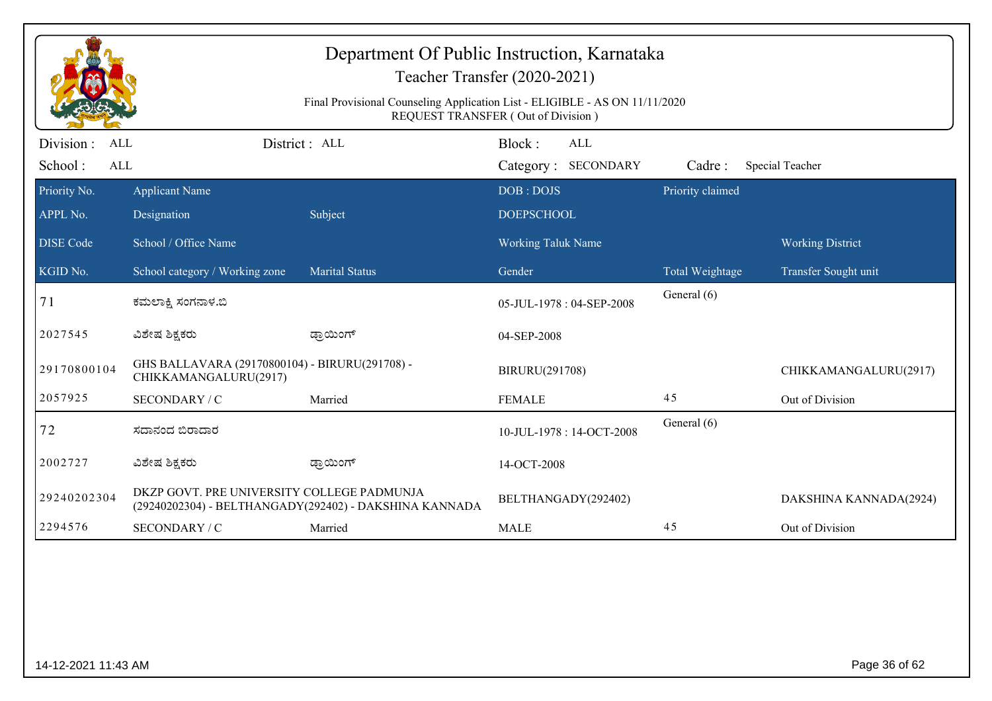| Department Of Public Instruction, Karnataka<br>Teacher Transfer (2020-2021)<br>Final Provisional Counseling Application List - ELIGIBLE - AS ON 11/11/2020<br>REQUEST TRANSFER (Out of Division) |                                                                         |                                                        |                                      |                  |                         |  |  |
|--------------------------------------------------------------------------------------------------------------------------------------------------------------------------------------------------|-------------------------------------------------------------------------|--------------------------------------------------------|--------------------------------------|------------------|-------------------------|--|--|
| Division :<br><b>ALL</b><br>School:<br>ALL                                                                                                                                                       |                                                                         | District : ALL                                         | Block:<br>ALL<br>Category: SECONDARY | Cadre:           | Special Teacher         |  |  |
| Priority No.                                                                                                                                                                                     | <b>Applicant Name</b>                                                   |                                                        | DOB: DOJS                            | Priority claimed |                         |  |  |
| APPL No.                                                                                                                                                                                         | Designation                                                             | Subject                                                | <b>DOEPSCHOOL</b>                    |                  |                         |  |  |
| <b>DISE Code</b>                                                                                                                                                                                 | School / Office Name                                                    |                                                        | <b>Working Taluk Name</b>            |                  | <b>Working District</b> |  |  |
| KGID No.                                                                                                                                                                                         | School category / Working zone                                          | <b>Marital Status</b>                                  | Gender                               | Total Weightage  | Transfer Sought unit    |  |  |
| 71                                                                                                                                                                                               | ಕಮಲಾಕ್ಷಿ ಸಂಗನಾಳ.ಬಿ                                                      |                                                        | 05-JUL-1978: 04-SEP-2008             | General (6)      |                         |  |  |
| 2027545                                                                                                                                                                                          | ವಿಶೇಷ ಶಿಕ್ಷಕರು                                                          | ಡ್ರಾಯಿಂಗ್                                              | 04-SEP-2008                          |                  |                         |  |  |
| 29170800104                                                                                                                                                                                      | GHS BALLAVARA (29170800104) - BIRURU(291708) -<br>CHIKKAMANGALURU(2917) |                                                        | BIRURU(291708)                       |                  | CHIKKAMANGALURU(2917)   |  |  |
| 2057925                                                                                                                                                                                          | SECONDARY / C                                                           | Married                                                | <b>FEMALE</b>                        | 45               | Out of Division         |  |  |
| 72                                                                                                                                                                                               | ಸದಾನಂದ ಬಿರಾದಾರ                                                          |                                                        | 10-JUL-1978: 14-OCT-2008             | General (6)      |                         |  |  |
| 2002727                                                                                                                                                                                          | ವಿಶೇಷ ಶಿಕ್ಷಕರು                                                          | ಡ್ರಾಯಿಂಗ್                                              | 14-OCT-2008                          |                  |                         |  |  |
| 29240202304                                                                                                                                                                                      | DKZP GOVT. PRE UNIVERSITY COLLEGE PADMUNJA                              | (29240202304) - BELTHANGADY(292402) - DAKSHINA KANNADA | BELTHANGADY(292402)                  |                  | DAKSHINA KANNADA(2924)  |  |  |
| 2294576                                                                                                                                                                                          | SECONDARY / C                                                           | Married                                                | <b>MALE</b>                          | 45               | Out of Division         |  |  |
|                                                                                                                                                                                                  |                                                                         |                                                        |                                      |                  |                         |  |  |
| 14-12-2021 11:43 AM                                                                                                                                                                              |                                                                         |                                                        |                                      |                  | Page 36 of 62           |  |  |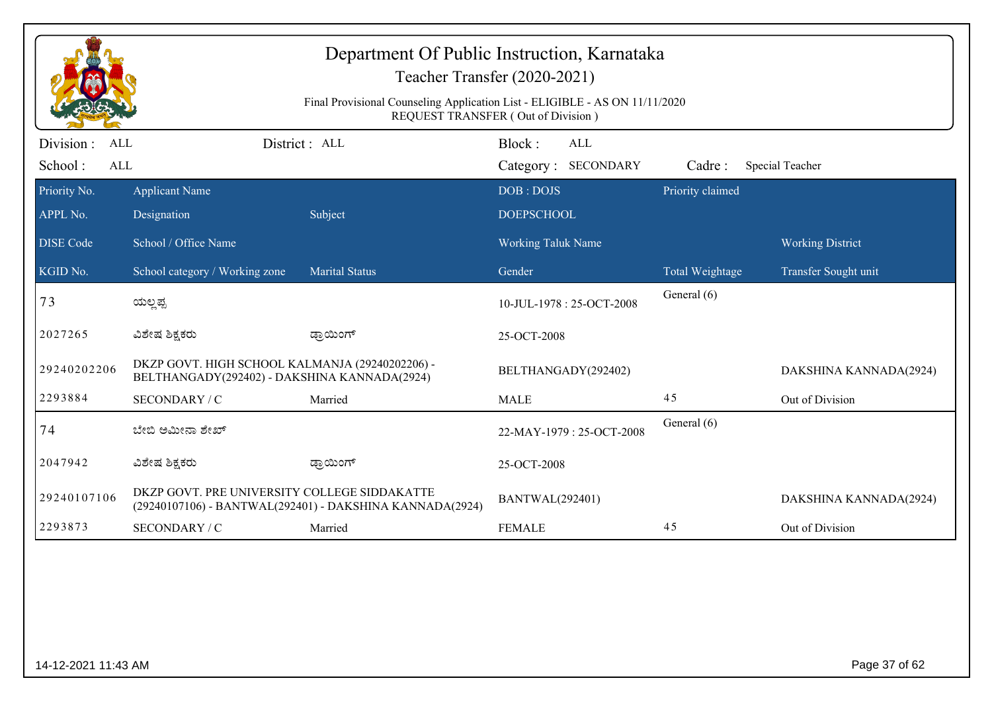|                                                  | Department Of Public Instruction, Karnataka<br>Teacher Transfer (2020-2021)<br>Final Provisional Counseling Application List - ELIGIBLE - AS ON 11/11/2020<br><b>REQUEST TRANSFER (Out of Division)</b> |                                                          |                                      |                  |                         |  |  |  |
|--------------------------------------------------|---------------------------------------------------------------------------------------------------------------------------------------------------------------------------------------------------------|----------------------------------------------------------|--------------------------------------|------------------|-------------------------|--|--|--|
| Division:<br><b>ALL</b><br>School:<br><b>ALL</b> |                                                                                                                                                                                                         | District: ALL                                            | Block:<br>ALL<br>Category: SECONDARY | Cadre:           | Special Teacher         |  |  |  |
| Priority No.<br>APPL No.                         | <b>Applicant Name</b><br>Designation                                                                                                                                                                    | Subject                                                  | DOB: DOJS<br><b>DOEPSCHOOL</b>       | Priority claimed |                         |  |  |  |
| <b>DISE Code</b>                                 | School / Office Name                                                                                                                                                                                    |                                                          | Working Taluk Name                   |                  | <b>Working District</b> |  |  |  |
| KGID No.                                         | School category / Working zone                                                                                                                                                                          | <b>Marital Status</b>                                    | Gender                               | Total Weightage  | Transfer Sought unit    |  |  |  |
| 73                                               | ಯಲ್ಲಪ್ಪ                                                                                                                                                                                                 |                                                          | 10-JUL-1978: 25-OCT-2008             | General (6)      |                         |  |  |  |
| 2027265                                          | ವಿಶೇಷ ಶಿಕ್ಷಕರು                                                                                                                                                                                          | ಡ್ರಾಯಿಂಗ್                                                | 25-OCT-2008                          |                  |                         |  |  |  |
| 29240202206                                      | DKZP GOVT. HIGH SCHOOL KALMANJA (29240202206) -<br>BELTHANGADY(292402) - DAKSHINA KANNADA(2924)                                                                                                         |                                                          | BELTHANGADY(292402)                  |                  | DAKSHINA KANNADA(2924)  |  |  |  |
| 2293884                                          | SECONDARY / C                                                                                                                                                                                           | Married                                                  | <b>MALE</b>                          | 45               | Out of Division         |  |  |  |
| 74                                               | ಬೇಬಿ ಅಮೀನಾ ಶೇಖ್                                                                                                                                                                                         |                                                          | 22-MAY-1979: 25-OCT-2008             | General (6)      |                         |  |  |  |
| 2047942                                          | ವಿಶೇಷ ಶಿಕ್ಷಕರು                                                                                                                                                                                          | ಡ್ರಾಯಿಂಗ್                                                | 25-OCT-2008                          |                  |                         |  |  |  |
| 29240107106                                      | DKZP GOVT. PRE UNIVERSITY COLLEGE SIDDAKATTE                                                                                                                                                            | (29240107106) - BANTWAL(292401) - DAKSHINA KANNADA(2924) | <b>BANTWAL(292401)</b>               |                  | DAKSHINA KANNADA(2924)  |  |  |  |
| 2293873                                          | SECONDARY / C                                                                                                                                                                                           | Married                                                  | <b>FEMALE</b>                        | 45               | Out of Division         |  |  |  |
|                                                  |                                                                                                                                                                                                         |                                                          |                                      |                  |                         |  |  |  |
| 14-12-2021 11:43 AM                              |                                                                                                                                                                                                         |                                                          |                                      |                  | Page 37 of 62           |  |  |  |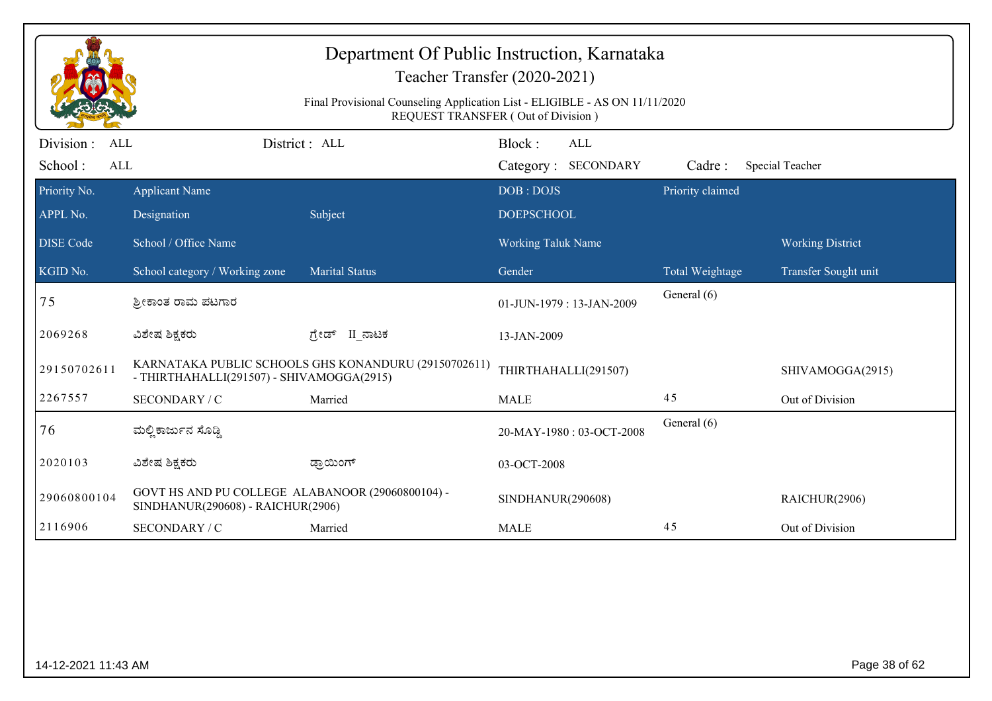| Department Of Public Instruction, Karnataka<br>Teacher Transfer (2020-2021)<br>Final Provisional Counseling Application List - ELIGIBLE - AS ON 11/11/2020<br>REQUEST TRANSFER (Out of Division) |                                                                                       |                                                      |                                      |                  |                         |  |  |
|--------------------------------------------------------------------------------------------------------------------------------------------------------------------------------------------------|---------------------------------------------------------------------------------------|------------------------------------------------------|--------------------------------------|------------------|-------------------------|--|--|
| Division :<br><b>ALL</b><br>School:<br>ALL                                                                                                                                                       |                                                                                       | District : ALL                                       | Block:<br>ALL<br>Category: SECONDARY | Cadre:           | Special Teacher         |  |  |
| Priority No.<br>APPL No.                                                                                                                                                                         | <b>Applicant Name</b><br>Designation                                                  | Subject                                              | DOB: DOJS<br><b>DOEPSCHOOL</b>       | Priority claimed |                         |  |  |
| <b>DISE</b> Code                                                                                                                                                                                 | School / Office Name                                                                  |                                                      | <b>Working Taluk Name</b>            |                  | <b>Working District</b> |  |  |
| KGID No.                                                                                                                                                                                         | School category / Working zone                                                        | <b>Marital Status</b>                                | Gender                               | Total Weightage  | Transfer Sought unit    |  |  |
| 75                                                                                                                                                                                               | ಶ್ರೀಕಾಂತ ರಾಮ ಪಟಗಾರ                                                                    |                                                      | 01-JUN-1979: 13-JAN-2009             | General (6)      |                         |  |  |
| 2069268                                                                                                                                                                                          | ವಿಶೇಷ ಶಿಕ್ಷಕರು                                                                        | II_ನಾಟಕ<br>ಗ್ರೇಡ್                                    | 13-JAN-2009                          |                  |                         |  |  |
| 29150702611                                                                                                                                                                                      | - THIRTHAHALLI(291507) - SHIVAMOGGA(2915)                                             | KARNATAKA PUBLIC SCHOOLS GHS KONANDURU (29150702611) | THIRTHAHALLI(291507)                 |                  | SHIVAMOGGA(2915)        |  |  |
| 2267557                                                                                                                                                                                          | SECONDARY / C                                                                         | Married                                              | <b>MALE</b>                          | 45               | Out of Division         |  |  |
| 76                                                                                                                                                                                               | ಮಲ್ಲಿ ಕಾರ್ಜುನ ಸೊಡ್ಡಿ                                                                  |                                                      | 20-MAY-1980: 03-OCT-2008             | General (6)      |                         |  |  |
| 2020103                                                                                                                                                                                          | ವಿಶೇಷ ಶಿಕ್ಷಕರು                                                                        | ಡ್ರಾಯಿಂಗ್                                            | 03-OCT-2008                          |                  |                         |  |  |
| 29060800104                                                                                                                                                                                      | GOVT HS AND PU COLLEGE ALABANOOR (29060800104) -<br>SINDHANUR(290608) - RAICHUR(2906) |                                                      | SINDHANUR(290608)                    |                  | RAICHUR(2906)           |  |  |
| 2116906                                                                                                                                                                                          | SECONDARY / C                                                                         | Married                                              | <b>MALE</b>                          | 45               | Out of Division         |  |  |
|                                                                                                                                                                                                  |                                                                                       |                                                      |                                      |                  |                         |  |  |
| 14-12-2021 11:43 AM                                                                                                                                                                              |                                                                                       |                                                      |                                      |                  | Page 38 of 62           |  |  |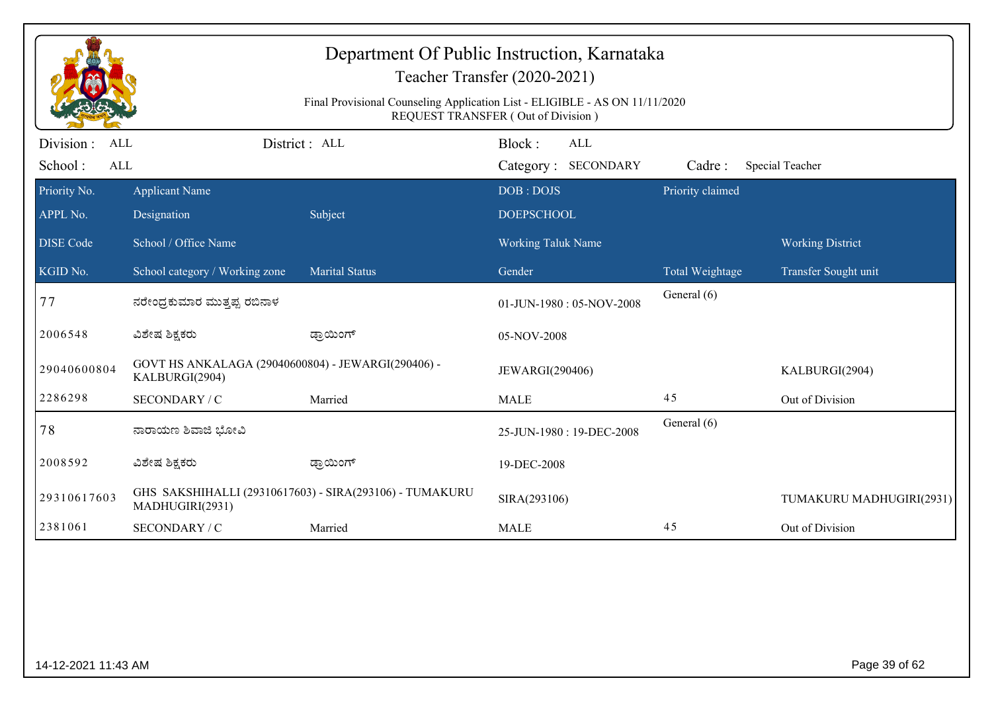|                                                  | Department Of Public Instruction, Karnataka<br>Teacher Transfer (2020-2021)<br>Final Provisional Counseling Application List - ELIGIBLE - AS ON 11/11/2020<br><b>REQUEST TRANSFER (Out of Division)</b> |                                                         |                                      |                  |                          |  |  |  |
|--------------------------------------------------|---------------------------------------------------------------------------------------------------------------------------------------------------------------------------------------------------------|---------------------------------------------------------|--------------------------------------|------------------|--------------------------|--|--|--|
| Division:<br><b>ALL</b><br>School:<br><b>ALL</b> |                                                                                                                                                                                                         | District: ALL                                           | Block:<br>ALL<br>Category: SECONDARY | Cadre:           | Special Teacher          |  |  |  |
| Priority No.<br>APPL No.                         | <b>Applicant Name</b><br>Designation                                                                                                                                                                    | Subject                                                 | DOB: DOJS<br><b>DOEPSCHOOL</b>       | Priority claimed |                          |  |  |  |
| <b>DISE Code</b>                                 | School / Office Name                                                                                                                                                                                    |                                                         | Working Taluk Name                   |                  | <b>Working District</b>  |  |  |  |
| KGID No.                                         | School category / Working zone                                                                                                                                                                          | Marital Status                                          | Gender                               | Total Weightage  | Transfer Sought unit     |  |  |  |
| 77                                               | ನರೇಂಧ್ರಕುಮಾರ ಮುತ್ತಪ್ಪ ರಬಿನಾಳ                                                                                                                                                                            |                                                         | 01-JUN-1980: 05-NOV-2008             | General (6)      |                          |  |  |  |
| 2006548                                          | ವಿಶೇಷ ಶಿಕ್ಷಕರು                                                                                                                                                                                          | ಡ್ರಾಯಿಂಗ್                                               | 05-NOV-2008                          |                  |                          |  |  |  |
| 29040600804                                      | GOVT HS ANKALAGA (29040600804) - JEWARGI(290406) -<br>KALBURGI(2904)                                                                                                                                    |                                                         | JEWARGI(290406)                      |                  | KALBURGI(2904)           |  |  |  |
| 2286298                                          | SECONDARY / C                                                                                                                                                                                           | Married                                                 | <b>MALE</b>                          | 45               | Out of Division          |  |  |  |
| 78                                               | ನಾರಾಯಣ ಶಿವಾಜಿ ಭೋವಿ                                                                                                                                                                                      |                                                         | 25-JUN-1980: 19-DEC-2008             | General (6)      |                          |  |  |  |
| 2008592                                          | ವಿಶೇಷ ಶಿಕ್ಷಕರು                                                                                                                                                                                          | ಡ್ರಾಯಿಂಗ್                                               | 19-DEC-2008                          |                  |                          |  |  |  |
| 29310617603                                      | MADHUGIRI(2931)                                                                                                                                                                                         | GHS SAKSHIHALLI (29310617603) - SIRA(293106) - TUMAKURU | SIRA(293106)                         |                  | TUMAKURU MADHUGIRI(2931) |  |  |  |
| 2381061                                          | SECONDARY / C                                                                                                                                                                                           | Married                                                 | <b>MALE</b>                          | 45               | Out of Division          |  |  |  |
|                                                  |                                                                                                                                                                                                         |                                                         |                                      |                  |                          |  |  |  |
| 14-12-2021 11:43 AM                              |                                                                                                                                                                                                         |                                                         |                                      |                  | Page 39 of 62            |  |  |  |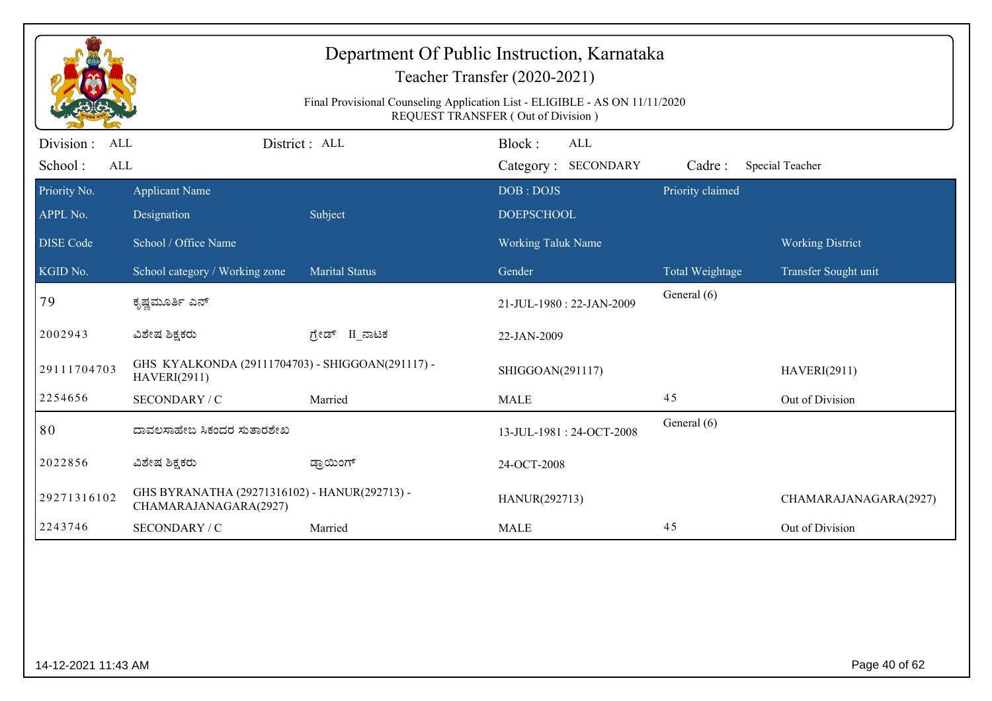| Department Of Public Instruction, Karnataka<br>Teacher Transfer (2020-2021)<br>Final Provisional Counseling Application List - ELIGIBLE - AS ON 11/11/2020<br>REQUEST TRANSFER (Out of Division) |                                                                         |                       |                           |                  |                         |  |  |  |
|--------------------------------------------------------------------------------------------------------------------------------------------------------------------------------------------------|-------------------------------------------------------------------------|-----------------------|---------------------------|------------------|-------------------------|--|--|--|
| Division :<br>ALL                                                                                                                                                                                |                                                                         | District: ALL         | Block:<br><b>ALL</b>      |                  |                         |  |  |  |
| School:<br><b>ALL</b>                                                                                                                                                                            |                                                                         |                       | Category: SECONDARY       | Cadre:           | Special Teacher         |  |  |  |
| Priority No.                                                                                                                                                                                     | <b>Applicant Name</b>                                                   |                       | DOB: DOJS                 | Priority claimed |                         |  |  |  |
| APPL No.                                                                                                                                                                                         | Designation                                                             | Subject               | <b>DOEPSCHOOL</b>         |                  |                         |  |  |  |
| <b>DISE</b> Code                                                                                                                                                                                 | School / Office Name                                                    |                       | <b>Working Taluk Name</b> |                  | <b>Working District</b> |  |  |  |
| KGID No.                                                                                                                                                                                         | School category / Working zone                                          | <b>Marital Status</b> | Gender                    | Total Weightage  | Transfer Sought unit    |  |  |  |
| 79                                                                                                                                                                                               | ಕೃಷ್ಣಮೂರ್ತಿ ಎನ್                                                         |                       | 21-JUL-1980: 22-JAN-2009  | General (6)      |                         |  |  |  |
| 2002943                                                                                                                                                                                          | ವಿಶೇಷ ಶಿಕ್ಷಕರು                                                          | ಗ್ರೇಡ್ II_ನಾಟಕ        | 22-JAN-2009               |                  |                         |  |  |  |
| 29111704703                                                                                                                                                                                      | GHS KYALKONDA (29111704703) - SHIGGOAN(291117) -<br><b>HAVERI(2911)</b> |                       | SHIGGOAN(291117)          |                  | <b>HAVERI(2911)</b>     |  |  |  |
| 2254656                                                                                                                                                                                          | SECONDARY / C                                                           | Married               | <b>MALE</b>               | 45               | Out of Division         |  |  |  |
| 80                                                                                                                                                                                               | ದಾವಲಸಾಹೇಬ ಸಿಕಂದರ ಸುತಾರಶೇಖ                                               |                       | 13-JUL-1981: 24-OCT-2008  | General (6)      |                         |  |  |  |
| 2022856                                                                                                                                                                                          | ವಿಶೇಷ ಶಿಕ್ಷಕರು                                                          | ಡ್ರಾಯಿಂಗ್             | 24-OCT-2008               |                  |                         |  |  |  |
| 29271316102                                                                                                                                                                                      | GHS BYRANATHA (29271316102) - HANUR(292713) -<br>CHAMARAJANAGARA(2927)  |                       | HANUR(292713)             |                  | CHAMARAJANAGARA(2927)   |  |  |  |
| 2243746                                                                                                                                                                                          | SECONDARY / C                                                           | Married               | <b>MALE</b>               | 45               | Out of Division         |  |  |  |
|                                                                                                                                                                                                  |                                                                         |                       |                           |                  |                         |  |  |  |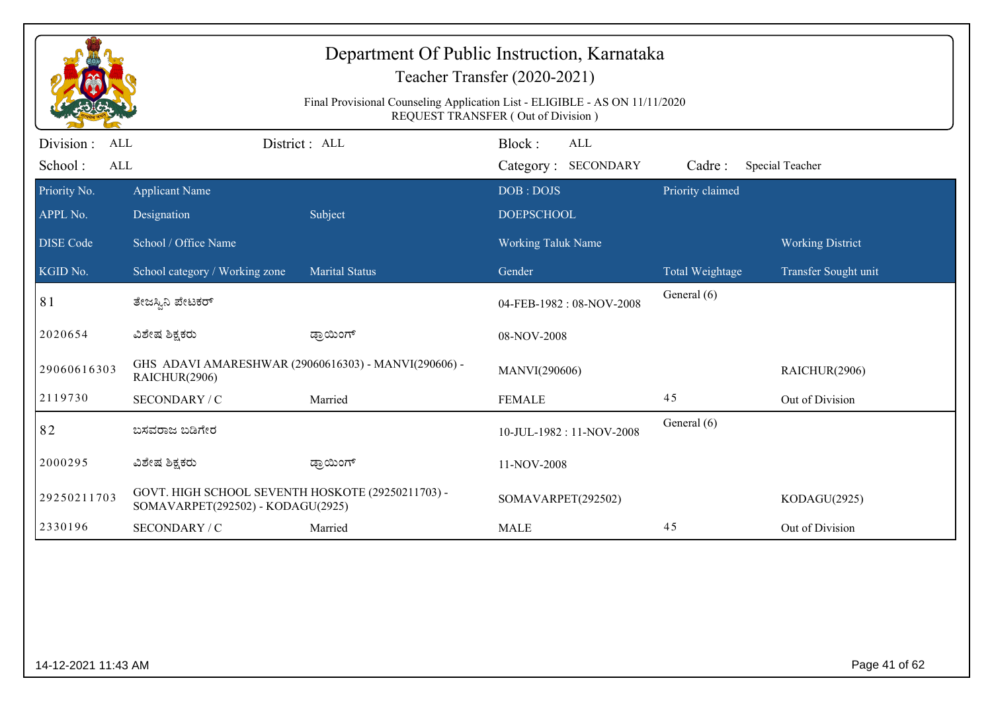|                          | Department Of Public Instruction, Karnataka<br>Teacher Transfer (2020-2021)<br>Final Provisional Counseling Application List - ELIGIBLE - AS ON 11/11/2020<br>REQUEST TRANSFER (Out of Division) |                       |                                |                  |                         |  |  |  |
|--------------------------|--------------------------------------------------------------------------------------------------------------------------------------------------------------------------------------------------|-----------------------|--------------------------------|------------------|-------------------------|--|--|--|
| Division:<br><b>ALL</b>  |                                                                                                                                                                                                  | District : ALL        | Block:<br>ALL                  |                  |                         |  |  |  |
| School:<br><b>ALL</b>    |                                                                                                                                                                                                  |                       | Category: SECONDARY            | Cadre:           | Special Teacher         |  |  |  |
| Priority No.<br>APPL No. | <b>Applicant Name</b><br>Designation                                                                                                                                                             | Subject               | DOB: DOJS<br><b>DOEPSCHOOL</b> | Priority claimed |                         |  |  |  |
|                          |                                                                                                                                                                                                  |                       |                                |                  |                         |  |  |  |
| <b>DISE Code</b>         | School / Office Name                                                                                                                                                                             |                       | <b>Working Taluk Name</b>      |                  | <b>Working District</b> |  |  |  |
| KGID No.                 | School category / Working zone                                                                                                                                                                   | <b>Marital Status</b> | Gender                         | Total Weightage  | Transfer Sought unit    |  |  |  |
| 81                       | ತೇಜಸ್ಸಿನಿ ಪೇಟಕರ್                                                                                                                                                                                 |                       | 04-FEB-1982: 08-NOV-2008       | General (6)      |                         |  |  |  |
| 2020654                  | ವಿಶೇಷ ಶಿಕ್ಷಕರು                                                                                                                                                                                   | ಡ್ರಾಯಿಂಗ್             | 08-NOV-2008                    |                  |                         |  |  |  |
| 29060616303              | GHS ADAVI AMARESHWAR (29060616303) - MANVI(290606) -<br>RAICHUR(2906)                                                                                                                            |                       | MANVI(290606)                  |                  | RAICHUR(2906)           |  |  |  |
| 2119730                  | SECONDARY / C                                                                                                                                                                                    | Married               | <b>FEMALE</b>                  | 45               | Out of Division         |  |  |  |
| 82                       | ಬಸವರಾಜ ಬಡಿಗೇರ                                                                                                                                                                                    |                       | 10-JUL-1982: 11-NOV-2008       | General (6)      |                         |  |  |  |
| 2000295                  | ವಿಶೇಷ ಶಿಕ್ಷಕರು                                                                                                                                                                                   | ಡ್ರಾಯಿಂಗ್             | 11-NOV-2008                    |                  |                         |  |  |  |
| 29250211703              | GOVT. HIGH SCHOOL SEVENTH HOSKOTE (29250211703) -<br>SOMAVARPET(292502) - KODAGU(2925)                                                                                                           |                       | SOMAVARPET(292502)             |                  | KODAGU(2925)            |  |  |  |
| 2330196                  | SECONDARY / C                                                                                                                                                                                    | Married               | <b>MALE</b>                    | 45               | Out of Division         |  |  |  |
|                          |                                                                                                                                                                                                  |                       |                                |                  |                         |  |  |  |
| 14-12-2021 11:43 AM      |                                                                                                                                                                                                  |                       |                                |                  | Page 41 of 62           |  |  |  |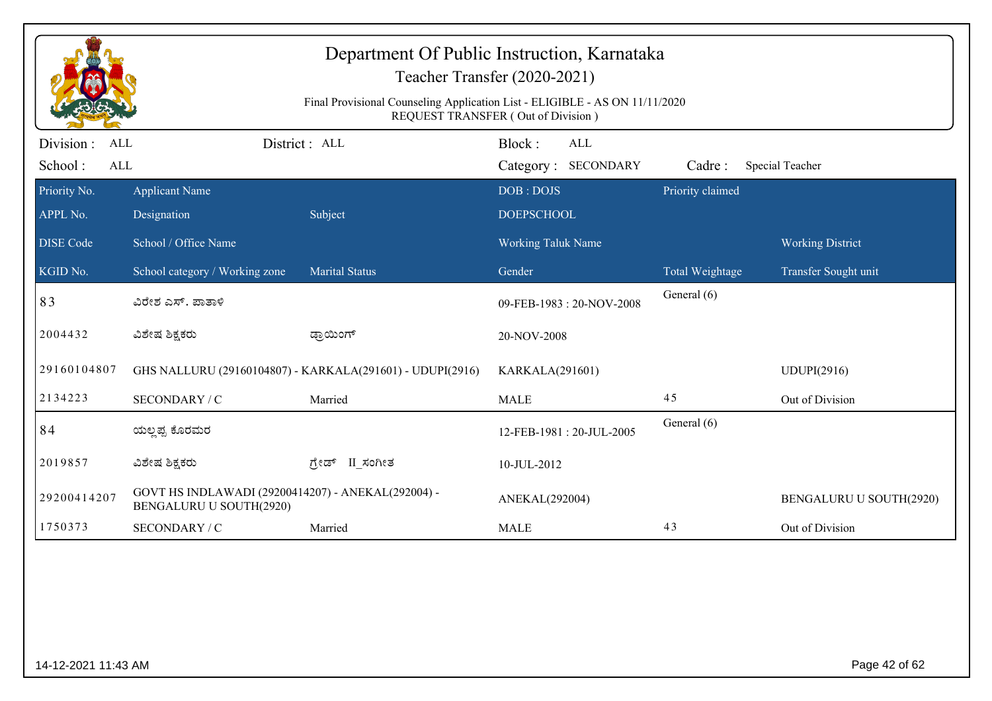| Department Of Public Instruction, Karnataka<br>Teacher Transfer (2020-2021) |                                                                                                                   |                                                           |                                             |                  |                         |  |  |  |
|-----------------------------------------------------------------------------|-------------------------------------------------------------------------------------------------------------------|-----------------------------------------------------------|---------------------------------------------|------------------|-------------------------|--|--|--|
|                                                                             | Final Provisional Counseling Application List - ELIGIBLE - AS ON 11/11/2020<br>REQUEST TRANSFER (Out of Division) |                                                           |                                             |                  |                         |  |  |  |
| Division:<br>ALL<br>School:<br><b>ALL</b>                                   |                                                                                                                   | District: ALL                                             | Block:<br><b>ALL</b><br>Category: SECONDARY | Cadre:           | Special Teacher         |  |  |  |
| Priority No.<br>APPL No.                                                    | <b>Applicant Name</b><br>Designation                                                                              | Subject                                                   | DOB: DOJS<br><b>DOEPSCHOOL</b>              | Priority claimed |                         |  |  |  |
| <b>DISE</b> Code                                                            | School / Office Name                                                                                              |                                                           | <b>Working Taluk Name</b>                   |                  | <b>Working District</b> |  |  |  |
| $\overline{\text{KGID No.}}$                                                | School category / Working zone                                                                                    | <b>Marital Status</b>                                     | Gender                                      | Total Weightage  | Transfer Sought unit    |  |  |  |
| 83                                                                          | ವಿರೇಶ ಎಸ್. ಪಾತಾಳಿ                                                                                                 |                                                           | 09-FEB-1983: 20-NOV-2008                    | General (6)      |                         |  |  |  |
| 2004432                                                                     | ವಿಶೇಷ ಶಿಕ್ಷಕರು                                                                                                    | ಡ್ರಾಯಿಂಗ್                                                 | 20-NOV-2008                                 |                  |                         |  |  |  |
| 29160104807                                                                 |                                                                                                                   | GHS NALLURU (29160104807) - KARKALA(291601) - UDUPI(2916) | KARKALA(291601)                             |                  | <b>UDUPI(2916)</b>      |  |  |  |
| 2134223                                                                     | SECONDARY / C                                                                                                     | Married                                                   | <b>MALE</b>                                 | 45               | Out of Division         |  |  |  |
| 84                                                                          | ಯಲ್ಲಪ್ಪ ಕೊರಮರ                                                                                                     |                                                           | 12-FEB-1981: 20-JUL-2005                    | General (6)      |                         |  |  |  |
| 2019857                                                                     | ವಿಶೇಷ ಶಿಕ್ಷಕರು                                                                                                    | ಗೇಡ್ II ಸಂಗೀತ                                             | 10-JUL-2012                                 |                  |                         |  |  |  |
| 29200414207                                                                 | GOVT HS INDLAWADI (29200414207) - ANEKAL(292004) -<br>BENGALURU U SOUTH(2920)                                     |                                                           | ANEKAL(292004)                              |                  | BENGALURU U SOUTH(2920) |  |  |  |
| 1750373                                                                     | SECONDARY / C                                                                                                     | Married                                                   | <b>MALE</b>                                 | 43               | Out of Division         |  |  |  |
|                                                                             |                                                                                                                   |                                                           |                                             |                  |                         |  |  |  |
| 14-12-2021 11:43 AM                                                         |                                                                                                                   |                                                           |                                             |                  | Page 42 of 62           |  |  |  |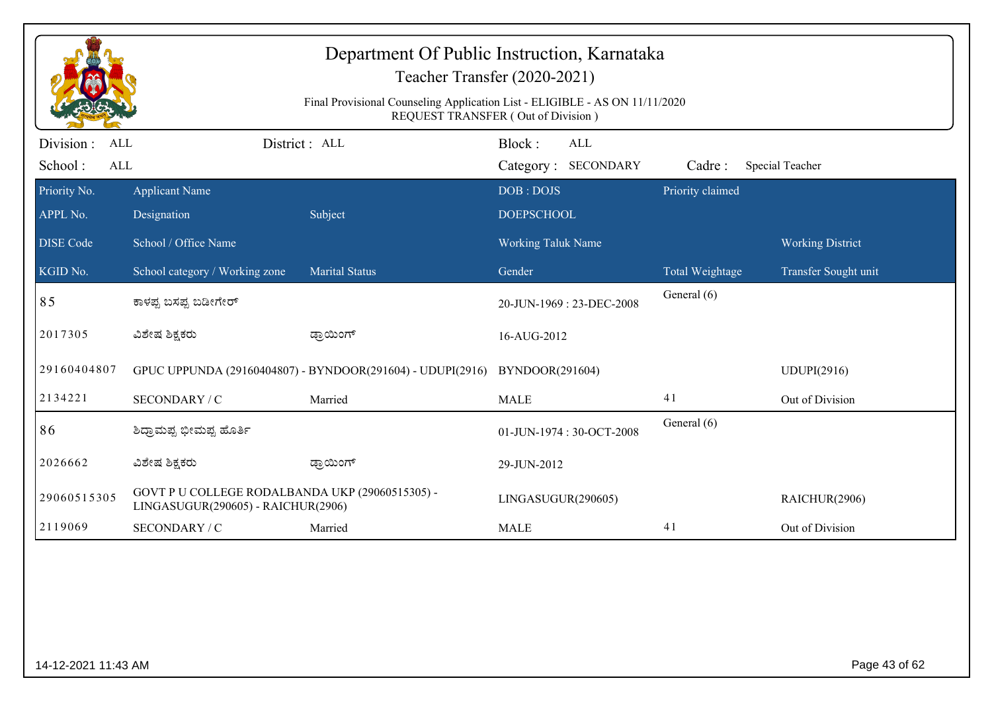| Department Of Public Instruction, Karnataka<br>Teacher Transfer (2020-2021)<br>Final Provisional Counseling Application List - ELIGIBLE - AS ON 11/11/2020<br>REQUEST TRANSFER (Out of Division) |                                                                                       |                                                            |                                |                                   |                  |                         |  |
|--------------------------------------------------------------------------------------------------------------------------------------------------------------------------------------------------|---------------------------------------------------------------------------------------|------------------------------------------------------------|--------------------------------|-----------------------------------|------------------|-------------------------|--|
| Division :<br>ALL<br>School:<br>ALL                                                                                                                                                              |                                                                                       | District: ALL                                              | Block:                         | <b>ALL</b><br>Category: SECONDARY | Cadre:           | Special Teacher         |  |
| Priority No.<br>APPL No.                                                                                                                                                                         | Applicant Name<br>Designation                                                         | Subject                                                    | DOB: DOJS<br><b>DOEPSCHOOL</b> |                                   | Priority claimed |                         |  |
| <b>DISE Code</b>                                                                                                                                                                                 | School / Office Name                                                                  |                                                            | Working Taluk Name             |                                   |                  | <b>Working District</b> |  |
| KGID No.                                                                                                                                                                                         | School category / Working zone                                                        | <b>Marital Status</b>                                      | Gender                         |                                   | Total Weightage  | Transfer Sought unit    |  |
| 85                                                                                                                                                                                               | ಕಾಳಪ್ಪ ಬಸಪ್ಪ ಬಡೀಗೇರ್                                                                  |                                                            |                                | 20-JUN-1969: 23-DEC-2008          | General (6)      |                         |  |
| 2017305                                                                                                                                                                                          | ವಿಶೇಷ ಶಿಕ್ಷಕರು                                                                        | ಡ್ರಾಯಿಂಗ್                                                  | 16-AUG-2012                    |                                   |                  |                         |  |
| 29160404807                                                                                                                                                                                      |                                                                                       | GPUC UPPUNDA (29160404807) - BYNDOOR(291604) - UDUPI(2916) | BYNDOOR(291604)                |                                   |                  | UDUPI(2916)             |  |
| 2134221                                                                                                                                                                                          | SECONDARY / C                                                                         | Married                                                    | <b>MALE</b>                    |                                   | 41               | Out of Division         |  |
| 86                                                                                                                                                                                               | ಶಿದ್ರಾಮಪ್ಪ ಭೀಮಪ್ಪ ಹೊರ್ತಿ                                                              |                                                            |                                | 01-JUN-1974: 30-OCT-2008          | General (6)      |                         |  |
| 2026662                                                                                                                                                                                          | ವಿಶೇಷ ಶಿಕ್ಷಕರು                                                                        | ಡ್ರಾಯಿಂಗ್                                                  | 29-JUN-2012                    |                                   |                  |                         |  |
| 29060515305                                                                                                                                                                                      | GOVT P U COLLEGE RODALBANDA UKP (29060515305) -<br>LINGASUGUR(290605) - RAICHUR(2906) |                                                            | LINGASUGUR(290605)             |                                   |                  | RAICHUR(2906)           |  |
| 2119069                                                                                                                                                                                          | SECONDARY / C                                                                         | Married                                                    | <b>MALE</b>                    |                                   | 41               | Out of Division         |  |
|                                                                                                                                                                                                  |                                                                                       |                                                            |                                |                                   |                  |                         |  |
| 14-12-2021 11:43 AM                                                                                                                                                                              |                                                                                       |                                                            |                                |                                   |                  | Page 43 of 62           |  |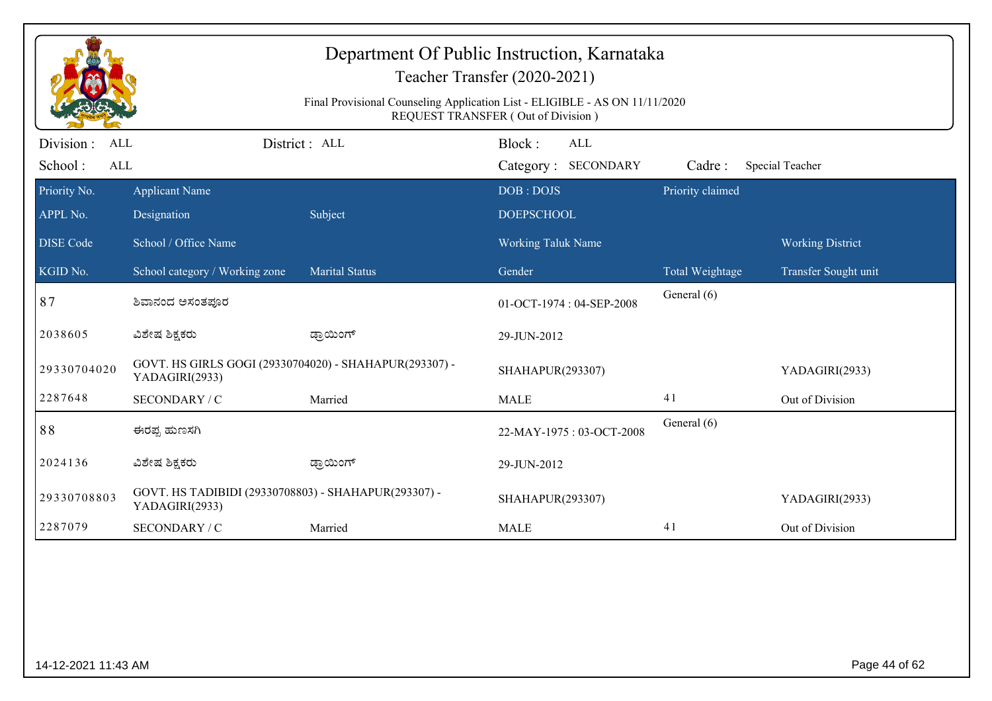| Department Of Public Instruction, Karnataka<br>Teacher Transfer (2020-2021)<br>Final Provisional Counseling Application List - ELIGIBLE - AS ON 11/11/2020<br>REQUEST TRANSFER (Out of Division) |                                                                          |                       |                                             |                  |                         |  |  |
|--------------------------------------------------------------------------------------------------------------------------------------------------------------------------------------------------|--------------------------------------------------------------------------|-----------------------|---------------------------------------------|------------------|-------------------------|--|--|
| Division:<br><b>ALL</b><br>School:<br><b>ALL</b>                                                                                                                                                 |                                                                          | District: ALL         | Block:<br><b>ALL</b><br>Category: SECONDARY | Cadre:           | Special Teacher         |  |  |
| Priority No.                                                                                                                                                                                     | <b>Applicant Name</b>                                                    |                       | DOB: DOJS                                   | Priority claimed |                         |  |  |
| APPL No.                                                                                                                                                                                         | Designation                                                              | Subject               | <b>DOEPSCHOOL</b>                           |                  |                         |  |  |
| <b>DISE Code</b>                                                                                                                                                                                 | School / Office Name                                                     |                       | <b>Working Taluk Name</b>                   |                  | <b>Working District</b> |  |  |
| KGID No.                                                                                                                                                                                         | School category / Working zone                                           | <b>Marital Status</b> | Gender                                      | Total Weightage  | Transfer Sought unit    |  |  |
| 87                                                                                                                                                                                               | ಶಿವಾನಂದ ಅಸಂತಪೂರ                                                          |                       | 01-OCT-1974: 04-SEP-2008                    | General (6)      |                         |  |  |
| 2038605                                                                                                                                                                                          | ವಿಶೇಷ ಶಿಕ್ಷಕರು                                                           | ಡ್ರಾಯಿಂಗ್             | 29-JUN-2012                                 |                  |                         |  |  |
| 29330704020                                                                                                                                                                                      | GOVT. HS GIRLS GOGI (29330704020) - SHAHAPUR(293307) -<br>YADAGIRI(2933) |                       | SHAHAPUR(293307)                            |                  | YADAGIRI(2933)          |  |  |
| 2287648                                                                                                                                                                                          | SECONDARY / C                                                            | Married               | <b>MALE</b>                                 | 41               | Out of Division         |  |  |
| 88                                                                                                                                                                                               | ಈರಪ್ಪ ಹುಣಸಗಿ                                                             |                       | 22-MAY-1975: 03-OCT-2008                    | General (6)      |                         |  |  |
| 2024136                                                                                                                                                                                          | ವಿಶೇಷ ಶಿಕ್ಷಕರು                                                           | ಡ್ರಾಯಿಂಗ್             | 29-JUN-2012                                 |                  |                         |  |  |
| 29330708803                                                                                                                                                                                      | GOVT. HS TADIBIDI (29330708803) - SHAHAPUR(293307) -<br>YADAGIRI(2933)   |                       | SHAHAPUR(293307)                            |                  | YADAGIRI(2933)          |  |  |
| 2287079                                                                                                                                                                                          | SECONDARY / C                                                            | Married               | <b>MALE</b>                                 | 41               | Out of Division         |  |  |
|                                                                                                                                                                                                  |                                                                          |                       |                                             |                  |                         |  |  |
| 14-12-2021 11:43 AM                                                                                                                                                                              |                                                                          |                       |                                             |                  | Page 44 of 62           |  |  |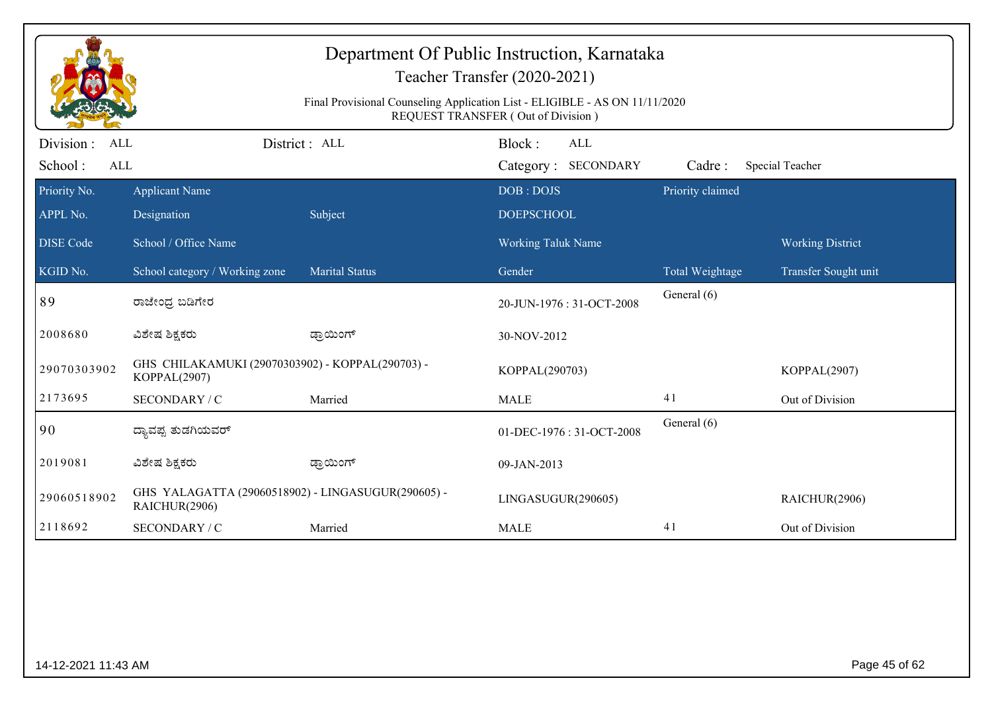| Department Of Public Instruction, Karnataka<br>Teacher Transfer (2020-2021)<br>Final Provisional Counseling Application List - ELIGIBLE - AS ON 11/11/2020<br><b>REQUEST TRANSFER (Out of Division)</b> |                                                                     |                       |                                |                  |                         |  |  |
|---------------------------------------------------------------------------------------------------------------------------------------------------------------------------------------------------------|---------------------------------------------------------------------|-----------------------|--------------------------------|------------------|-------------------------|--|--|
| Division:<br><b>ALL</b>                                                                                                                                                                                 |                                                                     | District: ALL         | Block:<br><b>ALL</b>           |                  |                         |  |  |
| School:<br><b>ALL</b>                                                                                                                                                                                   |                                                                     |                       | Category: SECONDARY            | Cadre:           | Special Teacher         |  |  |
| Priority No.<br>APPL No.                                                                                                                                                                                | <b>Applicant Name</b><br>Designation                                | Subject               | DOB: DOJS<br><b>DOEPSCHOOL</b> | Priority claimed |                         |  |  |
| <b>DISE Code</b>                                                                                                                                                                                        | School / Office Name                                                |                       | Working Taluk Name             |                  | <b>Working District</b> |  |  |
| KGID No.                                                                                                                                                                                                | School category / Working zone                                      | <b>Marital Status</b> | Gender                         | Total Weightage  | Transfer Sought unit    |  |  |
| 89                                                                                                                                                                                                      | ರಾಜೇಂದ್ರ ಬಡಿಗೇರ                                                     |                       | 20-JUN-1976: 31-OCT-2008       | General (6)      |                         |  |  |
| 2008680                                                                                                                                                                                                 | ವಿಶೇಷ ಶಿಕ್ಷಕರು                                                      | ಡ್ರಾಯಿಂಗ್             | 30-NOV-2012                    |                  |                         |  |  |
| 29070303902                                                                                                                                                                                             | GHS CHILAKAMUKI (29070303902) - KOPPAL(290703) -<br>KOPPAL(2907)    |                       | KOPPAL(290703)                 |                  | KOPPAL(2907)            |  |  |
| 2173695                                                                                                                                                                                                 | SECONDARY / C                                                       | Married               | <b>MALE</b>                    | 41               | Out of Division         |  |  |
| 90                                                                                                                                                                                                      | ದ್ಯಾವಪ್ಪ ತುಡಗಿಯವರ್                                                  |                       | 01-DEC-1976: 31-OCT-2008       | General (6)      |                         |  |  |
| 2019081                                                                                                                                                                                                 | ವಿಶೇಷ ಶಿಕ್ಷಕರು                                                      | ಡ್ರಾಯಿಂಗ್             | 09-JAN-2013                    |                  |                         |  |  |
| 29060518902                                                                                                                                                                                             | GHS YALAGATTA (29060518902) - LINGASUGUR(290605) -<br>RAICHUR(2906) |                       | LINGASUGUR(290605)             |                  | RAICHUR(2906)           |  |  |
| 2118692                                                                                                                                                                                                 | SECONDARY / C                                                       | Married               | <b>MALE</b>                    | 41               | Out of Division         |  |  |
|                                                                                                                                                                                                         |                                                                     |                       |                                |                  |                         |  |  |
| 14-12-2021 11:43 AM                                                                                                                                                                                     |                                                                     |                       |                                |                  | Page 45 of 62           |  |  |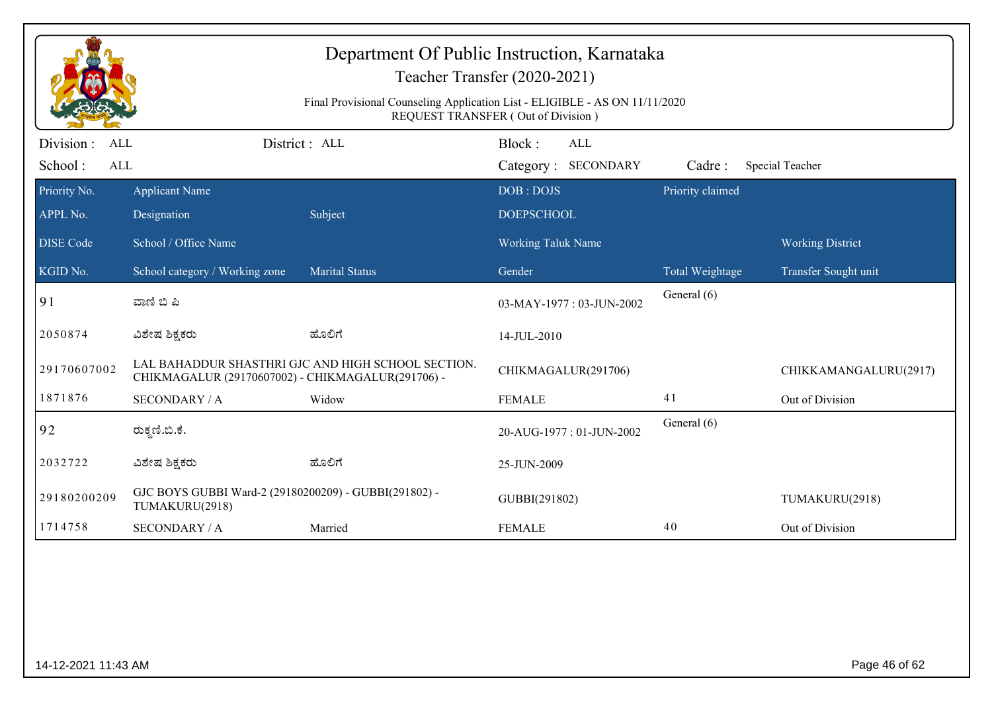| Final Provisional Counseling Application List - ELIGIBLE - AS ON 11/11/2020<br>REQUEST TRANSFER (Out of Division) |                                                                         |                                                    |                                      |                  |                         |  |  |
|-------------------------------------------------------------------------------------------------------------------|-------------------------------------------------------------------------|----------------------------------------------------|--------------------------------------|------------------|-------------------------|--|--|
| Division :<br>ALL<br>School:<br>$\mbox{ALL}$                                                                      |                                                                         | District : ALL                                     | Block:<br>ALL<br>Category: SECONDARY | Cadre:           | Special Teacher         |  |  |
| Priority No.                                                                                                      | <b>Applicant Name</b>                                                   |                                                    | DOB: DOJS                            | Priority claimed |                         |  |  |
| APPL No.                                                                                                          | Designation                                                             | Subject                                            | <b>DOEPSCHOOL</b>                    |                  |                         |  |  |
| <b>DISE</b> Code                                                                                                  | School / Office Name                                                    |                                                    | <b>Working Taluk Name</b>            |                  | <b>Working District</b> |  |  |
| KGID No.                                                                                                          | School category / Working zone                                          | <b>Marital Status</b>                              | Gender                               | Total Weightage  | Transfer Sought unit    |  |  |
| 91                                                                                                                | ವಾಣಿ ಬಿ ಪಿ                                                              |                                                    | 03-MAY-1977: 03-JUN-2002             | General (6)      |                         |  |  |
| 2050874                                                                                                           | ವಿಶೇಷ ಶಿಕ್ಷಕರು                                                          | ಹೊಲಿಗೆ                                             | 14-JUL-2010                          |                  |                         |  |  |
| 29170607002                                                                                                       | CHIKMAGALUR (29170607002) - CHIKMAGALUR(291706) -                       | LAL BAHADDUR SHASTHRI GJC AND HIGH SCHOOL SECTION. | CHIKMAGALUR(291706)                  |                  | CHIKKAMANGALURU(2917)   |  |  |
| 1871876                                                                                                           | <b>SECONDARY / A</b>                                                    | Widow                                              | <b>FEMALE</b>                        | 41               | Out of Division         |  |  |
| 92                                                                                                                | ರುಕ್ಕಣಿ.ಬಿ.ಕೆ.                                                          |                                                    | 20-AUG-1977: 01-JUN-2002             | General (6)      |                         |  |  |
| 2032722                                                                                                           | ವಿಶೇಷ ಶಿಕ್ಷಕರು                                                          | ಹೊಲಿಗೆ                                             | 25-JUN-2009                          |                  |                         |  |  |
| 29180200209                                                                                                       | GJC BOYS GUBBI Ward-2 (29180200209) - GUBBI(291802) -<br>TUMAKURU(2918) |                                                    | GUBBI(291802)                        |                  | TUMAKURU(2918)          |  |  |
| 1714758                                                                                                           | <b>SECONDARY / A</b>                                                    | Married                                            | <b>FEMALE</b>                        | 40               | Out of Division         |  |  |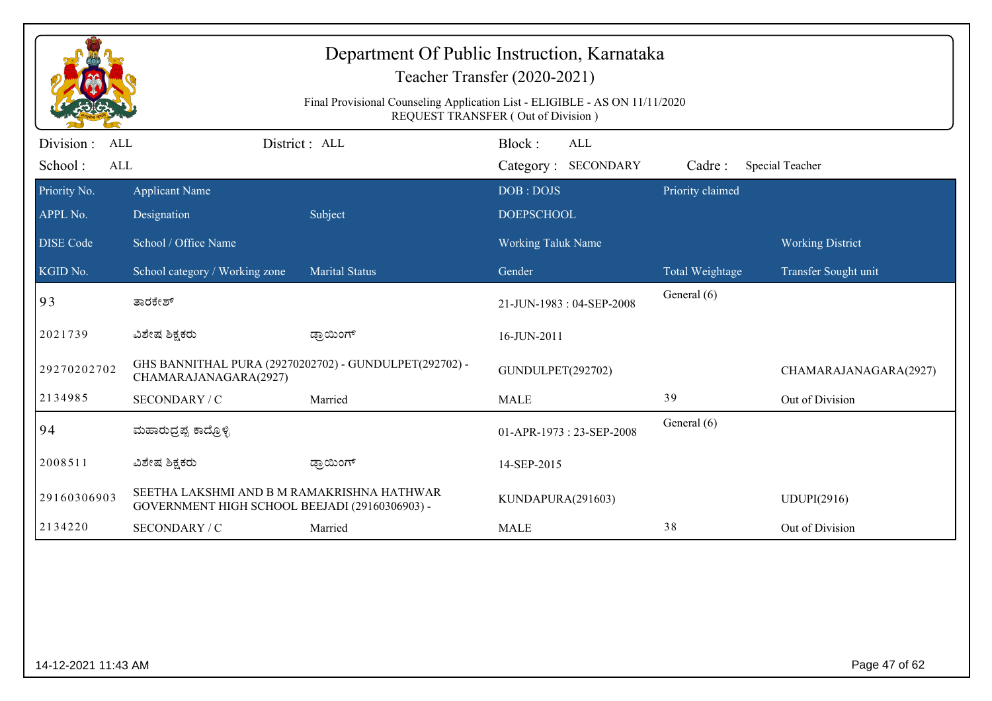|                                                  | Department Of Public Instruction, Karnataka<br>Teacher Transfer (2020-2021)<br>Final Provisional Counseling Application List - ELIGIBLE - AS ON 11/11/2020<br>REQUEST TRANSFER (Out of Division) |                                                        |                                      |                  |                         |  |  |  |
|--------------------------------------------------|--------------------------------------------------------------------------------------------------------------------------------------------------------------------------------------------------|--------------------------------------------------------|--------------------------------------|------------------|-------------------------|--|--|--|
| Division:<br><b>ALL</b><br>School:<br><b>ALL</b> |                                                                                                                                                                                                  | District: ALL                                          | Block:<br>ALL<br>Category: SECONDARY | Cadre:           | Special Teacher         |  |  |  |
| Priority No.<br>APPL No.                         | <b>Applicant Name</b><br>Designation                                                                                                                                                             | Subject                                                | DOB: DOJS<br><b>DOEPSCHOOL</b>       | Priority claimed |                         |  |  |  |
| <b>DISE Code</b>                                 | School / Office Name                                                                                                                                                                             |                                                        | Working Taluk Name                   |                  | <b>Working District</b> |  |  |  |
| KGID No.                                         | School category / Working zone                                                                                                                                                                   | <b>Marital Status</b>                                  | Gender                               | Total Weightage  | Transfer Sought unit    |  |  |  |
| 93                                               | ತಾರಕೇಶ್                                                                                                                                                                                          |                                                        | 21-JUN-1983: 04-SEP-2008             | General (6)      |                         |  |  |  |
| 2021739                                          | ವಿಶೇಷ ಶಿಕ್ಷಕರು                                                                                                                                                                                   | ಡ್ರಾಯಿಂಗ್                                              | 16-JUN-2011                          |                  |                         |  |  |  |
| 29270202702                                      | CHAMARAJANAGARA(2927)                                                                                                                                                                            | GHS BANNITHAL PURA (29270202702) - GUNDULPET(292702) - | GUNDULPET(292702)                    |                  | CHAMARAJANAGARA(2927)   |  |  |  |
| 2134985                                          | SECONDARY / C                                                                                                                                                                                    | Married                                                | <b>MALE</b>                          | 39               | Out of Division         |  |  |  |
| 94                                               | ಮಹಾರುದ್ರಪ್ಪ ಕಾದ್ರೊಳ್ಳಿ                                                                                                                                                                           |                                                        | 01-APR-1973: 23-SEP-2008             | General (6)      |                         |  |  |  |
| 2008511                                          | ವಿಶೇಷ ಶಿಕ್ಷಕರು                                                                                                                                                                                   | ಡ್ರಾಯಿಂಗ್                                              | 14-SEP-2015                          |                  |                         |  |  |  |
| 29160306903                                      | SEETHA LAKSHMI AND B M RAMAKRISHNA HATHWAR<br>GOVERNMENT HIGH SCHOOL BEEJADI (29160306903) -                                                                                                     |                                                        | KUNDAPURA(291603)                    |                  | <b>UDUPI(2916)</b>      |  |  |  |
| 2134220                                          | SECONDARY / C                                                                                                                                                                                    | Married                                                | <b>MALE</b>                          | 38               | Out of Division         |  |  |  |
|                                                  |                                                                                                                                                                                                  |                                                        |                                      |                  |                         |  |  |  |
| 14-12-2021 11:43 AM                              |                                                                                                                                                                                                  |                                                        |                                      |                  | Page 47 of 62           |  |  |  |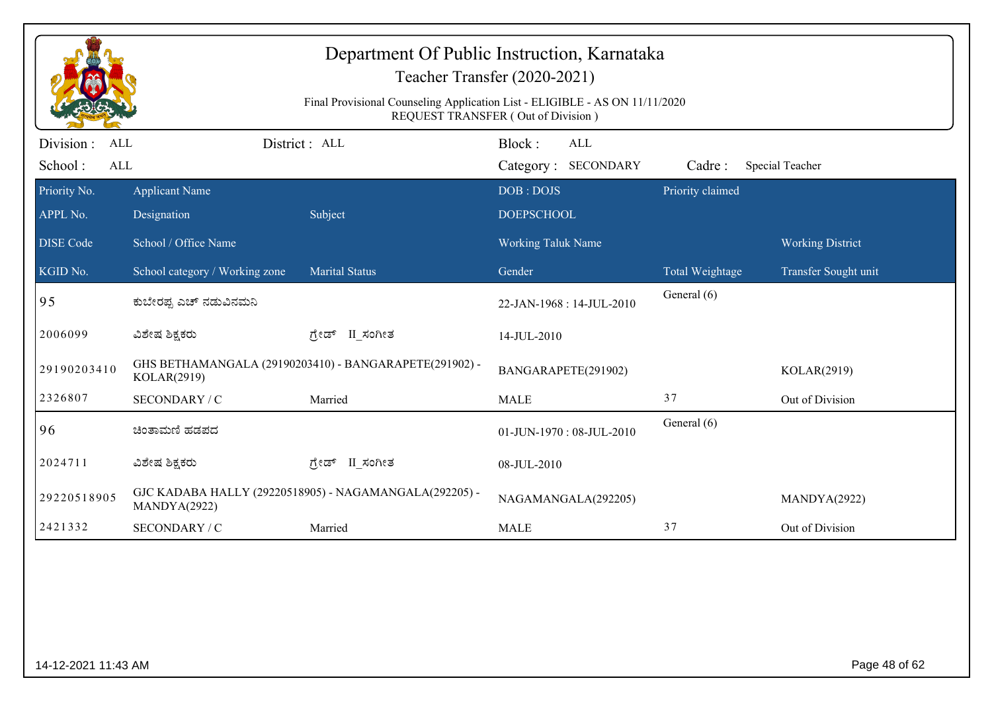| Department Of Public Instruction, Karnataka<br>Teacher Transfer (2020-2021)<br>Final Provisional Counseling Application List - ELIGIBLE - AS ON 11/11/2020<br>REQUEST TRANSFER (Out of Division) |                                                          |                                                        |                                             |                                |                         |  |  |
|--------------------------------------------------------------------------------------------------------------------------------------------------------------------------------------------------|----------------------------------------------------------|--------------------------------------------------------|---------------------------------------------|--------------------------------|-------------------------|--|--|
| Division :<br><b>ALL</b><br>School:<br>ALL                                                                                                                                                       |                                                          | District: ALL                                          | Block:<br><b>ALL</b><br>Category: SECONDARY | Cadre:                         | Special Teacher         |  |  |
| Priority No.<br>APPL No.                                                                                                                                                                         | <b>Applicant Name</b><br>Designation                     | Subject                                                | DOB: DOJS<br><b>DOEPSCHOOL</b>              | Priority claimed               |                         |  |  |
| <b>DISE Code</b>                                                                                                                                                                                 | School / Office Name                                     |                                                        | Working Taluk Name                          |                                | <b>Working District</b> |  |  |
| KGID No.<br>95                                                                                                                                                                                   | School category / Working zone<br>ಕುಬೇರಪ್ಪ ಎಚ್ ನಡುವಿನಮನಿ | <b>Marital Status</b>                                  | Gender<br>22-JAN-1968: 14-JUL-2010          | Total Weightage<br>General (6) | Transfer Sought unit    |  |  |
| 2006099                                                                                                                                                                                          | ವಿಶೇಷ ಶಿಕ್ಷಕರು                                           | ಗ್ರೇಡ್ II_ಸಂಗೀತ                                        | 14-JUL-2010                                 |                                |                         |  |  |
| 29190203410                                                                                                                                                                                      | KOLAR(2919)                                              | GHS BETHAMANGALA (29190203410) - BANGARAPETE(291902) - | BANGARAPETE(291902)                         |                                | KOLAR(2919)             |  |  |
| 2326807                                                                                                                                                                                          | SECONDARY / C                                            | Married                                                | <b>MALE</b>                                 | 37                             | Out of Division         |  |  |
| 96                                                                                                                                                                                               | ಚಿಂತಾಮಣಿ ಹಡಪದ                                            |                                                        | 01-JUN-1970: 08-JUL-2010                    | General (6)                    |                         |  |  |
| 2024711                                                                                                                                                                                          | ವಿಶೇಷ ಶಿಕ್ಷಕರು                                           | ಗ್ರೇಡ್ II ಸಂಗೀತ                                        | 08-JUL-2010                                 |                                |                         |  |  |
| 29220518905                                                                                                                                                                                      | MANDYA(2922)                                             | GJC KADABA HALLY (29220518905) - NAGAMANGALA(292205) - | NAGAMANGALA(292205)                         |                                | MANDYA(2922)            |  |  |
| 2421332                                                                                                                                                                                          | SECONDARY / C                                            | Married                                                | <b>MALE</b>                                 | 37                             | Out of Division         |  |  |
|                                                                                                                                                                                                  |                                                          |                                                        |                                             |                                |                         |  |  |
| 14-12-2021 11:43 AM                                                                                                                                                                              |                                                          |                                                        |                                             |                                | Page 48 of 62           |  |  |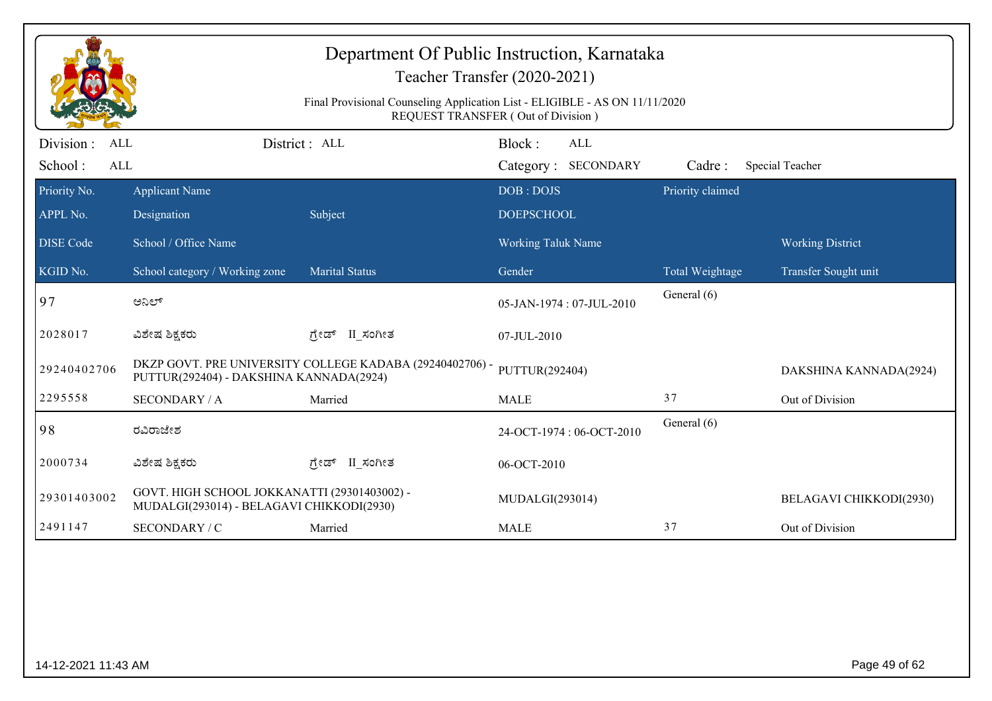|                                            | Department Of Public Instruction, Karnataka<br>Teacher Transfer (2020-2021)<br>Final Provisional Counseling Application List - ELIGIBLE - AS ON 11/11/2020<br>REQUEST TRANSFER (Out of Division) |                                                          |                                      |                  |                         |  |  |  |
|--------------------------------------------|--------------------------------------------------------------------------------------------------------------------------------------------------------------------------------------------------|----------------------------------------------------------|--------------------------------------|------------------|-------------------------|--|--|--|
| Division :<br><b>ALL</b><br>School:<br>ALL |                                                                                                                                                                                                  | District : ALL                                           | Block:<br>ALL<br>Category: SECONDARY | Cadre:           | Special Teacher         |  |  |  |
| Priority No.<br>APPL No.                   | <b>Applicant Name</b><br>Designation                                                                                                                                                             | Subject                                                  | DOB: DOJS<br><b>DOEPSCHOOL</b>       | Priority claimed |                         |  |  |  |
| <b>DISE Code</b>                           | School / Office Name                                                                                                                                                                             |                                                          | <b>Working Taluk Name</b>            |                  | <b>Working District</b> |  |  |  |
| KGID No.                                   | School category / Working zone                                                                                                                                                                   | <b>Marital Status</b>                                    | Gender                               | Total Weightage  | Transfer Sought unit    |  |  |  |
| 97                                         | ಅನಿಲ್                                                                                                                                                                                            |                                                          | 05-JAN-1974: 07-JUL-2010             | General (6)      |                         |  |  |  |
| 2028017                                    | ವಿಶೇಷ ಶಿಕ್ಷಕರು                                                                                                                                                                                   | ಗ್ರೇಡ್<br>II_ಸಂಗೀತ                                       | 07-JUL-2010                          |                  |                         |  |  |  |
| 29240402706                                | PUTTUR(292404) - DAKSHINA KANNADA(2924)                                                                                                                                                          | DKZP GOVT. PRE UNIVERSITY COLLEGE KADABA (29240402706) - | PUTTUR(292404)                       |                  | DAKSHINA KANNADA(2924)  |  |  |  |
| 2295558                                    | <b>SECONDARY / A</b>                                                                                                                                                                             | Married                                                  | <b>MALE</b>                          | 37               | Out of Division         |  |  |  |
| 98                                         | ರವಿರಾಜೇಶ                                                                                                                                                                                         |                                                          | 24-OCT-1974: 06-OCT-2010             | General (6)      |                         |  |  |  |
| 2000734                                    | ವಿಶೇಷ ಶಿಕ್ಷಕರು                                                                                                                                                                                   | II ಸಂಗೀತ<br>ಗ್ರೇಡ್                                       | 06-OCT-2010                          |                  |                         |  |  |  |
| 29301403002                                | GOVT. HIGH SCHOOL JOKKANATTI (29301403002) -<br>MUDALGI(293014) - BELAGAVI CHIKKODI(2930)                                                                                                        |                                                          | MUDALGI(293014)                      |                  | BELAGAVI CHIKKODI(2930) |  |  |  |
| 2491147                                    | SECONDARY / C                                                                                                                                                                                    | Married                                                  | <b>MALE</b>                          | 37               | Out of Division         |  |  |  |
|                                            |                                                                                                                                                                                                  |                                                          |                                      |                  |                         |  |  |  |
| 14-12-2021 11:43 AM                        |                                                                                                                                                                                                  |                                                          |                                      |                  | Page 49 of 62           |  |  |  |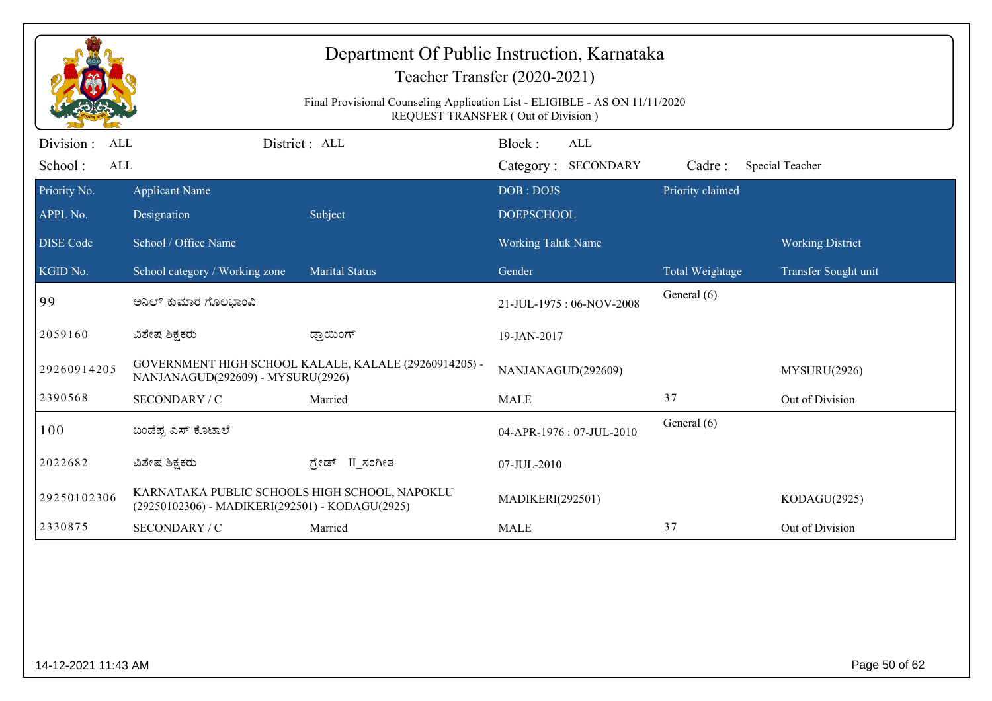| Department Of Public Instruction, Karnataka<br>Teacher Transfer (2020-2021)<br>Final Provisional Counseling Application List - ELIGIBLE - AS ON 11/11/2020<br><b>REQUEST TRANSFER (Out of Division)</b> |                                                                                                  |                                                       |                                             |                  |                         |  |  |
|---------------------------------------------------------------------------------------------------------------------------------------------------------------------------------------------------------|--------------------------------------------------------------------------------------------------|-------------------------------------------------------|---------------------------------------------|------------------|-------------------------|--|--|
| Division :<br><b>ALL</b><br>School:<br>ALL                                                                                                                                                              |                                                                                                  | District : ALL                                        | Block:<br><b>ALL</b><br>Category: SECONDARY | Cadre:           | Special Teacher         |  |  |
| Priority No.                                                                                                                                                                                            | <b>Applicant Name</b>                                                                            |                                                       | DOB: DOJS                                   | Priority claimed |                         |  |  |
| APPL No.                                                                                                                                                                                                | Designation                                                                                      | Subject                                               | <b>DOEPSCHOOL</b>                           |                  |                         |  |  |
| <b>DISE Code</b>                                                                                                                                                                                        | School / Office Name                                                                             |                                                       | <b>Working Taluk Name</b>                   |                  | <b>Working District</b> |  |  |
| KGID No.                                                                                                                                                                                                | School category / Working zone                                                                   | <b>Marital Status</b>                                 | Gender                                      | Total Weightage  | Transfer Sought unit    |  |  |
| 99                                                                                                                                                                                                      | ಅನಿಲ್ ಕುಮಾರ ಗೊಲಭಾಂವಿ                                                                             |                                                       | 21-JUL-1975: 06-NOV-2008                    | General (6)      |                         |  |  |
| 2059160                                                                                                                                                                                                 | ವಿಶೇಷ ಶಿಕ್ಷಕರು                                                                                   | ಡ್ರಾಯಿಂಗ್                                             | 19-JAN-2017                                 |                  |                         |  |  |
| 29260914205                                                                                                                                                                                             | NANJANAGUD(292609) - MYSURU(2926)                                                                | GOVERNMENT HIGH SCHOOL KALALE, KALALE (29260914205) - | NANJANAGUD(292609)                          |                  | MYSURU(2926)            |  |  |
| 2390568                                                                                                                                                                                                 | SECONDARY / C                                                                                    | Married                                               | <b>MALE</b>                                 | 37               | Out of Division         |  |  |
| 100                                                                                                                                                                                                     | ಬಂಡೆಪ್ಪ ಎಸ್ ಕೊಟಾಲೆ                                                                               |                                                       | 04-APR-1976: 07-JUL-2010                    | General (6)      |                         |  |  |
| 2022682                                                                                                                                                                                                 | ವಿಶೇಷ ಶಿಕ್ಷಕರು                                                                                   | ಗ್ರೇಡ್ II ಸಂಗೀತ                                       | 07-JUL-2010                                 |                  |                         |  |  |
| 29250102306                                                                                                                                                                                             | KARNATAKA PUBLIC SCHOOLS HIGH SCHOOL, NAPOKLU<br>(29250102306) - MADIKERI(292501) - KODAGU(2925) |                                                       | <b>MADIKERI(292501)</b>                     |                  | KODAGU(2925)            |  |  |
| 2330875                                                                                                                                                                                                 | SECONDARY / C                                                                                    | Married                                               | <b>MALE</b>                                 | 37               | Out of Division         |  |  |
|                                                                                                                                                                                                         |                                                                                                  |                                                       |                                             |                  |                         |  |  |
| 14-12-2021 11:43 AM                                                                                                                                                                                     |                                                                                                  |                                                       |                                             |                  | Page 50 of 62           |  |  |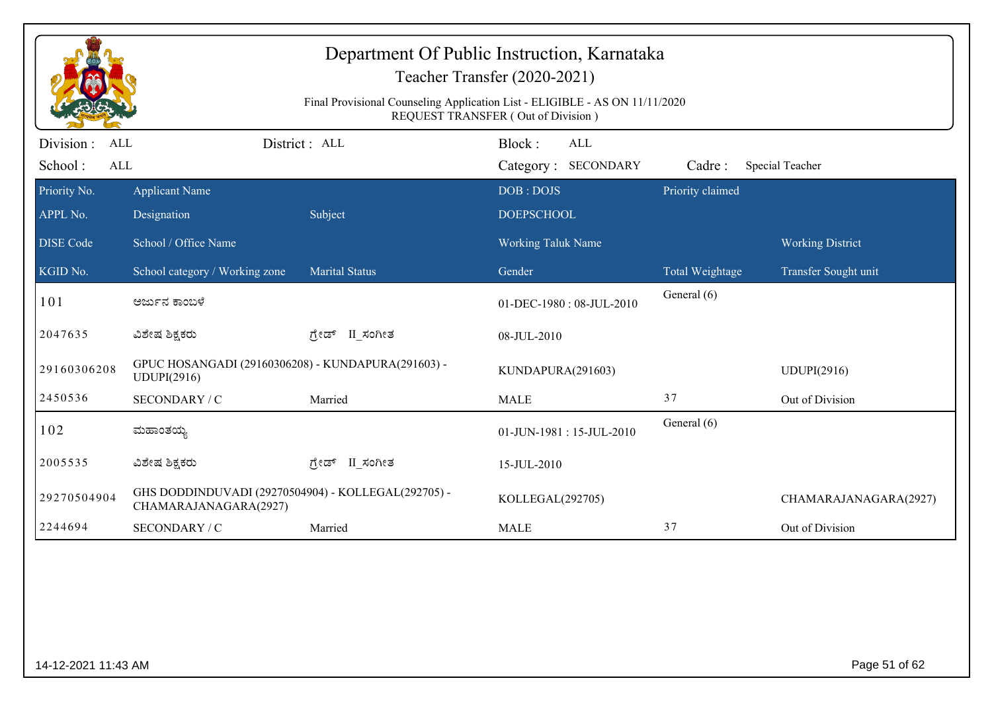| Department Of Public Instruction, Karnataka<br>Teacher Transfer (2020-2021)<br>Final Provisional Counseling Application List - ELIGIBLE - AS ON 11/11/2020<br>REQUEST TRANSFER (Out of Division) |                                                                              |                       |                                             |                  |                         |  |  |
|--------------------------------------------------------------------------------------------------------------------------------------------------------------------------------------------------|------------------------------------------------------------------------------|-----------------------|---------------------------------------------|------------------|-------------------------|--|--|
| Division :<br><b>ALL</b><br>School:<br>ALL                                                                                                                                                       |                                                                              | District: ALL         | Block:<br><b>ALL</b><br>Category: SECONDARY | Cadre:           | Special Teacher         |  |  |
| Priority No.                                                                                                                                                                                     | <b>Applicant Name</b>                                                        |                       | DOB: DOJS                                   | Priority claimed |                         |  |  |
| APPL No.                                                                                                                                                                                         | Designation                                                                  | Subject               | <b>DOEPSCHOOL</b>                           |                  |                         |  |  |
| <b>DISE Code</b>                                                                                                                                                                                 | School / Office Name                                                         |                       | Working Taluk Name                          |                  | <b>Working District</b> |  |  |
| KGID No.                                                                                                                                                                                         | School category / Working zone                                               | <b>Marital Status</b> | Gender                                      | Total Weightage  | Transfer Sought unit    |  |  |
| 101                                                                                                                                                                                              | ಅರ್ಜುನ ಕಾಂಬಳೆ                                                                |                       | 01-DEC-1980: 08-JUL-2010                    | General (6)      |                         |  |  |
| 2047635                                                                                                                                                                                          | ವಿಶೇಷ ಶಿಕ್ಷಕರು                                                               | ಗ್ರೇಡ್ II_ಸಂಗೀತ       | 08-JUL-2010                                 |                  |                         |  |  |
| 29160306208                                                                                                                                                                                      | GPUC HOSANGADI (29160306208) - KUNDAPURA(291603) -<br>UDUPI(2916)            |                       | KUNDAPURA(291603)                           |                  | <b>UDUPI(2916)</b>      |  |  |
| 2450536                                                                                                                                                                                          | SECONDARY / C                                                                | Married               | <b>MALE</b>                                 | 37               | Out of Division         |  |  |
| 102                                                                                                                                                                                              | ಮಹಾಂತಯ್ಯ                                                                     |                       | 01-JUN-1981:15-JUL-2010                     | General (6)      |                         |  |  |
| 2005535                                                                                                                                                                                          | ವಿಶೇಷ ಶಿಕ್ಷಕರು                                                               | ಗ್ರೇಡ್ II ಸಂಗೀತ       | 15-JUL-2010                                 |                  |                         |  |  |
| 29270504904                                                                                                                                                                                      | GHS DODDINDUVADI (29270504904) - KOLLEGAL(292705) -<br>CHAMARAJANAGARA(2927) |                       | KOLLEGAL(292705)                            |                  | CHAMARAJANAGARA(2927)   |  |  |
| 2244694                                                                                                                                                                                          | SECONDARY / C                                                                | Married               | <b>MALE</b>                                 | 37               | Out of Division         |  |  |
|                                                                                                                                                                                                  |                                                                              |                       |                                             |                  |                         |  |  |
| 14-12-2021 11:43 AM                                                                                                                                                                              |                                                                              |                       |                                             |                  | Page 51 of 62           |  |  |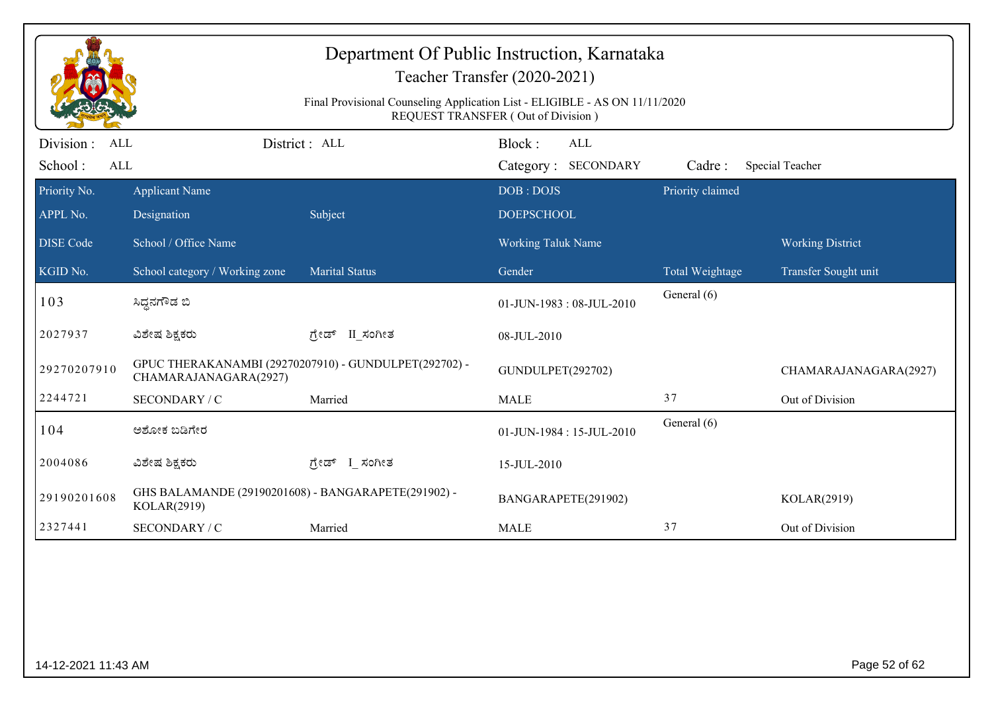| Department Of Public Instruction, Karnataka<br>Teacher Transfer (2020-2021)<br>Final Provisional Counseling Application List - ELIGIBLE - AS ON 11/11/2020<br>REQUEST TRANSFER (Out of Division) |                                                                    |                                                       |                                             |                  |                         |  |  |
|--------------------------------------------------------------------------------------------------------------------------------------------------------------------------------------------------|--------------------------------------------------------------------|-------------------------------------------------------|---------------------------------------------|------------------|-------------------------|--|--|
| Division :<br>ALL<br>School:<br>ALL                                                                                                                                                              |                                                                    | District: ALL                                         | Block:<br><b>ALL</b><br>Category: SECONDARY | Cadre:           | Special Teacher         |  |  |
| Priority No.<br>APPL No.                                                                                                                                                                         | <b>Applicant Name</b><br>Designation                               | Subject                                               | DOB: DOJS<br><b>DOEPSCHOOL</b>              | Priority claimed |                         |  |  |
| <b>DISE Code</b>                                                                                                                                                                                 | School / Office Name                                               |                                                       | Working Taluk Name                          |                  | <b>Working District</b> |  |  |
| KGID No.                                                                                                                                                                                         | School category / Working zone                                     | <b>Marital Status</b>                                 | Gender                                      | Total Weightage  | Transfer Sought unit    |  |  |
| 103                                                                                                                                                                                              | ಸಿದ್ದನಗೌಡ ಬಿ                                                       |                                                       | 01-JUN-1983: 08-JUL-2010                    | General (6)      |                         |  |  |
| 2027937                                                                                                                                                                                          | ವಿಶೇಷ ಶಿಕ್ಷಕರು                                                     | ಗ್ರೇಡ್ II_ಸಂಗೀತ                                       | 08-JUL-2010                                 |                  |                         |  |  |
| 29270207910                                                                                                                                                                                      | CHAMARAJANAGARA(2927)                                              | GPUC THERAKANAMBI (29270207910) - GUNDULPET(292702) - | GUNDULPET(292702)                           |                  | CHAMARAJANAGARA(2927)   |  |  |
| 2244721                                                                                                                                                                                          | SECONDARY / C                                                      | Married                                               | <b>MALE</b>                                 | 37               | Out of Division         |  |  |
| 104                                                                                                                                                                                              | ಅಶೋಕ ಬಡಿಗೇರ                                                        |                                                       | 01-JUN-1984: 15-JUL-2010                    | General (6)      |                         |  |  |
| 2004086                                                                                                                                                                                          | ವಿಶೇಷ ಶಿಕ್ಷಕರು                                                     | ಗ್ರೇಡ್ I_ಸಂಗೀತ                                        | 15-JUL-2010                                 |                  |                         |  |  |
| 29190201608                                                                                                                                                                                      | GHS BALAMANDE (29190201608) - BANGARAPETE(291902) -<br>KOLAR(2919) |                                                       | BANGARAPETE(291902)                         |                  | KOLAR(2919)             |  |  |
| 2327441                                                                                                                                                                                          | SECONDARY / C                                                      | Married                                               | <b>MALE</b>                                 | 37               | Out of Division         |  |  |
|                                                                                                                                                                                                  |                                                                    |                                                       |                                             |                  |                         |  |  |
| 14-12-2021 11:43 AM                                                                                                                                                                              |                                                                    |                                                       |                                             |                  | Page 52 of 62           |  |  |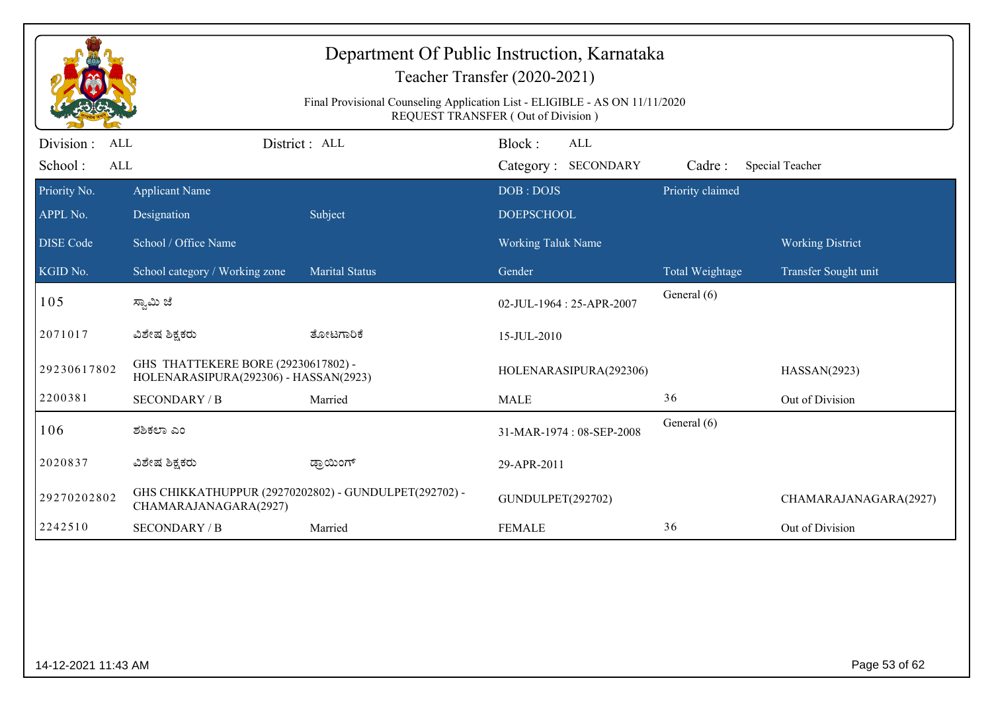|                                                   | Department Of Public Instruction, Karnataka<br>Teacher Transfer (2020-2021)<br>Final Provisional Counseling Application List - ELIGIBLE - AS ON 11/11/2020<br>REQUEST TRANSFER (Out of Division) |                       |                                             |                  |                         |  |  |  |
|---------------------------------------------------|--------------------------------------------------------------------------------------------------------------------------------------------------------------------------------------------------|-----------------------|---------------------------------------------|------------------|-------------------------|--|--|--|
| Division :<br><b>ALL</b><br>School:<br><b>ALL</b> |                                                                                                                                                                                                  | District: ALL         | Block:<br><b>ALL</b><br>Category: SECONDARY | Cadre:           | Special Teacher         |  |  |  |
| Priority No.                                      | <b>Applicant Name</b>                                                                                                                                                                            |                       | DOB: DOJS                                   | Priority claimed |                         |  |  |  |
| APPL No.                                          | Designation                                                                                                                                                                                      | Subject               | <b>DOEPSCHOOL</b>                           |                  |                         |  |  |  |
| DISE Code                                         | School / Office Name                                                                                                                                                                             |                       | <b>Working Taluk Name</b>                   |                  | <b>Working District</b> |  |  |  |
| KGID No.                                          | School category / Working zone                                                                                                                                                                   | <b>Marital Status</b> | Gender                                      | Total Weightage  | Transfer Sought unit    |  |  |  |
| 105                                               | ಸ್ವಾಮಿ ಜೆ                                                                                                                                                                                        |                       | 02-JUL-1964 : 25-APR-2007                   | General (6)      |                         |  |  |  |
| 2071017                                           | ವಿಶೇಷ ಶಿಕ್ಷಕರು                                                                                                                                                                                   | ತೋಟಗಾರಿಕೆ             | 15-JUL-2010                                 |                  |                         |  |  |  |
| 29230617802                                       | GHS THATTEKERE BORE (29230617802) -<br>HOLENARASIPURA(292306) - HASSAN(2923)                                                                                                                     |                       | HOLENARASIPURA(292306)                      |                  | HASSAN(2923)            |  |  |  |
| 2200381                                           | <b>SECONDARY / B</b>                                                                                                                                                                             | Married               | <b>MALE</b>                                 | 36               | Out of Division         |  |  |  |
| 106                                               | ಶಶಿಕಲಾ ಎಂ                                                                                                                                                                                        |                       | 31-MAR-1974: 08-SEP-2008                    | General (6)      |                         |  |  |  |
| 2020837                                           | ವಿಶೇಷ ಶಿಕ್ಷಕರು                                                                                                                                                                                   | ಡ್ರಾಯಿಂಗ್             | 29-APR-2011                                 |                  |                         |  |  |  |
| 29270202802                                       | GHS CHIKKATHUPPUR (29270202802) - GUNDULPET(292702) -<br>CHAMARAJANAGARA(2927)                                                                                                                   |                       | GUNDULPET(292702)                           |                  | CHAMARAJANAGARA(2927)   |  |  |  |
| 2242510                                           | <b>SECONDARY / B</b>                                                                                                                                                                             | Married               | <b>FEMALE</b>                               | 36               | Out of Division         |  |  |  |
|                                                   |                                                                                                                                                                                                  |                       |                                             |                  |                         |  |  |  |
| 14-12-2021 11:43 AM                               |                                                                                                                                                                                                  |                       |                                             |                  | Page 53 of 62           |  |  |  |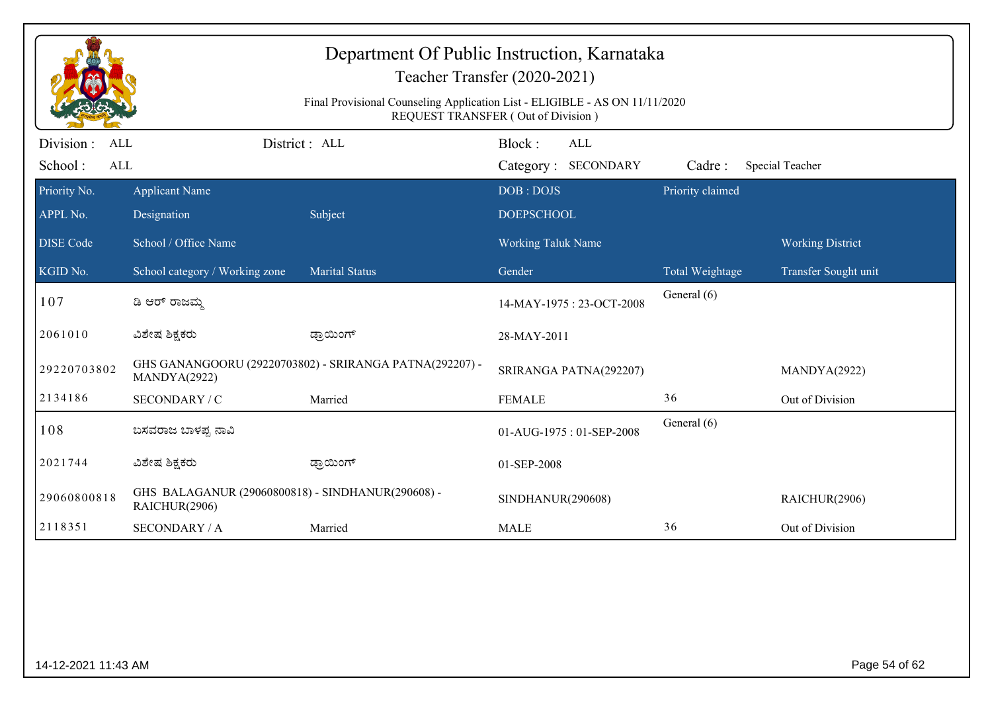| Department Of Public Instruction, Karnataka<br>Teacher Transfer (2020-2021)<br>Final Provisional Counseling Application List - ELIGIBLE - AS ON 11/11/2020 |                                                                    |                                                         |                                      |                  |                         |  |  |  |  |
|------------------------------------------------------------------------------------------------------------------------------------------------------------|--------------------------------------------------------------------|---------------------------------------------------------|--------------------------------------|------------------|-------------------------|--|--|--|--|
|                                                                                                                                                            | REQUEST TRANSFER (Out of Division)                                 |                                                         |                                      |                  |                         |  |  |  |  |
| Division :<br>ALL<br>School:<br>ALL                                                                                                                        |                                                                    | District : ALL                                          | Block:<br>ALL<br>Category: SECONDARY | Cadre:           | Special Teacher         |  |  |  |  |
| Priority No.<br>APPL No.                                                                                                                                   | <b>Applicant Name</b><br>Designation                               | Subject                                                 | DOB: DOJS<br><b>DOEPSCHOOL</b>       | Priority claimed |                         |  |  |  |  |
| <b>DISE</b> Code                                                                                                                                           | School / Office Name                                               |                                                         | Working Taluk Name                   |                  | <b>Working District</b> |  |  |  |  |
| KGID No.                                                                                                                                                   | School category / Working zone                                     | <b>Marital Status</b>                                   | Gender                               | Total Weightage  | Transfer Sought unit    |  |  |  |  |
| 107                                                                                                                                                        | ಡಿ ಆರ್ ರಾಜಮ್ಮ                                                      |                                                         | 14-MAY-1975: 23-OCT-2008             | General (6)      |                         |  |  |  |  |
| 2061010                                                                                                                                                    | ವಿಶೇಷ ಶಿಕ್ಷಕರು                                                     | ಡ್ರಾಯಿಂಗ್                                               | 28-MAY-2011                          |                  |                         |  |  |  |  |
| 29220703802                                                                                                                                                | MANDYA(2922)                                                       | GHS GANANGOORU (29220703802) - SRIRANGA PATNA(292207) - | SRIRANGA PATNA(292207)               |                  | MANDYA(2922)            |  |  |  |  |
| 2134186                                                                                                                                                    | SECONDARY / C                                                      | Married                                                 | <b>FEMALE</b>                        | 36               | Out of Division         |  |  |  |  |
| 108                                                                                                                                                        | ಬಸವರಾಜ ಬಾಳಪ್ಪ ನಾವಿ                                                 |                                                         | 01-AUG-1975: 01-SEP-2008             | General (6)      |                         |  |  |  |  |
| 2021744                                                                                                                                                    | ವಿಶೇಷ ಶಿಕ್ಷಕರು                                                     | ಡ್ರಾಯಿಂಗ್                                               | 01-SEP-2008                          |                  |                         |  |  |  |  |
| 29060800818                                                                                                                                                | GHS BALAGANUR (29060800818) - SINDHANUR(290608) -<br>RAICHUR(2906) |                                                         | SINDHANUR(290608)                    |                  | RAICHUR(2906)           |  |  |  |  |
| 2118351                                                                                                                                                    | <b>SECONDARY / A</b>                                               | Married                                                 | <b>MALE</b>                          | 36               | Out of Division         |  |  |  |  |
|                                                                                                                                                            |                                                                    |                                                         |                                      |                  |                         |  |  |  |  |
|                                                                                                                                                            | Page 54 of 62<br>14-12-2021 11:43 AM                               |                                                         |                                      |                  |                         |  |  |  |  |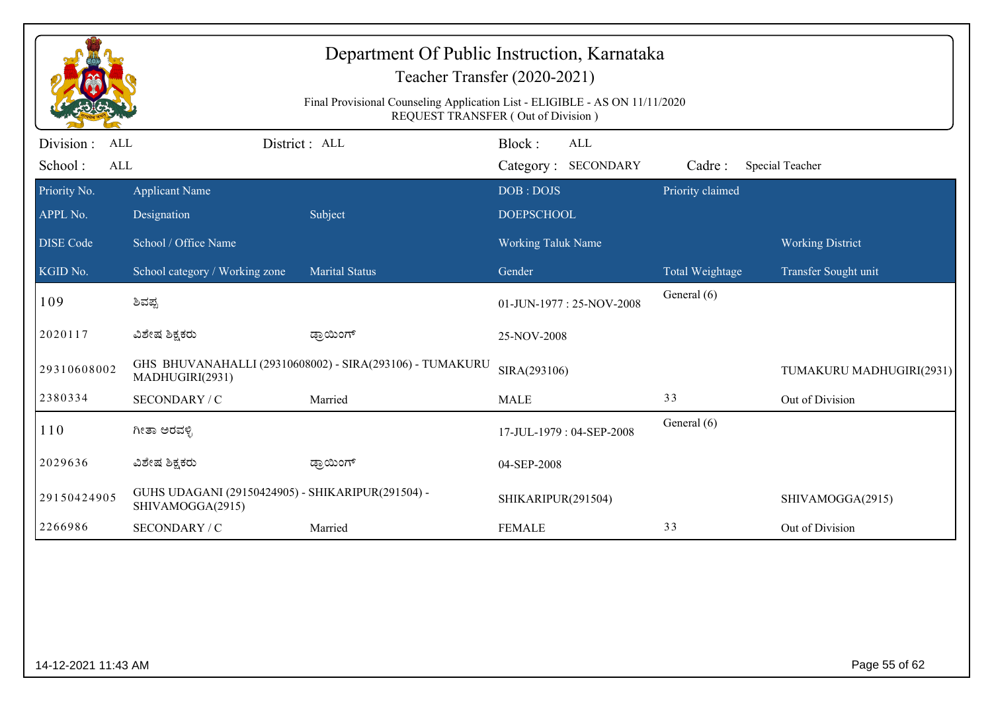| Department Of Public Instruction, Karnataka<br>Teacher Transfer (2020-2021) |                                                                                                                   |                                                          |                                |     |                  |                          |  |  |  |
|-----------------------------------------------------------------------------|-------------------------------------------------------------------------------------------------------------------|----------------------------------------------------------|--------------------------------|-----|------------------|--------------------------|--|--|--|
|                                                                             | Final Provisional Counseling Application List - ELIGIBLE - AS ON 11/11/2020<br>REQUEST TRANSFER (Out of Division) |                                                          |                                |     |                  |                          |  |  |  |
| Division :<br><b>ALL</b><br>School:<br>ALL                                  |                                                                                                                   | District: ALL                                            | Block:<br>Category: SECONDARY  | ALL | Cadre:           | Special Teacher          |  |  |  |
| Priority No.<br>APPL No.                                                    | <b>Applicant Name</b><br>Designation                                                                              | Subject                                                  | DOB: DOJS<br><b>DOEPSCHOOL</b> |     | Priority claimed |                          |  |  |  |
| <b>DISE</b> Code                                                            | School / Office Name                                                                                              |                                                          | <b>Working Taluk Name</b>      |     |                  | <b>Working District</b>  |  |  |  |
| KGID No.                                                                    | School category / Working zone                                                                                    | <b>Marital Status</b>                                    | Gender                         |     | Total Weightage  | Transfer Sought unit     |  |  |  |
| 109                                                                         | ಶಿವಪ್ಪ                                                                                                            |                                                          | 01-JUN-1977: 25-NOV-2008       |     | General (6)      |                          |  |  |  |
| 2020117                                                                     | ವಿಶೇಷ ಶಿಕ್ಷಕರು                                                                                                    | ಡ್ರಾಯಿಂಗ್                                                | 25-NOV-2008                    |     |                  |                          |  |  |  |
| 29310608002                                                                 | MADHUGIRI(2931)                                                                                                   | GHS BHUVANAHALLI (29310608002) - SIRA(293106) - TUMAKURU | SIRA(293106)                   |     |                  | TUMAKURU MADHUGIRI(2931) |  |  |  |
| 2380334                                                                     | SECONDARY / C                                                                                                     | Married                                                  | <b>MALE</b>                    |     | 33               | Out of Division          |  |  |  |
| 110                                                                         | ಗೀತಾ ಅರವಳ್ಳಿ                                                                                                      |                                                          | 17-JUL-1979: 04-SEP-2008       |     | General (6)      |                          |  |  |  |
| 2029636                                                                     | ವಿಶೇಷ ಶಿಕ್ಷಕರು                                                                                                    | ಡ್ರಾಯಿಂಗ್                                                | 04-SEP-2008                    |     |                  |                          |  |  |  |
| 29150424905                                                                 | GUHS UDAGANI (29150424905) - SHIKARIPUR(291504) -<br>SHIVAMOGGA(2915)                                             |                                                          | SHIKARIPUR(291504)             |     |                  | SHIVAMOGGA(2915)         |  |  |  |
| 2266986                                                                     | SECONDARY / C                                                                                                     | Married                                                  | <b>FEMALE</b>                  |     | 33               | Out of Division          |  |  |  |
|                                                                             |                                                                                                                   |                                                          |                                |     |                  |                          |  |  |  |
| 14-12-2021 11:43 AM                                                         |                                                                                                                   |                                                          |                                |     |                  | Page 55 of 62            |  |  |  |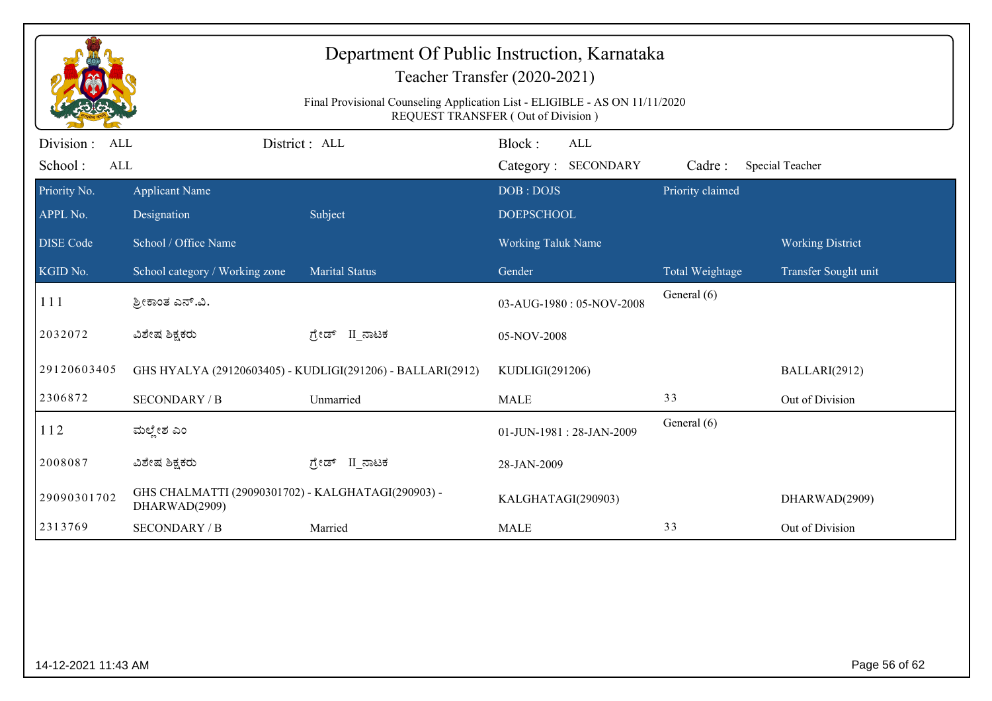| Department Of Public Instruction, Karnataka<br>Teacher Transfer (2020-2021) |                                                                                                                   |                                                            |                                      |                        |                         |  |  |  |  |
|-----------------------------------------------------------------------------|-------------------------------------------------------------------------------------------------------------------|------------------------------------------------------------|--------------------------------------|------------------------|-------------------------|--|--|--|--|
|                                                                             | Final Provisional Counseling Application List - ELIGIBLE - AS ON 11/11/2020<br>REQUEST TRANSFER (Out of Division) |                                                            |                                      |                        |                         |  |  |  |  |
| Division :<br>ALL<br>School:<br>ALL                                         |                                                                                                                   | District : ALL                                             | Block:<br>ALL<br>Category: SECONDARY | Cadre:                 | Special Teacher         |  |  |  |  |
| Priority No.<br>APPL No.                                                    | <b>Applicant Name</b><br>Designation                                                                              | Subject                                                    | DOB: DOJS<br><b>DOEPSCHOOL</b>       | Priority claimed       |                         |  |  |  |  |
| <b>DISE Code</b>                                                            | School / Office Name                                                                                              |                                                            | Working Taluk Name                   |                        | <b>Working District</b> |  |  |  |  |
| KGID No.                                                                    | School category / Working zone                                                                                    | <b>Marital Status</b>                                      | Gender                               | <b>Total Weightage</b> | Transfer Sought unit    |  |  |  |  |
| 111                                                                         | ಶ್ರೀಕಾಂತ ಎನ್.ವಿ.                                                                                                  |                                                            | 03-AUG-1980: 05-NOV-2008             | General (6)            |                         |  |  |  |  |
| 2032072                                                                     | ವಿಶೇಷ ಶಿಕ್ಷಕರು                                                                                                    | ಗ್ರೇಡ್ II_ನಾಟಕ                                             | 05-NOV-2008                          |                        |                         |  |  |  |  |
| 29120603405                                                                 |                                                                                                                   | GHS HYALYA (29120603405) - KUDLIGI(291206) - BALLARI(2912) | KUDLIGI(291206)                      |                        | BALLARI(2912)           |  |  |  |  |
| 2306872                                                                     | <b>SECONDARY / B</b>                                                                                              | Unmarried                                                  | <b>MALE</b>                          | 33                     | Out of Division         |  |  |  |  |
| 112                                                                         | ಮಲ್ಲೇಶ ಎಂ                                                                                                         |                                                            | 01-JUN-1981: 28-JAN-2009             | General (6)            |                         |  |  |  |  |
| 2008087                                                                     | ವಿಶೇಷ ಶಿಕ್ಷಕರು                                                                                                    | ಗ್ರೇಡ್ II ನಾಟಕ                                             | 28-JAN-2009                          |                        |                         |  |  |  |  |
| 29090301702                                                                 | GHS CHALMATTI (29090301702) - KALGHATAGI(290903) -<br>DHARWAD(2909)                                               |                                                            | KALGHATAGI(290903)                   |                        | DHARWAD(2909)           |  |  |  |  |
| 2313769                                                                     | <b>SECONDARY / B</b>                                                                                              | Married                                                    | <b>MALE</b>                          | 33                     | Out of Division         |  |  |  |  |
|                                                                             |                                                                                                                   |                                                            |                                      |                        |                         |  |  |  |  |
| 14-12-2021 11:43 AM                                                         |                                                                                                                   |                                                            |                                      |                        | Page 56 of 62           |  |  |  |  |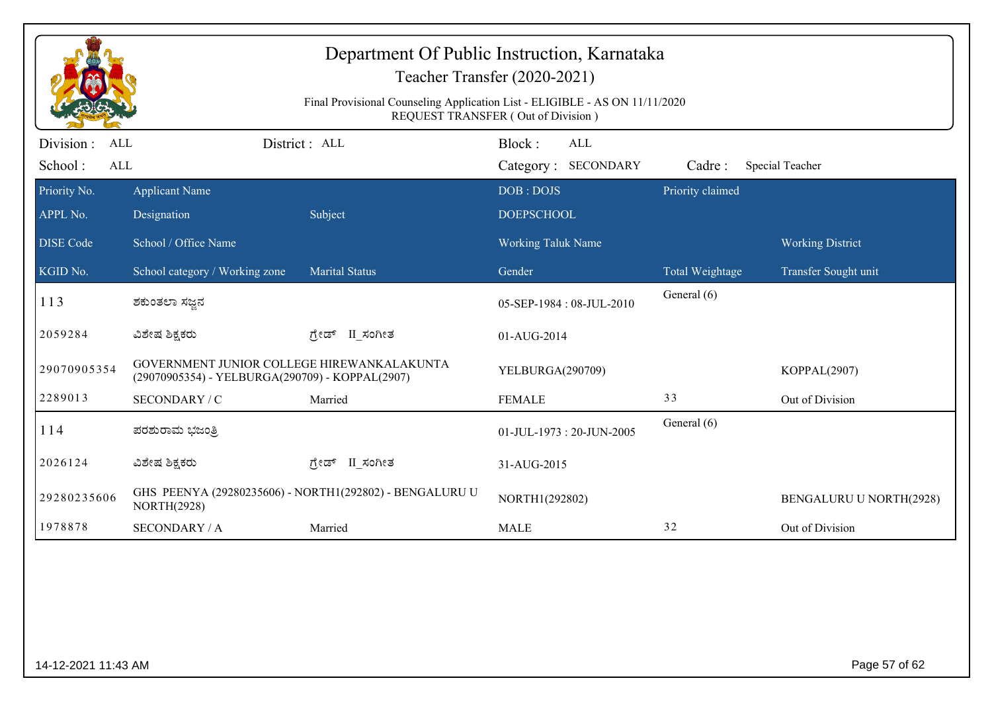| Department Of Public Instruction, Karnataka<br>Teacher Transfer (2020-2021)<br>Final Provisional Counseling Application List - ELIGIBLE - AS ON 11/11/2020<br>REQUEST TRANSFER (Out of Division) |                                                                                               |                                                         |                                             |                  |                                |  |  |
|--------------------------------------------------------------------------------------------------------------------------------------------------------------------------------------------------|-----------------------------------------------------------------------------------------------|---------------------------------------------------------|---------------------------------------------|------------------|--------------------------------|--|--|
| Division :<br>ALL<br>School:<br>ALL                                                                                                                                                              |                                                                                               | District: ALL                                           | Block:<br><b>ALL</b><br>Category: SECONDARY | Cadre:           | Special Teacher                |  |  |
| Priority No.<br>APPL No.                                                                                                                                                                         | <b>Applicant Name</b><br>Designation                                                          | Subject                                                 | DOB: DOJS<br><b>DOEPSCHOOL</b>              | Priority claimed |                                |  |  |
| <b>DISE Code</b>                                                                                                                                                                                 | School / Office Name                                                                          |                                                         | Working Taluk Name                          |                  | <b>Working District</b>        |  |  |
| KGID No.                                                                                                                                                                                         | School category / Working zone                                                                | <b>Marital Status</b>                                   | Gender                                      | Total Weightage  | Transfer Sought unit           |  |  |
| 113                                                                                                                                                                                              | ಶಕುಂತಲಾ ಸಜ್ಞನ                                                                                 |                                                         | 05-SEP-1984: 08-JUL-2010                    | General (6)      |                                |  |  |
| 2059284                                                                                                                                                                                          | ವಿಶೇಷ ಶಿಕ್ಷಕರು                                                                                | ಗ್ರೇಡ್ II_ಸಂಗೀತ                                         | 01-AUG-2014                                 |                  |                                |  |  |
| 29070905354                                                                                                                                                                                      | GOVERNMENT JUNIOR COLLEGE HIREWANKALAKUNTA<br>(29070905354) - YELBURGA(290709) - KOPPAL(2907) |                                                         | YELBURGA(290709)                            |                  | KOPPAL(2907)                   |  |  |
| 2289013                                                                                                                                                                                          | SECONDARY / C                                                                                 | Married                                                 | <b>FEMALE</b>                               | 33               | Out of Division                |  |  |
| 114                                                                                                                                                                                              | ಪರಶುರಾಮ ಭಜಂತ್ರಿ                                                                               |                                                         | 01-JUL-1973: 20-JUN-2005                    | General (6)      |                                |  |  |
| 2026124                                                                                                                                                                                          | ವಿಶೇಷ ಶಿಕ್ಷಕರು                                                                                | ಗ್ರೇಡ್ II_ಸಂಗೀತ                                         | 31-AUG-2015                                 |                  |                                |  |  |
| 29280235606                                                                                                                                                                                      | <b>NORTH(2928)</b>                                                                            | GHS PEENYA (29280235606) - NORTH1(292802) - BENGALURU U | NORTH1(292802)                              |                  | <b>BENGALURU U NORTH(2928)</b> |  |  |
| 1978878                                                                                                                                                                                          | <b>SECONDARY / A</b>                                                                          | Married                                                 | <b>MALE</b>                                 | 32               | Out of Division                |  |  |
|                                                                                                                                                                                                  |                                                                                               |                                                         |                                             |                  |                                |  |  |
| 14-12-2021 11:43 AM                                                                                                                                                                              |                                                                                               |                                                         |                                             |                  | Page 57 of 62                  |  |  |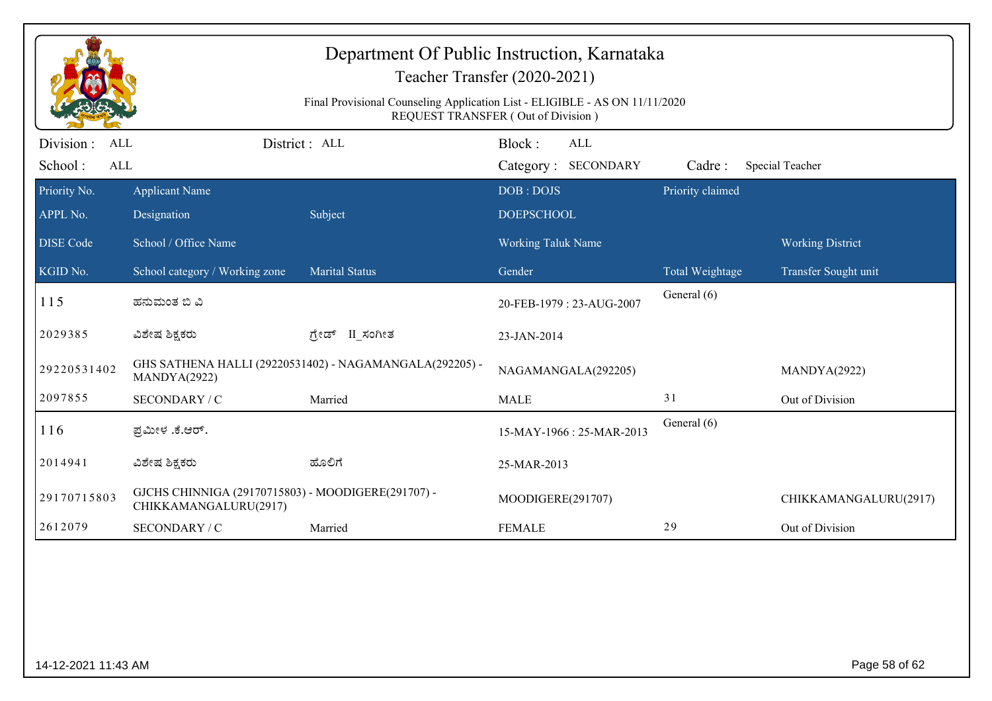| Department Of Public Instruction, Karnataka<br>Teacher Transfer (2020-2021)<br>Final Provisional Counseling Application List - ELIGIBLE - AS ON 11/11/2020<br>REQUEST TRANSFER (Out of Division) |                                                                             |                                                         |                                             |                  |                         |  |  |
|--------------------------------------------------------------------------------------------------------------------------------------------------------------------------------------------------|-----------------------------------------------------------------------------|---------------------------------------------------------|---------------------------------------------|------------------|-------------------------|--|--|
| Division:<br><b>ALL</b><br>School:<br><b>ALL</b>                                                                                                                                                 |                                                                             | District: ALL                                           | Block:<br><b>ALL</b><br>Category: SECONDARY | Cadre:           | Special Teacher         |  |  |
| Priority No.<br>APPL No.                                                                                                                                                                         | <b>Applicant Name</b><br>Designation                                        | Subject                                                 | DOB: DOJS<br><b>DOEPSCHOOL</b>              | Priority claimed |                         |  |  |
| <b>DISE Code</b>                                                                                                                                                                                 | School / Office Name                                                        |                                                         | <b>Working Taluk Name</b>                   |                  | <b>Working District</b> |  |  |
| KGID No.                                                                                                                                                                                         | School category / Working zone                                              | <b>Marital Status</b>                                   | Gender                                      | Total Weightage  | Transfer Sought unit    |  |  |
| 115                                                                                                                                                                                              | ಹನುಮಂತ ಬಿ ವಿ                                                                |                                                         | 20-FEB-1979: 23-AUG-2007                    | General (6)      |                         |  |  |
| 2029385                                                                                                                                                                                          | ವಿಶೇಷ ಶಿಕ್ಷಕರು                                                              | ಗ್ರೇಡ್ II_ಸಂಗೀತ                                         | 23-JAN-2014                                 |                  |                         |  |  |
| 29220531402                                                                                                                                                                                      | MANDYA(2922)                                                                | GHS SATHENA HALLI (29220531402) - NAGAMANGALA(292205) - | NAGAMANGALA(292205)                         |                  | MANDYA(2922)            |  |  |
| 2097855                                                                                                                                                                                          | SECONDARY / C                                                               | Married                                                 | <b>MALE</b>                                 | 31               | Out of Division         |  |  |
| 116                                                                                                                                                                                              | ಪ್ರಮೀಳ .ಕೆ.ಆರ್.                                                             |                                                         | 15-MAY-1966: 25-MAR-2013                    | General (6)      |                         |  |  |
| 2014941                                                                                                                                                                                          | ವಿಶೇಷ ಶಿಕ್ಷಕರು                                                              | ಹೊಲಿಗೆ                                                  | 25-MAR-2013                                 |                  |                         |  |  |
| 29170715803                                                                                                                                                                                      | GJCHS CHINNIGA (29170715803) - MOODIGERE(291707) -<br>CHIKKAMANGALURU(2917) |                                                         | MOODIGERE(291707)                           |                  | CHIKKAMANGALURU(2917)   |  |  |
| 2612079                                                                                                                                                                                          | SECONDARY / C                                                               | Married                                                 | <b>FEMALE</b>                               | 29               | Out of Division         |  |  |
|                                                                                                                                                                                                  |                                                                             |                                                         |                                             |                  |                         |  |  |
| 14-12-2021 11:43 AM                                                                                                                                                                              |                                                                             |                                                         |                                             |                  | Page 58 of 62           |  |  |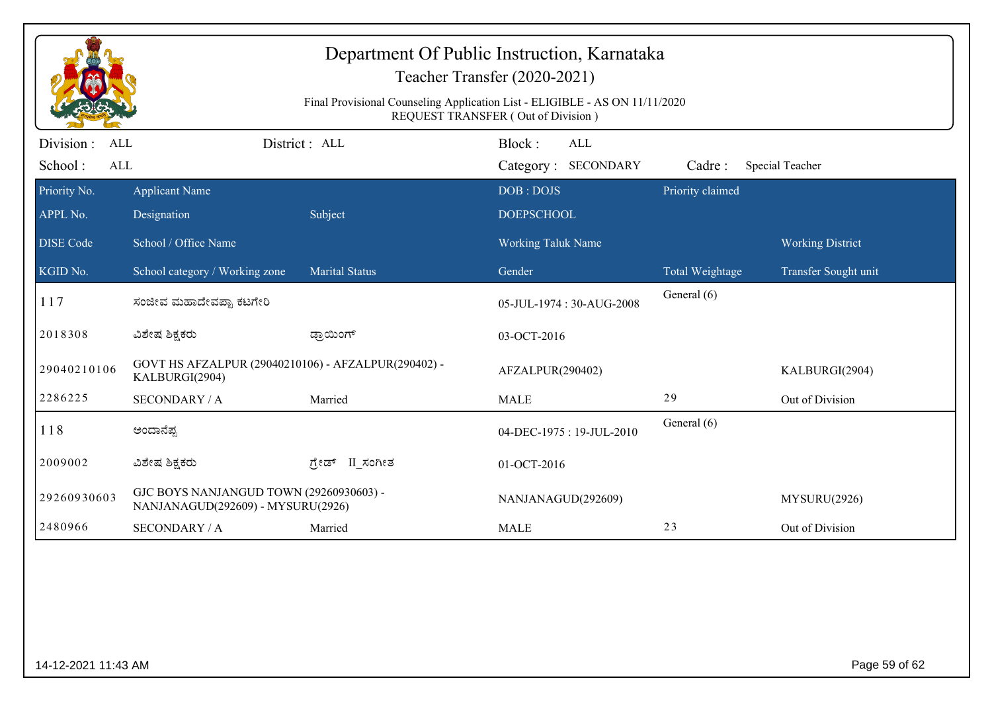|                          |                                                                              |                       | <b>REQUEST TRANSFER (Out of Division)</b> |                  |                         |
|--------------------------|------------------------------------------------------------------------------|-----------------------|-------------------------------------------|------------------|-------------------------|
| Division :<br><b>ALL</b> |                                                                              | District: ALL         | Block:<br><b>ALL</b>                      |                  |                         |
| School:<br><b>ALL</b>    |                                                                              |                       | Category: SECONDARY                       | Cadre:           | Special Teacher         |
| Priority No.             | <b>Applicant Name</b>                                                        |                       | DOB: DOJS                                 | Priority claimed |                         |
| APPL No.                 | Designation                                                                  | Subject               | <b>DOEPSCHOOL</b>                         |                  |                         |
| <b>DISE</b> Code         | School / Office Name                                                         |                       | <b>Working Taluk Name</b>                 |                  | <b>Working District</b> |
| KGID No.                 | School category / Working zone                                               | <b>Marital Status</b> | Gender                                    | Total Weightage  | Transfer Sought unit    |
| 117                      | ಸಂಜೀವ ಮಹಾದೇವಪ್ಪಾ ಕಟಗೇರಿ                                                      |                       | 05-JUL-1974: 30-AUG-2008                  | General (6)      |                         |
| 2018308                  | ವಿಶೇಷ ಶಿಕ್ಷಕರು                                                               | ಡ್ರಾಯಿಂಗ್             | 03-OCT-2016                               |                  |                         |
| 29040210106              | GOVT HS AFZALPUR (29040210106) - AFZALPUR(290402) -<br>KALBURGI(2904)        |                       | AFZALPUR(290402)                          |                  | KALBURGI(2904)          |
| 2286225                  | <b>SECONDARY / A</b>                                                         | Married               | <b>MALE</b>                               | 29               | Out of Division         |
| 118                      | ಅಂದಾನೆಪ್ಪ                                                                    |                       | 04-DEC-1975: 19-JUL-2010                  | General (6)      |                         |
| 2009002                  | ವಿಶೇಷ ಶಿಕ್ಷಕರು                                                               | II ಸಂಗೀತ<br>ಗ್ರೇಡ್    | 01-OCT-2016                               |                  |                         |
| 29260930603              | GJC BOYS NANJANGUD TOWN (29260930603) -<br>NANJANAGUD(292609) - MYSURU(2926) |                       | NANJANAGUD(292609)                        |                  | MYSURU(2926)            |
| 2480966                  | <b>SECONDARY / A</b>                                                         | Married               | <b>MALE</b>                               | 23               | Out of Division         |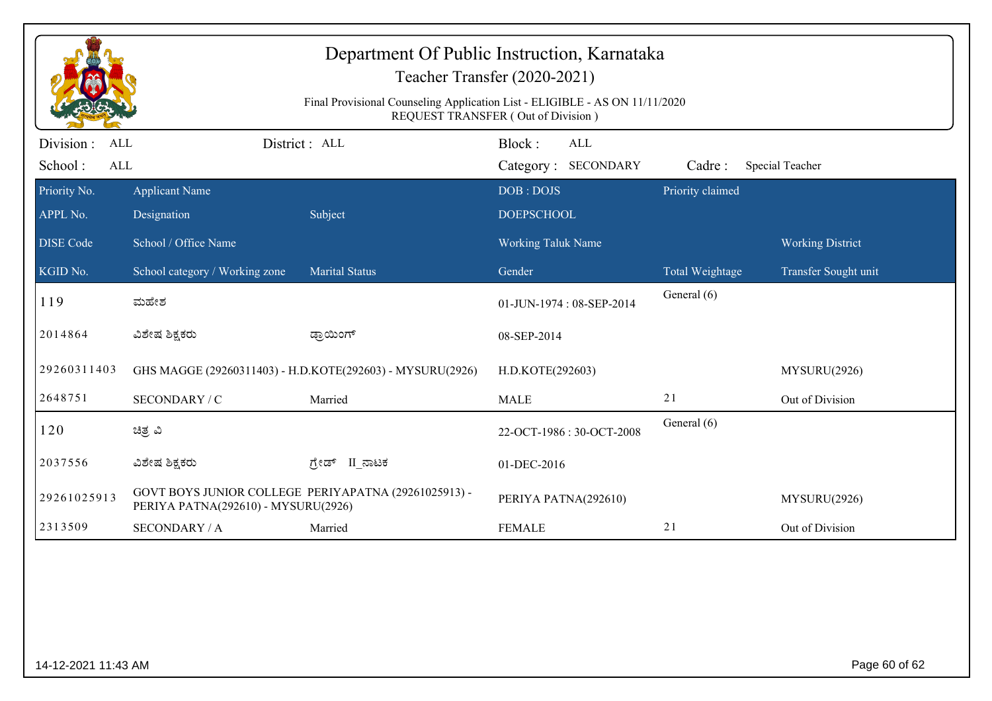| Department Of Public Instruction, Karnataka<br>Teacher Transfer (2020-2021)<br>Final Provisional Counseling Application List - ELIGIBLE - AS ON 11/11/2020<br>REQUEST TRANSFER (Out of Division) |                                      |                                                           |                                             |                  |                         |  |  |
|--------------------------------------------------------------------------------------------------------------------------------------------------------------------------------------------------|--------------------------------------|-----------------------------------------------------------|---------------------------------------------|------------------|-------------------------|--|--|
| Division :<br><b>ALL</b><br>School:<br>ALL                                                                                                                                                       |                                      | District : ALL                                            | Block:<br><b>ALL</b><br>Category: SECONDARY | Cadre:           | Special Teacher         |  |  |
| Priority No.<br>APPL No.                                                                                                                                                                         | <b>Applicant Name</b><br>Designation | Subject                                                   | DOB: DOJS<br><b>DOEPSCHOOL</b>              | Priority claimed |                         |  |  |
| <b>DISE Code</b>                                                                                                                                                                                 | School / Office Name                 |                                                           | <b>Working Taluk Name</b>                   |                  | <b>Working District</b> |  |  |
| KGID No.                                                                                                                                                                                         | School category / Working zone       | <b>Marital Status</b>                                     | Gender                                      | Total Weightage  | Transfer Sought unit    |  |  |
| 119                                                                                                                                                                                              | ಮಹೇಶ                                 |                                                           | 01-JUN-1974: 08-SEP-2014                    | General (6)      |                         |  |  |
| 2014864                                                                                                                                                                                          | ವಿಶೇಷ ಶಿಕ್ಷಕರು                       | ಡ್ರಾಯಿಂಗ್                                                 | 08-SEP-2014                                 |                  |                         |  |  |
| 29260311403                                                                                                                                                                                      |                                      | GHS MAGGE (29260311403) - H.D.KOTE(292603) - MYSURU(2926) | H.D.KOTE(292603)                            |                  | MYSURU(2926)            |  |  |
| 2648751                                                                                                                                                                                          | SECONDARY / C                        | Married                                                   | <b>MALE</b>                                 | 21               | Out of Division         |  |  |
| 120                                                                                                                                                                                              | ಚಿತ್ರ ವಿ                             |                                                           | 22-OCT-1986: 30-OCT-2008                    | General (6)      |                         |  |  |
| 2037556                                                                                                                                                                                          | ವಿಶೇಷ ಶಿಕ್ಷಕರು                       | II ನಾಟಕ<br>ಗ್ರೇಡ್                                         | 01-DEC-2016                                 |                  |                         |  |  |
| 29261025913                                                                                                                                                                                      | PERIYA PATNA(292610) - MYSURU(2926)  | GOVT BOYS JUNIOR COLLEGE PERIYAPATNA (29261025913) -      | PERIYA PATNA(292610)                        |                  | MYSURU(2926)            |  |  |
| 2313509                                                                                                                                                                                          | <b>SECONDARY / A</b>                 | Married                                                   | <b>FEMALE</b>                               | 21               | Out of Division         |  |  |
|                                                                                                                                                                                                  |                                      |                                                           |                                             |                  |                         |  |  |
|                                                                                                                                                                                                  | Page 60 of 62<br>14-12-2021 11:43 AM |                                                           |                                             |                  |                         |  |  |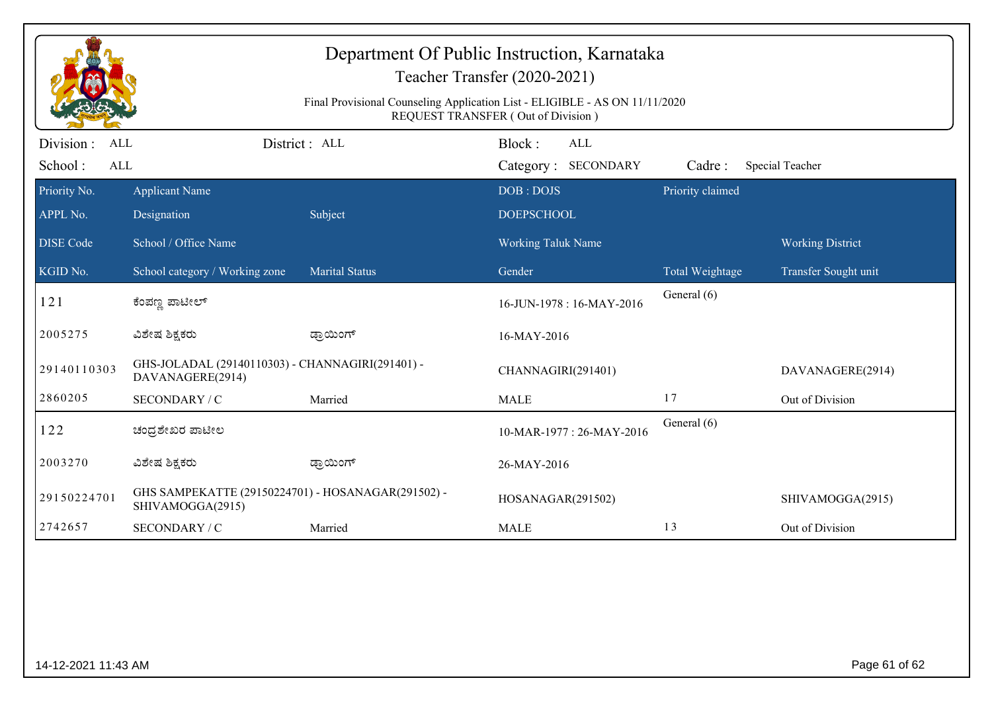| Department Of Public Instruction, Karnataka<br>Teacher Transfer (2020-2021)<br>Final Provisional Counseling Application List - ELIGIBLE - AS ON 11/11/2020<br>REQUEST TRANSFER (Out of Division) |                                                                        |                       |                                             |                  |                         |  |  |  |
|--------------------------------------------------------------------------------------------------------------------------------------------------------------------------------------------------|------------------------------------------------------------------------|-----------------------|---------------------------------------------|------------------|-------------------------|--|--|--|
| Division :<br><b>ALL</b><br>School:<br><b>ALL</b>                                                                                                                                                |                                                                        | District: ALL         | Block:<br><b>ALL</b><br>Category: SECONDARY | Cadre:           | Special Teacher         |  |  |  |
| Priority No.<br>APPL No.                                                                                                                                                                         | <b>Applicant Name</b><br>Designation                                   | Subject               | DOB: DOJS<br><b>DOEPSCHOOL</b>              | Priority claimed |                         |  |  |  |
| <b>DISE Code</b>                                                                                                                                                                                 | School / Office Name                                                   |                       | <b>Working Taluk Name</b>                   |                  | <b>Working District</b> |  |  |  |
| KGID No.                                                                                                                                                                                         | School category / Working zone                                         | <b>Marital Status</b> | Gender                                      | Total Weightage  | Transfer Sought unit    |  |  |  |
| 121                                                                                                                                                                                              | ಕೆಂಪಣ್ಣ ಪಾಟೀಲ್                                                         |                       | 16-JUN-1978: 16-MAY-2016                    | General (6)      |                         |  |  |  |
| 2005275                                                                                                                                                                                          | ವಿಶೇಷ ಶಿಕ್ಷಕರು                                                         | ಡ್ರಾಯಿಂಗ್             | 16-MAY-2016                                 |                  |                         |  |  |  |
| 29140110303                                                                                                                                                                                      | GHS-JOLADAL (29140110303) - CHANNAGIRI(291401) -<br>DAVANAGERE(2914)   |                       | CHANNAGIRI(291401)                          |                  | DAVANAGERE(2914)        |  |  |  |
| 2860205                                                                                                                                                                                          | SECONDARY / C                                                          | Married               | <b>MALE</b>                                 | 17               | Out of Division         |  |  |  |
| 122                                                                                                                                                                                              | ಚಂದ್ರಶೇಖರ ಪಾಟೀಲ                                                        |                       | 10-MAR-1977: 26-MAY-2016                    | General (6)      |                         |  |  |  |
| 2003270                                                                                                                                                                                          | ವಿಶೇಷ ಶಿಕ್ಷಕರು                                                         | ಡ್ರಾಯಿಂಗ್             | 26-MAY-2016                                 |                  |                         |  |  |  |
| 29150224701                                                                                                                                                                                      | GHS SAMPEKATTE (29150224701) - HOSANAGAR(291502) -<br>SHIVAMOGGA(2915) |                       | HOSANAGAR(291502)                           |                  | SHIVAMOGGA(2915)        |  |  |  |
| 2742657                                                                                                                                                                                          | SECONDARY / C                                                          | Married               | <b>MALE</b>                                 | 13               | Out of Division         |  |  |  |
|                                                                                                                                                                                                  |                                                                        |                       |                                             |                  |                         |  |  |  |
| Page 61 of 62<br>14-12-2021 11:43 AM                                                                                                                                                             |                                                                        |                       |                                             |                  |                         |  |  |  |